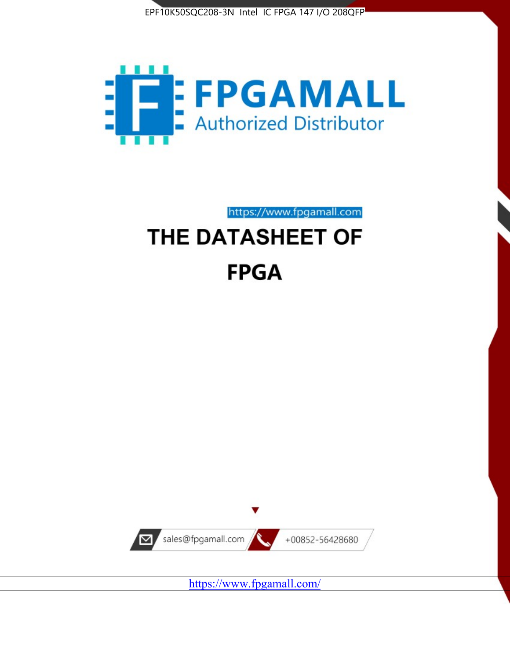



https://www.fpgamall.com

# THE DATASHEET OF **FPGA**



<https://www.fpgamall.com/>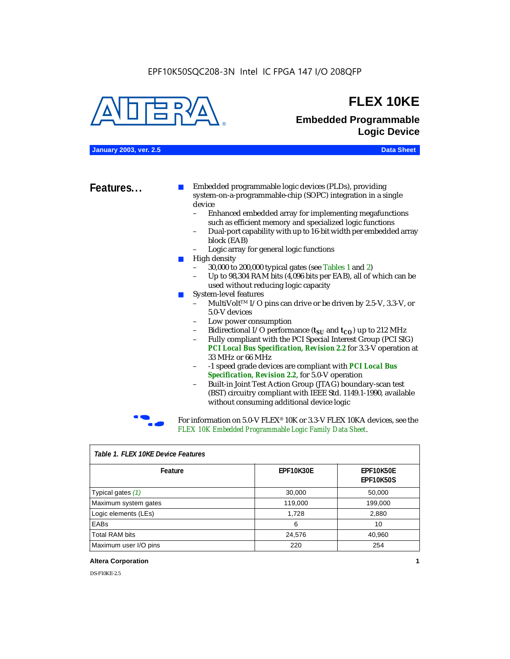

### **FLEX 10KE**

### **Embedded Programmable Logic Device**

**January 2003, ver. 2.5 Data Sheet**

**Features...** ■ Embedded programmable logic devices (PLDs), providing system-on-a-programmable-chip (SOPC) integration in a single device

- Enhanced embedded array for implementing megafunctions such as efficient memory and specialized logic functions
- Dual-port capability with up to 16-bit width per embedded array block (EAB)
- Logic array for general logic functions
- High density
	- 30,000 to 200,000 typical gates (see Tables 1 and 2)
	- Up to 98,304 RAM bits (4,096 bits per EAB), all of which can be used without reducing logic capacity
- System-level features
	- MultiVolt<sup>™</sup> I/O pins can drive or be driven by 2.5-V, 3.3-V, or 5.0-V devices
	- Low power consumption
	- Bidirectional I/O performance  $(t_{SI}$  and  $t_{CO}$ ) up to 212 MHz
	- Fully compliant with the PCI Special Interest Group (PCI SIG) *PCI Local Bus Specification, Revision 2.2* for 3.3-V operation at 33 MHz or 66 MHz
	- -1 speed grade devices are compliant with *PCI Local Bus Specification, Revision 2.2*, for 5.0-V operation
	- Built-in Joint Test Action Group (JTAG) boundary-scan test (BST) circuitry compliant with IEEE Std. 1149.1-1990, available without consuming additional device logic



For information on 5.0-V FLEX<sup>®</sup> 10K or 3.3-V FLEX 10KA devices, see the *FLEX 10K Embedded Programmable Logic Family Data Sheet*.

| Table T. FLEX TUKE Device Features |                  |                                      |  |  |
|------------------------------------|------------------|--------------------------------------|--|--|
| Feature                            | <b>EPF10K30E</b> | <b>EPF10K50E</b><br><b>EPF10K50S</b> |  |  |
| Typical gates (1)                  | 30,000           | 50,000                               |  |  |
| Maximum system gates               | 119,000          | 199,000                              |  |  |
| Logic elements (LEs)               | 1,728            | 2,880                                |  |  |
| EABs                               | 6                | 10                                   |  |  |
| <b>Total RAM bits</b>              | 24,576           | 40,960                               |  |  |
| Maximum user I/O pins              | 220              | 254                                  |  |  |

#### *Table 1. FLEX 10KE Device Features*

#### **Altera Corporation 1**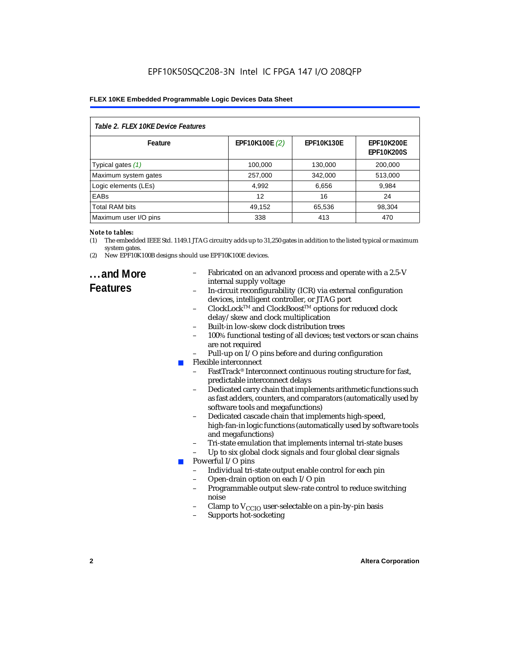| Table 2. FLEX 10KE Device Features |                |                   |                                        |  |
|------------------------------------|----------------|-------------------|----------------------------------------|--|
| Feature                            | EPF10K100E (2) | <b>EPF10K130E</b> | <b>EPF10K200E</b><br><b>EPF10K200S</b> |  |
| Typical gates (1)                  | 100,000        | 130,000           | 200,000                                |  |
| Maximum system gates               | 257,000        | 342,000           | 513,000                                |  |
| Logic elements (LEs)               | 4,992          | 6,656             | 9,984                                  |  |
| <b>EABs</b>                        | 12             | 16                | 24                                     |  |
| <b>Total RAM bits</b>              | 49,152         | 65,536            | 98,304                                 |  |
| Maximum user I/O pins              | 338            | 413               | 470                                    |  |

#### *Note to tables:*

- (1) The embedded IEEE Std. 1149.1 JTAG circuitry adds up to 31,250 gates in addition to the listed typical or maximum system gates.
- (2) New EPF10K100B designs should use EPF10K100E devices.

### **...and More Features**

- Fabricated on an advanced process and operate with a 2.5-V internal supply voltage
- In-circuit reconfigurability (ICR) via external configuration devices, intelligent controller, or JTAG port
- ClockLockTM and ClockBoostTM options for reduced clock delay/skew and clock multiplication
- Built-in low-skew clock distribution trees
- 100% functional testing of all devices; test vectors or scan chains are not required
- Pull-up on I/O pins before and during configuration
- Flexible interconnect
	- FastTrack<sup>®</sup> Interconnect continuous routing structure for fast, predictable interconnect delays
	- Dedicated carry chain that implements arithmetic functions such as fast adders, counters, and comparators (automatically used by software tools and megafunctions)
	- Dedicated cascade chain that implements high-speed, high-fan-in logic functions (automatically used by software tools and megafunctions)
	- Tri-state emulation that implements internal tri-state buses
	- Up to six global clock signals and four global clear signals
	- Powerful I/O pins
		- Individual tri-state output enable control for each pin
		- Open-drain option on each I/O pin
		- Programmable output slew-rate control to reduce switching noise
		- Clamp to  $V_{\text{CCIO}}$  user-selectable on a pin-by-pin basis
		- Supports hot-socketing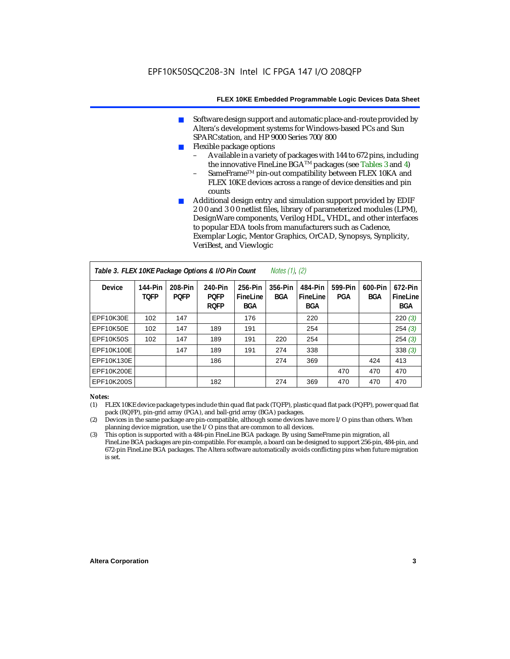- Software design support and automatic place-and-route provided by Altera's development systems for Windows-based PCs and Sun SPARCstation, and HP 9000 Series 700/800
- Flexible package options
	- Available in a variety of packages with 144 to 672 pins, including the innovative FineLine BGA<sup>TM</sup> packages (see Tables 3 and 4)
	- SameFrame™ pin-out compatibility between FLEX 10KA and FLEX 10KE devices across a range of device densities and pin counts
- Additional design entry and simulation support provided by EDIF 2 0 0 and 3 0 0 netlist files, library of parameterized modules (LPM), DesignWare components, Verilog HDL, VHDL, and other interfaces to popular EDA tools from manufacturers such as Cadence, Exemplar Logic, Mentor Graphics, OrCAD, Synopsys, Synplicity, VeriBest, and Viewlogic

| Table 3. FLEX 10KE Package Options & I/O Pin Count<br><i>Notes <math>(1)</math>, <math>(2)</math></i> |                        |                        |                                       |                                   |                |                                   |                |                       |                                   |
|-------------------------------------------------------------------------------------------------------|------------------------|------------------------|---------------------------------------|-----------------------------------|----------------|-----------------------------------|----------------|-----------------------|-----------------------------------|
| <b>Device</b>                                                                                         | 144-Pin<br><b>TOFP</b> | 208-Pin<br><b>POFP</b> | 240-Pin<br><b>POFP</b><br><b>ROFP</b> | 256-Pin<br>FineLine<br><b>BGA</b> | 356-Pin<br>BGA | 484-Pin<br>FineLine<br><b>BGA</b> | 599-Pin<br>PGA | 600-Pin<br><b>BGA</b> | 672-Pin<br>FineLine<br><b>BGA</b> |
| EPF10K30E                                                                                             | 102                    | 147                    |                                       | 176                               |                | 220                               |                |                       | 220(3)                            |
| EPF10K50E                                                                                             | 102                    | 147                    | 189                                   | 191                               |                | 254                               |                |                       | 254(3)                            |
| <b>EPF10K50S</b>                                                                                      | 102                    | 147                    | 189                                   | 191                               | 220            | 254                               |                |                       | 254(3)                            |
| EPF10K100E                                                                                            |                        | 147                    | 189                                   | 191                               | 274            | 338                               |                |                       | 338(3)                            |
| EPF10K130E                                                                                            |                        |                        | 186                                   |                                   | 274            | 369                               |                | 424                   | 413                               |
| EPF10K200E                                                                                            |                        |                        |                                       |                                   |                |                                   | 470            | 470                   | 470                               |
| EPF10K200S                                                                                            |                        |                        | 182                                   |                                   | 274            | 369                               | 470            | 470                   | 470                               |

#### *Notes:*

- (1) FLEX 10KE device package types include thin quad flat pack (TQFP), plastic quad flat pack (PQFP), power quad flat pack (RQFP), pin-grid array (PGA), and ball-grid array (BGA) packages.
- (2) Devices in the same package are pin-compatible, although some devices have more I/O pins than others. When planning device migration, use the I/O pins that are common to all devices.
- (3) This option is supported with a 484-pin FineLine BGA package. By using SameFrame pin migration, all FineLine BGA packages are pin-compatible. For example, a board can be designed to support 256-pin, 484-pin, and 672-pin FineLine BGA packages. The Altera software automatically avoids conflicting pins when future migration is set.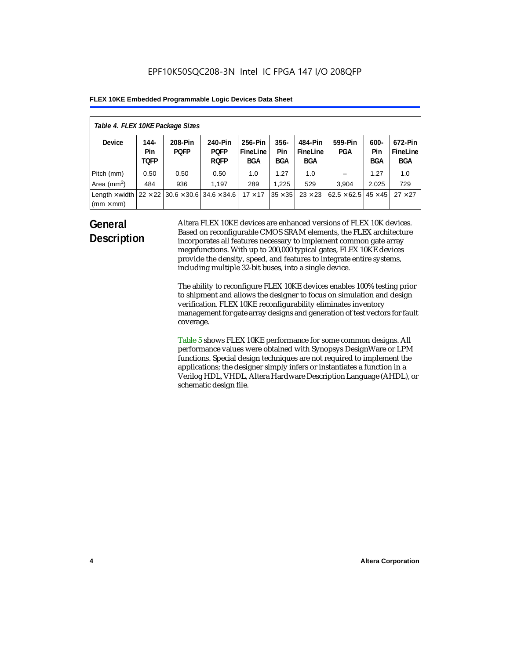| Table 4. FLEX 10KE Package Sizes          |                            |                                                      |                                       |                                   |                       |                            |                                   |                              |                                   |
|-------------------------------------------|----------------------------|------------------------------------------------------|---------------------------------------|-----------------------------------|-----------------------|----------------------------|-----------------------------------|------------------------------|-----------------------------------|
| <b>Device</b>                             | 144-<br>Pin<br><b>TOFP</b> | 208-Pin<br><b>POFP</b>                               | 240-Pin<br><b>POFP</b><br><b>ROFP</b> | 256-Pin<br>FineLine<br><b>BGA</b> | $356 -$<br>Pin<br>BGA | 484-Pin<br>FineLine<br>BGA | 599-Pin<br><b>PGA</b>             | $600 -$<br>Pin<br><b>BGA</b> | 672-Pin<br>FineLine<br><b>BGA</b> |
| Pitch (mm)                                | 0.50                       | 0.50                                                 | 0.50                                  | 1.0                               | 1.27                  | 1.0                        |                                   | 1.27                         | 1.0                               |
| Area $(mm2)$                              | 484                        | 936                                                  | 1.197                                 | 289                               | 1.225                 | 529                        | 3.904                             | 2,025                        | 729                               |
| Length $\times$ width<br>$(mm \times mm)$ |                            | $22 \times 22$ 30.6 $\times$ 30.6 34.6 $\times$ 34.6 |                                       | $17 \times 17$                    | $35 \times 35$        | $23 \times 23$             | $62.5 \times 62.5$ 45 $\times$ 45 |                              | $27 \times 27$                    |

### **General Description**

Altera FLEX 10KE devices are enhanced versions of FLEX 10K devices. Based on reconfigurable CMOS SRAM elements, the FLEX architecture incorporates all features necessary to implement common gate array megafunctions. With up to 200,000 typical gates, FLEX 10KE devices provide the density, speed, and features to integrate entire systems, including multiple 32-bit buses, into a single device.

The ability to reconfigure FLEX 10KE devices enables 100% testing prior to shipment and allows the designer to focus on simulation and design verification. FLEX 10KE reconfigurability eliminates inventory management for gate array designs and generation of test vectors for fault coverage.

Table 5 shows FLEX 10KE performance for some common designs. All performance values were obtained with Synopsys DesignWare or LPM functions. Special design techniques are not required to implement the applications; the designer simply infers or instantiates a function in a Verilog HDL, VHDL, Altera Hardware Description Language (AHDL), or schematic design file.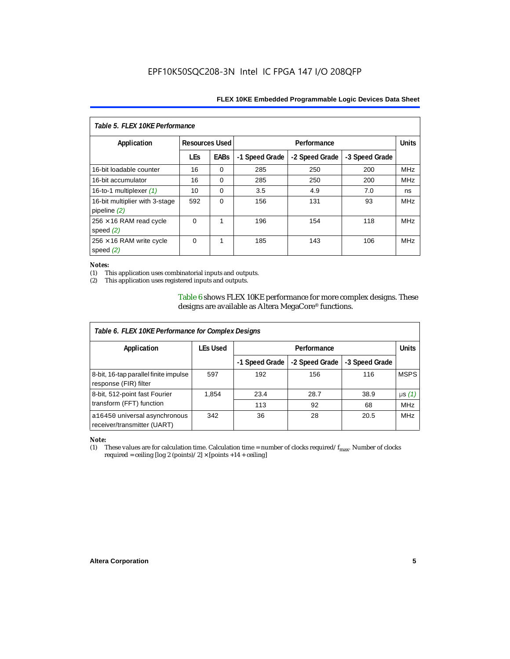| Table 5. FLEX 10KE Performance                   |                       |             |                |                |                |            |  |
|--------------------------------------------------|-----------------------|-------------|----------------|----------------|----------------|------------|--|
| Application                                      | <b>Resources Used</b> |             |                | Performance    |                |            |  |
|                                                  | <b>LEs</b>            | <b>EABs</b> | -1 Speed Grade | -2 Speed Grade | -3 Speed Grade |            |  |
| 16-bit loadable counter                          | 16                    | $\Omega$    | 285            | 250            | 200            | <b>MHz</b> |  |
| 16-bit accumulator                               | 16                    | $\Omega$    | 285            | 250            | 200            | <b>MHz</b> |  |
| 16-to-1 multiplexer $(1)$                        | 10                    | $\Omega$    | 3.5            | 4.9            | 7.0            | ns         |  |
| 16-bit multiplier with 3-stage<br>pipeline $(2)$ | 592                   | $\Omega$    | 156            | 131            | 93             | <b>MHz</b> |  |
| $256 \times 16$ RAM read cycle<br>speed $(2)$    | $\Omega$              | 1           | 196            | 154            | 118            | <b>MHz</b> |  |
| $256 \times 16$ RAM write cycle<br>speed $(2)$   | $\Omega$              | 1           | 185            | 143            | 106            | <b>MHz</b> |  |

#### *Notes:*

(1) This application uses combinatorial inputs and outputs.

This application uses registered inputs and outputs.

Table 6 shows FLEX 10KE performance for more complex designs. These designs are available as Altera MegaCore® functions.

| Table 6. FLEX 10KE Performance for Complex Designs             |                 |                |                |                |              |
|----------------------------------------------------------------|-----------------|----------------|----------------|----------------|--------------|
| Application                                                    | <b>LEs Used</b> | Performance    |                |                | <b>Units</b> |
|                                                                |                 | -1 Speed Grade | -2 Speed Grade | -3 Speed Grade |              |
| 8-bit, 16-tap parallel finite impulse<br>response (FIR) filter | 597             | 192            | 156            | 116            | <b>MSPS</b>  |
| 8-bit, 512-point fast Fourier                                  | 1,854           | 23.4           | 28.7           | 38.9           | $\mu s(1)$   |
| transform (FFT) function                                       |                 | 113            | 92             | 68             | <b>MHz</b>   |
| a16450 universal asynchronous<br>receiver/transmitter (UART)   | 342             | 36             | 28             | 20.5           | <b>MHz</b>   |

## *Note:*<br>(1) 1

These values are for calculation time. Calculation time = number of clocks required/ $f_{max}$ . Number of clocks required = ceiling [log 2 (points)/2]  $\times$  [points +14 + ceiling]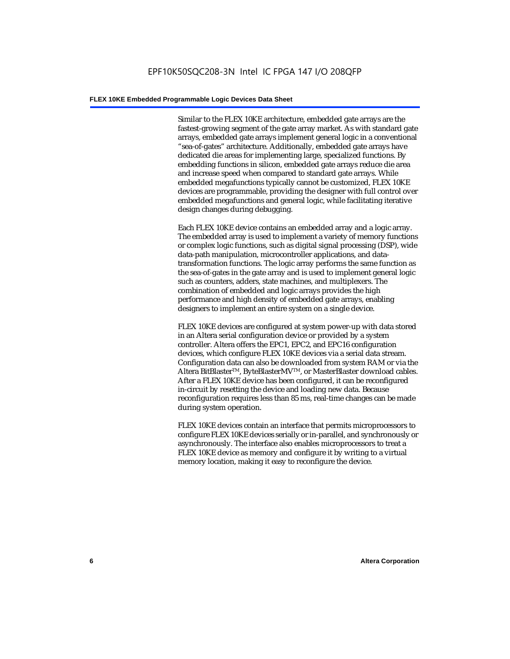Similar to the FLEX 10KE architecture, embedded gate arrays are the fastest-growing segment of the gate array market. As with standard gate arrays, embedded gate arrays implement general logic in a conventional "sea-of-gates" architecture. Additionally, embedded gate arrays have dedicated die areas for implementing large, specialized functions. By embedding functions in silicon, embedded gate arrays reduce die area and increase speed when compared to standard gate arrays. While embedded megafunctions typically cannot be customized, FLEX 10KE devices are programmable, providing the designer with full control over embedded megafunctions and general logic, while facilitating iterative design changes during debugging.

Each FLEX 10KE device contains an embedded array and a logic array. The embedded array is used to implement a variety of memory functions or complex logic functions, such as digital signal processing (DSP), wide data-path manipulation, microcontroller applications, and datatransformation functions. The logic array performs the same function as the sea-of-gates in the gate array and is used to implement general logic such as counters, adders, state machines, and multiplexers. The combination of embedded and logic arrays provides the high performance and high density of embedded gate arrays, enabling designers to implement an entire system on a single device.

FLEX 10KE devices are configured at system power-up with data stored in an Altera serial configuration device or provided by a system controller. Altera offers the EPC1, EPC2, and EPC16 configuration devices, which configure FLEX 10KE devices via a serial data stream. Configuration data can also be downloaded from system RAM or via the Altera BitBlaster™, ByteBlasterMV™, or MasterBlaster download cables. After a FLEX 10KE device has been configured, it can be reconfigured in-circuit by resetting the device and loading new data. Because reconfiguration requires less than 85 ms, real-time changes can be made during system operation.

FLEX 10KE devices contain an interface that permits microprocessors to configure FLEX 10KE devices serially or in-parallel, and synchronously or asynchronously. The interface also enables microprocessors to treat a FLEX 10KE device as memory and configure it by writing to a virtual memory location, making it easy to reconfigure the device.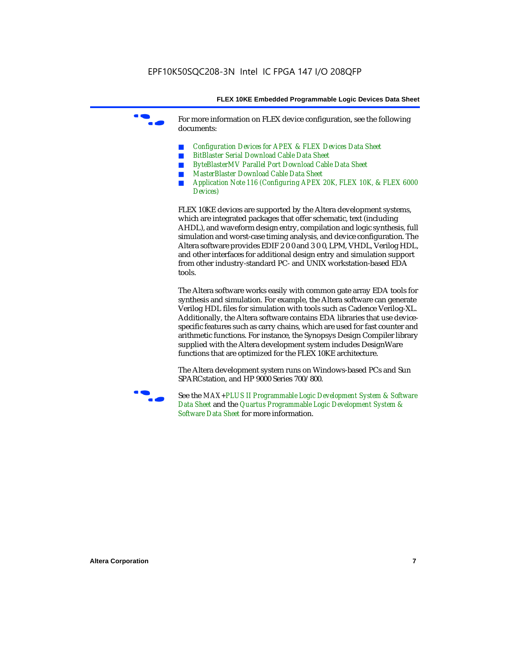For more information on FLEX device configuration, see the following documents:

- *Configuration Devices for APEX & FLEX Devices Data Sheet*
- *BitBlaster Serial Download Cable Data Sheet*
- *ByteBlasterMV Parallel Port Download Cable Data Sheet*
- *MasterBlaster Download Cable Data Sheet*
- *Application Note 116 (Configuring APEX 20K, FLEX 10K, & FLEX 6000 Devices)*

FLEX 10KE devices are supported by the Altera development systems, which are integrated packages that offer schematic, text (including AHDL), and waveform design entry, compilation and logic synthesis, full simulation and worst-case timing analysis, and device configuration. The Altera software provides EDIF 2 0 0 and 3 0 0, LPM, VHDL, Verilog HDL, and other interfaces for additional design entry and simulation support from other industry-standard PC- and UNIX workstation-based EDA tools.

The Altera software works easily with common gate array EDA tools for synthesis and simulation. For example, the Altera software can generate Verilog HDL files for simulation with tools such as Cadence Verilog-XL. Additionally, the Altera software contains EDA libraries that use devicespecific features such as carry chains, which are used for fast counter and arithmetic functions. For instance, the Synopsys Design Compiler library supplied with the Altera development system includes DesignWare functions that are optimized for the FLEX 10KE architecture.

The Altera development system runs on Windows-based PCs and Sun SPARCstation, and HP 9000 Series 700/800.



See the *MAX+PLUS II Programmable Logic Development System & Software Data Sheet* and the *Quartus Programmable Logic Development System & Software Data Sheet* for more information.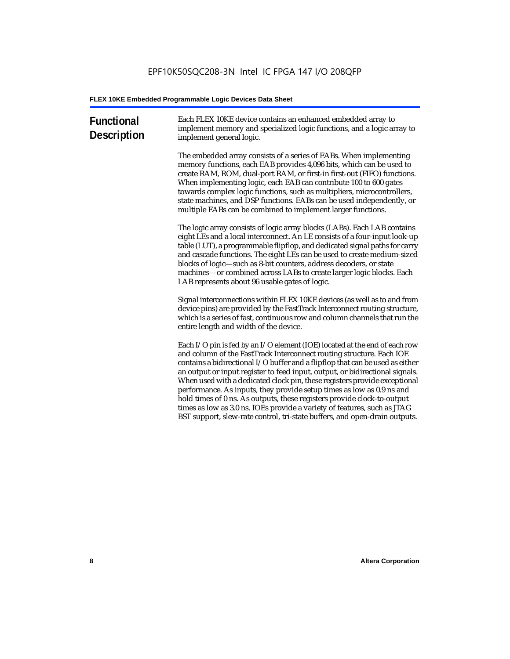| <b>Functional</b><br><b>Description</b> | Each FLEX 10KE device contains an enhanced embedded array to<br>implement memory and specialized logic functions, and a logic array to<br>implement general logic.                                                                                                                                                                                                                                                                                                                                                                                                                                                                                                                                             |
|-----------------------------------------|----------------------------------------------------------------------------------------------------------------------------------------------------------------------------------------------------------------------------------------------------------------------------------------------------------------------------------------------------------------------------------------------------------------------------------------------------------------------------------------------------------------------------------------------------------------------------------------------------------------------------------------------------------------------------------------------------------------|
|                                         | The embedded array consists of a series of EABs. When implementing<br>memory functions, each EAB provides 4,096 bits, which can be used to<br>create RAM, ROM, dual-port RAM, or first-in first-out (FIFO) functions.<br>When implementing logic, each EAB can contribute 100 to 600 gates<br>towards complex logic functions, such as multipliers, microcontrollers,<br>state machines, and DSP functions. EABs can be used independently, or<br>multiple EABs can be combined to implement larger functions.                                                                                                                                                                                                 |
|                                         | The logic array consists of logic array blocks (LABs). Each LAB contains<br>eight LEs and a local interconnect. An LE consists of a four-input look-up<br>table (LUT), a programmable flipflop, and dedicated signal paths for carry<br>and cascade functions. The eight LEs can be used to create medium-sized<br>blocks of logic-such as 8-bit counters, address decoders, or state<br>machines-or combined across LABs to create larger logic blocks. Each<br>LAB represents about 96 usable gates of logic.                                                                                                                                                                                                |
|                                         | Signal interconnections within FLEX 10KE devices (as well as to and from<br>device pins) are provided by the FastTrack Interconnect routing structure,<br>which is a series of fast, continuous row and column channels that run the<br>entire length and width of the device.                                                                                                                                                                                                                                                                                                                                                                                                                                 |
|                                         | Each I/O pin is fed by an I/O element (IOE) located at the end of each row<br>and column of the FastTrack Interconnect routing structure. Each IOE<br>contains a bidirectional I/O buffer and a flipflop that can be used as either<br>an output or input register to feed input, output, or bidirectional signals.<br>When used with a dedicated clock pin, these registers provide exceptional<br>performance. As inputs, they provide setup times as low as 0.9 ns and<br>hold times of 0 ns. As outputs, these registers provide clock-to-output<br>times as low as 3.0 ns. IOEs provide a variety of features, such as JTAG<br>BST support, slew-rate control, tri-state buffers, and open-drain outputs. |
|                                         |                                                                                                                                                                                                                                                                                                                                                                                                                                                                                                                                                                                                                                                                                                                |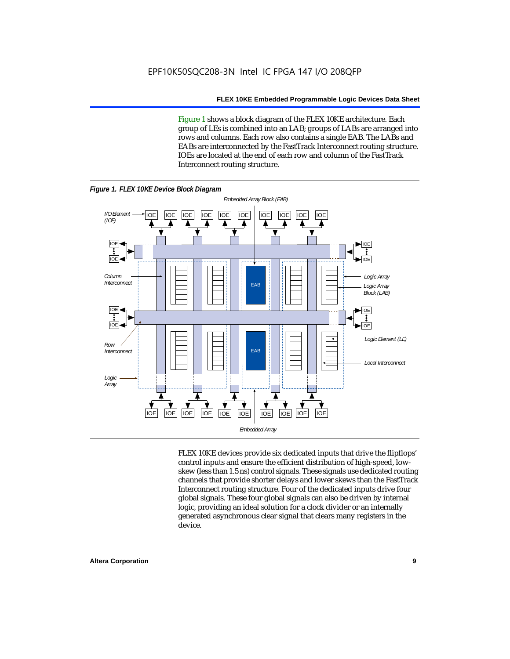Figure 1 shows a block diagram of the FLEX 10KE architecture. Each group of LEs is combined into an LAB; groups of LABs are arranged into rows and columns. Each row also contains a single EAB. The LABs and EABs are interconnected by the FastTrack Interconnect routing structure. IOEs are located at the end of each row and column of the FastTrack Interconnect routing structure.



FLEX 10KE devices provide six dedicated inputs that drive the flipflops' control inputs and ensure the efficient distribution of high-speed, lowskew (less than 1.5 ns) control signals. These signals use dedicated routing channels that provide shorter delays and lower skews than the FastTrack Interconnect routing structure. Four of the dedicated inputs drive four global signals. These four global signals can also be driven by internal logic, providing an ideal solution for a clock divider or an internally generated asynchronous clear signal that clears many registers in the device.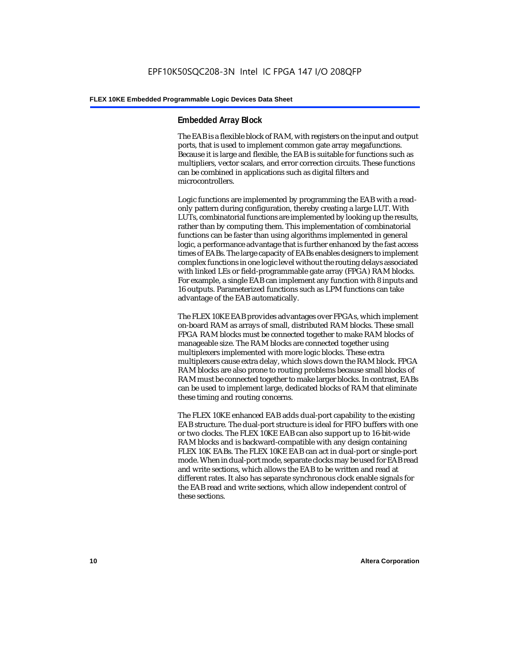#### **Embedded Array Block**

The EAB is a flexible block of RAM, with registers on the input and output ports, that is used to implement common gate array megafunctions. Because it is large and flexible, the EAB is suitable for functions such as multipliers, vector scalars, and error correction circuits. These functions can be combined in applications such as digital filters and microcontrollers.

Logic functions are implemented by programming the EAB with a readonly pattern during configuration, thereby creating a large LUT. With LUTs, combinatorial functions are implemented by looking up the results, rather than by computing them. This implementation of combinatorial functions can be faster than using algorithms implemented in general logic, a performance advantage that is further enhanced by the fast access times of EABs. The large capacity of EABs enables designers to implement complex functions in one logic level without the routing delays associated with linked LEs or field-programmable gate array (FPGA) RAM blocks. For example, a single EAB can implement any function with 8 inputs and 16 outputs. Parameterized functions such as LPM functions can take advantage of the EAB automatically.

The FLEX 10KE EAB provides advantages over FPGAs, which implement on-board RAM as arrays of small, distributed RAM blocks. These small FPGA RAM blocks must be connected together to make RAM blocks of manageable size. The RAM blocks are connected together using multiplexers implemented with more logic blocks. These extra multiplexers cause extra delay, which slows down the RAM block. FPGA RAM blocks are also prone to routing problems because small blocks of RAM must be connected together to make larger blocks. In contrast, EABs can be used to implement large, dedicated blocks of RAM that eliminate these timing and routing concerns.

The FLEX 10KE enhanced EAB adds dual-port capability to the existing EAB structure. The dual-port structure is ideal for FIFO buffers with one or two clocks. The FLEX 10KE EAB can also support up to 16-bit-wide RAM blocks and is backward-compatible with any design containing FLEX 10K EABs. The FLEX 10KE EAB can act in dual-port or single-port mode. When in dual-port mode, separate clocks may be used for EAB read and write sections, which allows the EAB to be written and read at different rates. It also has separate synchronous clock enable signals for the EAB read and write sections, which allow independent control of these sections.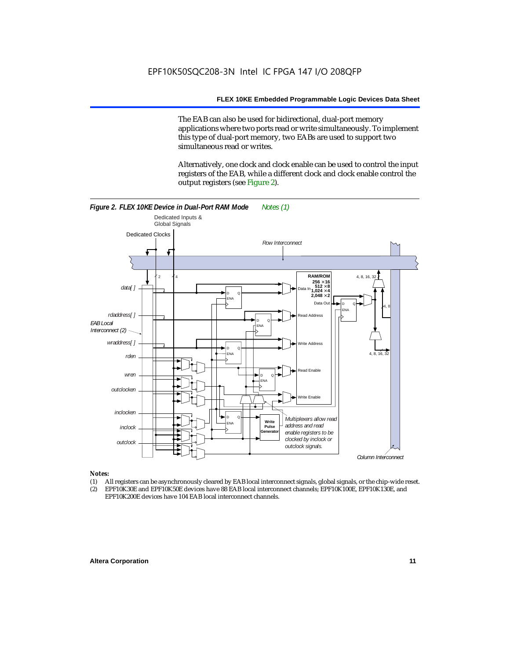The EAB can also be used for bidirectional, dual-port memory applications where two ports read or write simultaneously. To implement this type of dual-port memory, two EABs are used to support two simultaneous read or writes.

Alternatively, one clock and clock enable can be used to control the input registers of the EAB, while a different clock and clock enable control the output registers (see Figure 2).



#### *Notes:*

- (1) All registers can be asynchronously cleared by EAB local interconnect signals, global signals, or the chip-wide reset.
- (2) EPF10K30E and EPF10K50E devices have 88 EAB local interconnect channels; EPF10K100E, EPF10K130E, and EPF10K200E devices have 104 EAB local interconnect channels.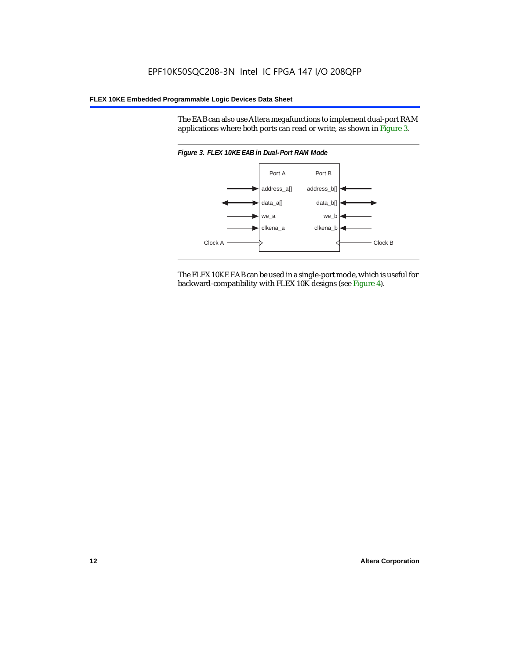The EAB can also use Altera megafunctions to implement dual-port RAM applications where both ports can read or write, as shown in Figure 3.



The FLEX 10KE EAB can be used in a single-port mode, which is useful for backward-compatibility with FLEX 10K designs (see Figure 4).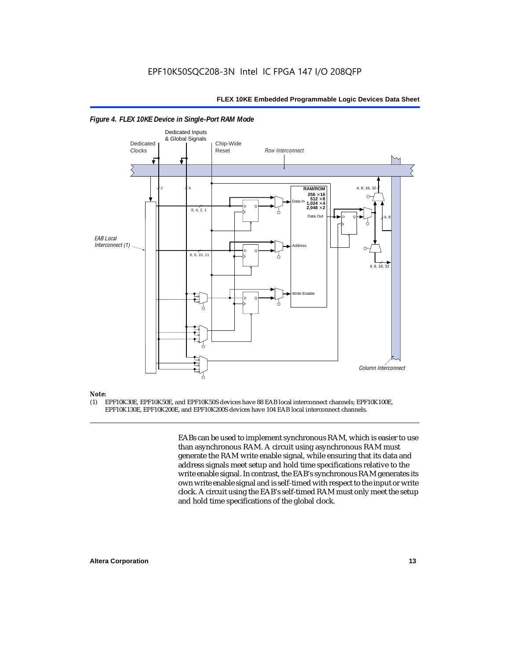

#### *Figure 4. FLEX 10KE Device in Single-Port RAM Mode*

### *Note:*<br>(1) **F**

(1) EPF10K30E, EPF10K50E, and EPF10K50S devices have 88 EAB local interconnect channels; EPF10K100E, EPF10K130E, EPF10K200E, and EPF10K200S devices have 104 EAB local interconnect channels.

> EABs can be used to implement synchronous RAM, which is easier to use than asynchronous RAM. A circuit using asynchronous RAM must generate the RAM write enable signal, while ensuring that its data and address signals meet setup and hold time specifications relative to the write enable signal. In contrast, the EAB's synchronous RAM generates its own write enable signal and is self-timed with respect to the input or write clock. A circuit using the EAB's self-timed RAM must only meet the setup and hold time specifications of the global clock.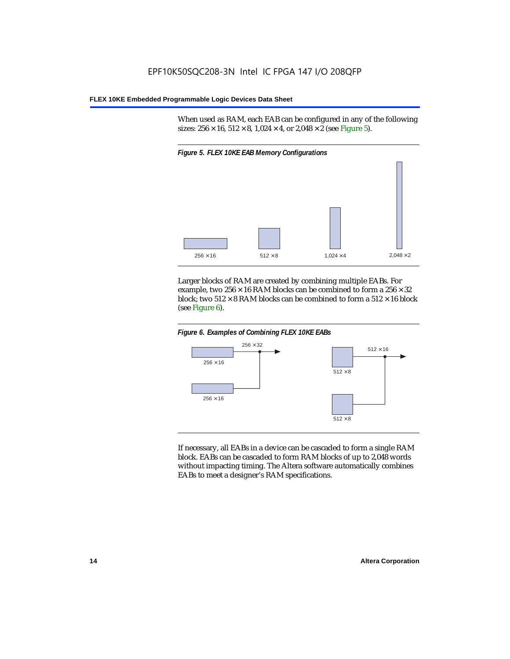When used as RAM, each EAB can be configured in any of the following sizes:  $256 \times 16$ ,  $512 \times 8$ ,  $1,024 \times 4$ , or  $2,048 \times 2$  (see Figure 5).



Larger blocks of RAM are created by combining multiple EABs. For example, two  $256 \times 16$  RAM blocks can be combined to form a  $256 \times 32$ block; two  $512 \times 8$  RAM blocks can be combined to form a  $512 \times 16$  block (see Figure 6).





If necessary, all EABs in a device can be cascaded to form a single RAM block. EABs can be cascaded to form RAM blocks of up to 2,048 words without impacting timing. The Altera software automatically combines EABs to meet a designer's RAM specifications.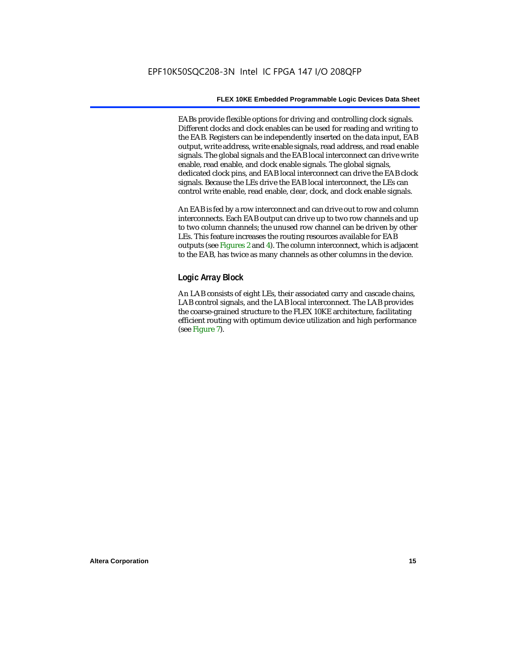EABs provide flexible options for driving and controlling clock signals. Different clocks and clock enables can be used for reading and writing to the EAB. Registers can be independently inserted on the data input, EAB output, write address, write enable signals, read address, and read enable signals. The global signals and the EAB local interconnect can drive write enable, read enable, and clock enable signals. The global signals, dedicated clock pins, and EAB local interconnect can drive the EAB clock signals. Because the LEs drive the EAB local interconnect, the LEs can control write enable, read enable, clear, clock, and clock enable signals.

An EAB is fed by a row interconnect and can drive out to row and column interconnects. Each EAB output can drive up to two row channels and up to two column channels; the unused row channel can be driven by other LEs. This feature increases the routing resources available for EAB outputs (see Figures 2 and 4). The column interconnect, which is adjacent to the EAB, has twice as many channels as other columns in the device.

#### **Logic Array Block**

An LAB consists of eight LEs, their associated carry and cascade chains, LAB control signals, and the LAB local interconnect. The LAB provides the coarse-grained structure to the FLEX 10KE architecture, facilitating efficient routing with optimum device utilization and high performance (see Figure 7).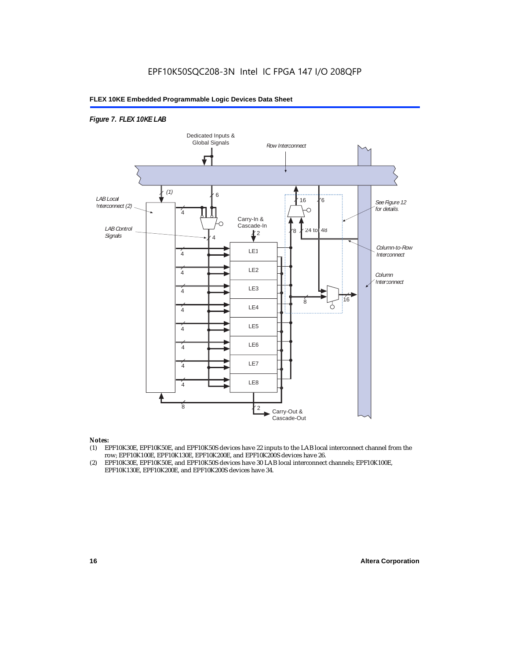#### *Figure 7. FLEX 10KE LAB*



#### *Notes:*

- (1) EPF10K30E, EPF10K50E, and EPF10K50S devices have 22 inputs to the LAB local interconnect channel from the row; EPF10K100E, EPF10K130E, EPF10K200E, and EPF10K200S devices have 26.
- (2) EPF10K30E, EPF10K50E, and EPF10K50S devices have 30 LAB local interconnect channels; EPF10K100E, EPF10K130E, EPF10K200E, and EPF10K200S devices have 34.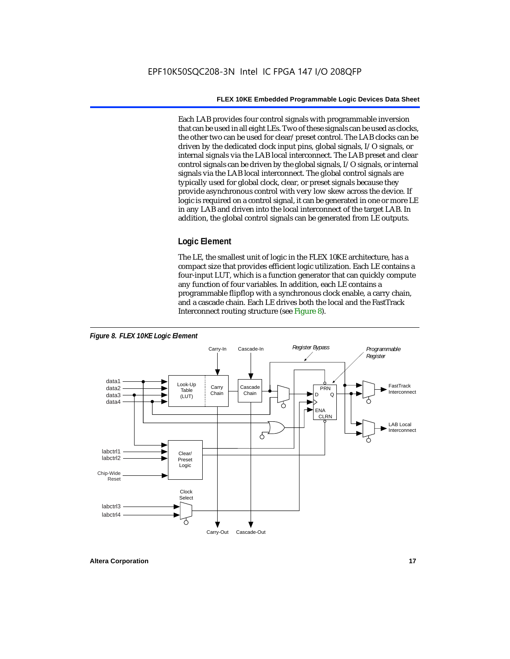Each LAB provides four control signals with programmable inversion that can be used in all eight LEs. Two of these signals can be used as clocks, the other two can be used for clear/preset control. The LAB clocks can be driven by the dedicated clock input pins, global signals, I/O signals, or internal signals via the LAB local interconnect. The LAB preset and clear control signals can be driven by the global signals, I/O signals, or internal signals via the LAB local interconnect. The global control signals are typically used for global clock, clear, or preset signals because they provide asynchronous control with very low skew across the device. If logic is required on a control signal, it can be generated in one or more LE in any LAB and driven into the local interconnect of the target LAB. In addition, the global control signals can be generated from LE outputs.

#### **Logic Element**

The LE, the smallest unit of logic in the FLEX 10KE architecture, has a compact size that provides efficient logic utilization. Each LE contains a four-input LUT, which is a function generator that can quickly compute any function of four variables. In addition, each LE contains a programmable flipflop with a synchronous clock enable, a carry chain, and a cascade chain. Each LE drives both the local and the FastTrack Interconnect routing structure (see Figure 8).

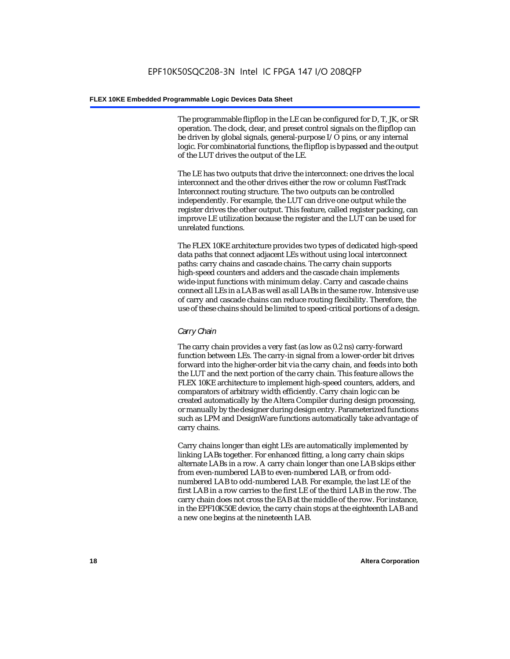The programmable flipflop in the LE can be configured for D, T, JK, or SR operation. The clock, clear, and preset control signals on the flipflop can be driven by global signals, general-purpose I/O pins, or any internal logic. For combinatorial functions, the flipflop is bypassed and the output of the LUT drives the output of the LE.

The LE has two outputs that drive the interconnect: one drives the local interconnect and the other drives either the row or column FastTrack Interconnect routing structure. The two outputs can be controlled independently. For example, the LUT can drive one output while the register drives the other output. This feature, called register packing, can improve LE utilization because the register and the LUT can be used for unrelated functions.

The FLEX 10KE architecture provides two types of dedicated high-speed data paths that connect adjacent LEs without using local interconnect paths: carry chains and cascade chains. The carry chain supports high-speed counters and adders and the cascade chain implements wide-input functions with minimum delay. Carry and cascade chains connect all LEs in a LAB as well as all LABs in the same row. Intensive use of carry and cascade chains can reduce routing flexibility. Therefore, the use of these chains should be limited to speed-critical portions of a design.

#### *Carry Chain*

The carry chain provides a very fast (as low as 0.2 ns) carry-forward function between LEs. The carry-in signal from a lower-order bit drives forward into the higher-order bit via the carry chain, and feeds into both the LUT and the next portion of the carry chain. This feature allows the FLEX 10KE architecture to implement high-speed counters, adders, and comparators of arbitrary width efficiently. Carry chain logic can be created automatically by the Altera Compiler during design processing, or manually by the designer during design entry. Parameterized functions such as LPM and DesignWare functions automatically take advantage of carry chains.

Carry chains longer than eight LEs are automatically implemented by linking LABs together. For enhanced fitting, a long carry chain skips alternate LABs in a row. A carry chain longer than one LAB skips either from even-numbered LAB to even-numbered LAB, or from oddnumbered LAB to odd-numbered LAB. For example, the last LE of the first LAB in a row carries to the first LE of the third LAB in the row. The carry chain does not cross the EAB at the middle of the row. For instance, in the EPF10K50E device, the carry chain stops at the eighteenth LAB and a new one begins at the nineteenth LAB.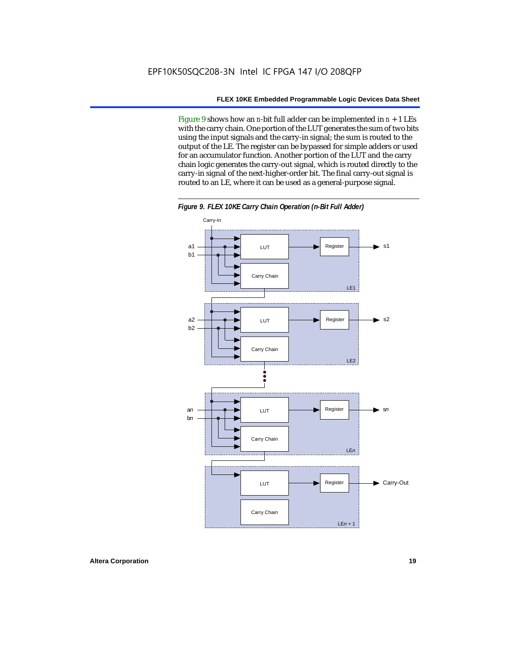Figure 9 shows how an *n*-bit full adder can be implemented in  $n + 1$  LEs with the carry chain. One portion of the LUT generates the sum of two bits using the input signals and the carry-in signal; the sum is routed to the output of the LE. The register can be bypassed for simple adders or used for an accumulator function. Another portion of the LUT and the carry chain logic generates the carry-out signal, which is routed directly to the carry-in signal of the next-higher-order bit. The final carry-out signal is routed to an LE, where it can be used as a general-purpose signal.



*Figure 9. FLEX 10KE Carry Chain Operation (n-Bit Full Adder)*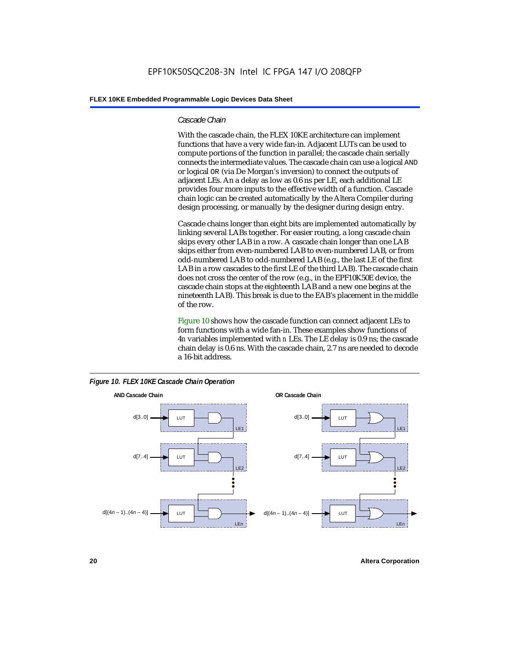#### *Cascade Chain*

With the cascade chain, the FLEX 10KE architecture can implement functions that have a very wide fan-in. Adjacent LUTs can be used to compute portions of the function in parallel; the cascade chain serially connects the intermediate values. The cascade chain can use a logical AND or logical OR (via De Morgan's inversion) to connect the outputs of adjacent LEs. An a delay as low as 0.6 ns per LE, each additional LE provides four more inputs to the effective width of a function. Cascade chain logic can be created automatically by the Altera Compiler during design processing, or manually by the designer during design entry.

Cascade chains longer than eight bits are implemented automatically by linking several LABs together. For easier routing, a long cascade chain skips every other LAB in a row. A cascade chain longer than one LAB skips either from even-numbered LAB to even-numbered LAB, or from odd-numbered LAB to odd-numbered LAB (e.g., the last LE of the first LAB in a row cascades to the first LE of the third LAB). The cascade chain does not cross the center of the row (e.g., in the EPF10K50E device, the cascade chain stops at the eighteenth LAB and a new one begins at the nineteenth LAB). This break is due to the EAB's placement in the middle of the row.

Figure 10 shows how the cascade function can connect adjacent LEs to form functions with a wide fan-in. These examples show functions of 4*n* variables implemented with *n* LEs. The LE delay is 0.9 ns; the cascade chain delay is 0.6 ns. With the cascade chain, 2.7 ns are needed to decode a 16-bit address.



*Figure 10. FLEX 10KE Cascade Chain Operation*

**20 Altera Corporation**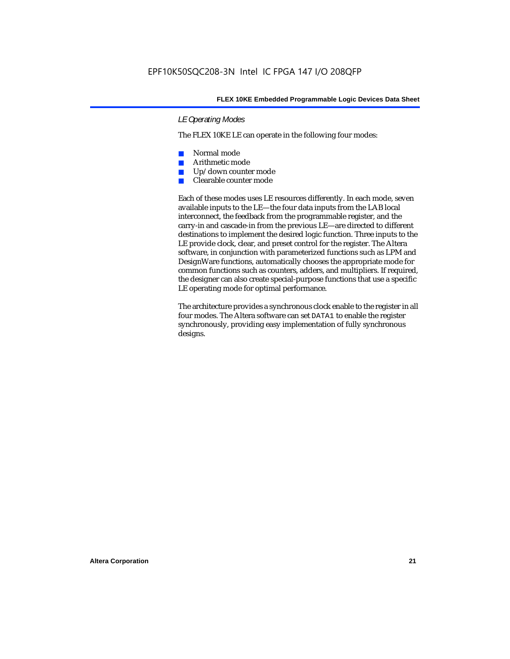#### *LE Operating Modes*

The FLEX 10KE LE can operate in the following four modes:

- Normal mode
- Arithmetic mode
- Up/down counter mode
- Clearable counter mode

Each of these modes uses LE resources differently. In each mode, seven available inputs to the LE—the four data inputs from the LAB local interconnect, the feedback from the programmable register, and the carry-in and cascade-in from the previous LE—are directed to different destinations to implement the desired logic function. Three inputs to the LE provide clock, clear, and preset control for the register. The Altera software, in conjunction with parameterized functions such as LPM and DesignWare functions, automatically chooses the appropriate mode for common functions such as counters, adders, and multipliers. If required, the designer can also create special-purpose functions that use a specific LE operating mode for optimal performance.

The architecture provides a synchronous clock enable to the register in all four modes. The Altera software can set DATA1 to enable the register synchronously, providing easy implementation of fully synchronous designs.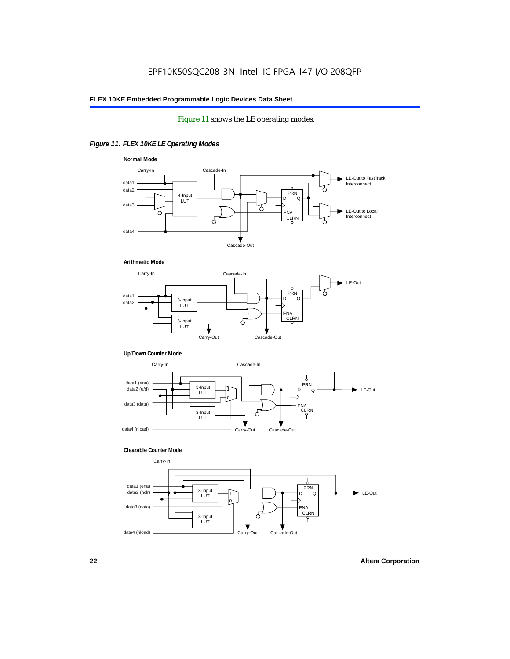#### Figure 11 shows the LE operating modes.

#### *Figure 11. FLEX 10KE LE Operating Modes*









#### **Clearable Counter Mode**

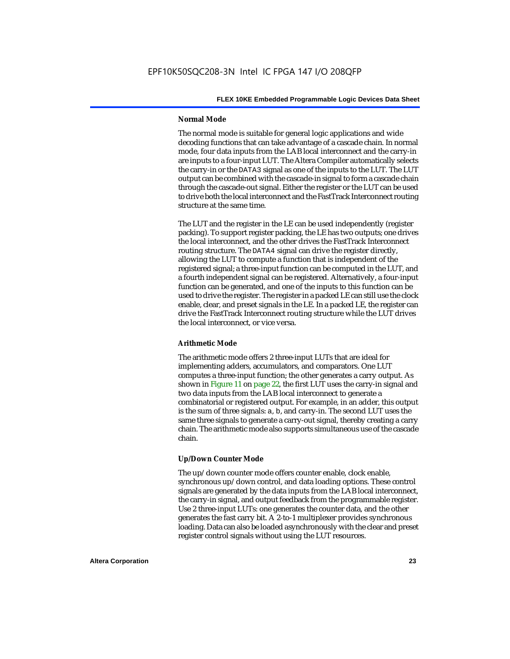#### **Normal Mode**

The normal mode is suitable for general logic applications and wide decoding functions that can take advantage of a cascade chain. In normal mode, four data inputs from the LAB local interconnect and the carry-in are inputs to a four-input LUT. The Altera Compiler automatically selects the carry-in or the DATA3 signal as one of the inputs to the LUT. The LUT output can be combined with the cascade-in signal to form a cascade chain through the cascade-out signal. Either the register or the LUT can be used to drive both the local interconnect and the FastTrack Interconnect routing structure at the same time.

The LUT and the register in the LE can be used independently (register packing). To support register packing, the LE has two outputs; one drives the local interconnect, and the other drives the FastTrack Interconnect routing structure. The DATA4 signal can drive the register directly, allowing the LUT to compute a function that is independent of the registered signal; a three-input function can be computed in the LUT, and a fourth independent signal can be registered. Alternatively, a four-input function can be generated, and one of the inputs to this function can be used to drive the register. The register in a packed LE can still use the clock enable, clear, and preset signals in the LE. In a packed LE, the register can drive the FastTrack Interconnect routing structure while the LUT drives the local interconnect, or vice versa.

#### **Arithmetic Mode**

The arithmetic mode offers 2 three-input LUTs that are ideal for implementing adders, accumulators, and comparators. One LUT computes a three-input function; the other generates a carry output. As shown in Figure 11 on page 22, the first LUT uses the carry-in signal and two data inputs from the LAB local interconnect to generate a combinatorial or registered output. For example, in an adder, this output is the sum of three signals: a, b, and carry-in. The second LUT uses the same three signals to generate a carry-out signal, thereby creating a carry chain. The arithmetic mode also supports simultaneous use of the cascade chain.

#### **Up/Down Counter Mode**

The up/down counter mode offers counter enable, clock enable, synchronous up/down control, and data loading options. These control signals are generated by the data inputs from the LAB local interconnect, the carry-in signal, and output feedback from the programmable register. Use 2 three-input LUTs: one generates the counter data, and the other generates the fast carry bit. A 2-to-1 multiplexer provides synchronous loading. Data can also be loaded asynchronously with the clear and preset register control signals without using the LUT resources.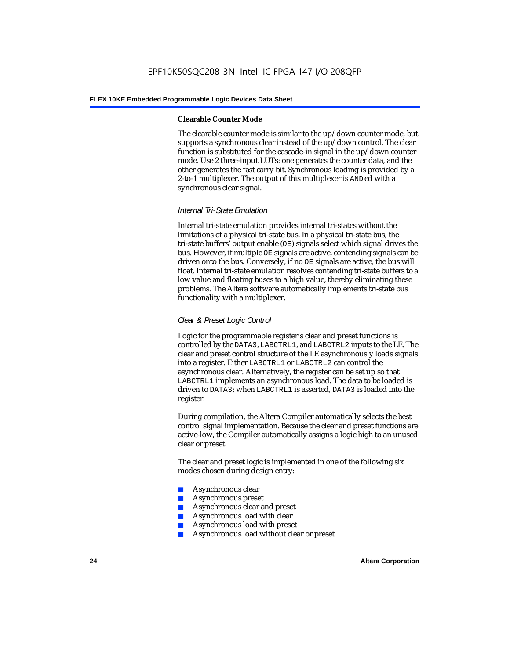#### **Clearable Counter Mode**

The clearable counter mode is similar to the up/down counter mode, but supports a synchronous clear instead of the up/down control. The clear function is substituted for the cascade-in signal in the up/down counter mode. Use 2 three-input LUTs: one generates the counter data, and the other generates the fast carry bit. Synchronous loading is provided by a 2-to-1 multiplexer. The output of this multiplexer is ANDed with a synchronous clear signal.

#### *Internal Tri-State Emulation*

Internal tri-state emulation provides internal tri-states without the limitations of a physical tri-state bus. In a physical tri-state bus, the tri-state buffers' output enable (OE) signals select which signal drives the bus. However, if multiple OE signals are active, contending signals can be driven onto the bus. Conversely, if no OE signals are active, the bus will float. Internal tri-state emulation resolves contending tri-state buffers to a low value and floating buses to a high value, thereby eliminating these problems. The Altera software automatically implements tri-state bus functionality with a multiplexer.

#### *Clear & Preset Logic Control*

Logic for the programmable register's clear and preset functions is controlled by the DATA3, LABCTRL1, and LABCTRL2 inputs to the LE. The clear and preset control structure of the LE asynchronously loads signals into a register. Either LABCTRL1 or LABCTRL2 can control the asynchronous clear. Alternatively, the register can be set up so that LABCTRL1 implements an asynchronous load. The data to be loaded is driven to DATA3; when LABCTRL1 is asserted, DATA3 is loaded into the register.

During compilation, the Altera Compiler automatically selects the best control signal implementation. Because the clear and preset functions are active-low, the Compiler automatically assigns a logic high to an unused clear or preset.

The clear and preset logic is implemented in one of the following six modes chosen during design entry:

- Asynchronous clear
- Asynchronous preset
- Asynchronous clear and preset
- Asynchronous load with clear
- Asynchronous load with preset
- Asynchronous load without clear or preset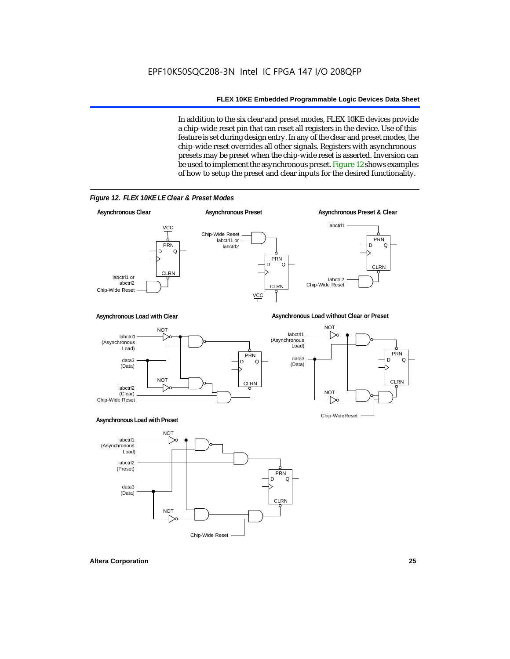In addition to the six clear and preset modes, FLEX 10KE devices provide a chip-wide reset pin that can reset all registers in the device. Use of this feature is set during design entry. In any of the clear and preset modes, the chip-wide reset overrides all other signals. Registers with asynchronous presets may be preset when the chip-wide reset is asserted. Inversion can be used to implement the asynchronous preset. Figure 12 shows examples of how to setup the preset and clear inputs for the desired functionality.



*Figure 12. FLEX 10KE LE Clear & Preset Modes*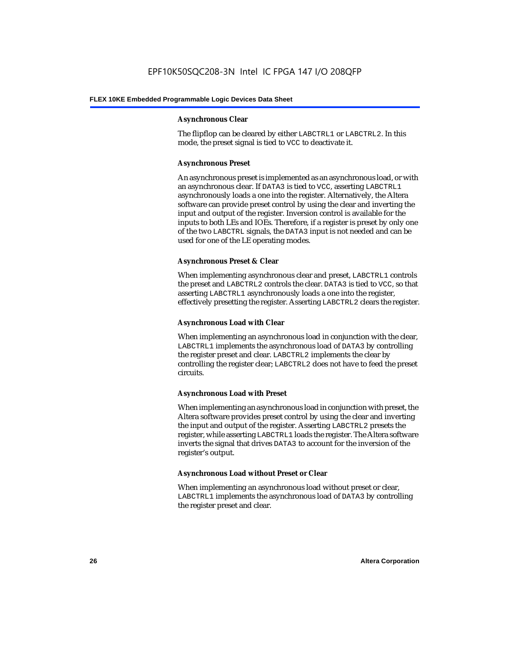#### **Asynchronous Clear**

The flipflop can be cleared by either LABCTRL1 or LABCTRL2. In this mode, the preset signal is tied to VCC to deactivate it.

#### **Asynchronous Preset**

An asynchronous preset is implemented as an asynchronous load, or with an asynchronous clear. If DATA3 is tied to VCC, asserting LABCTRL1 asynchronously loads a one into the register. Alternatively, the Altera software can provide preset control by using the clear and inverting the input and output of the register. Inversion control is available for the inputs to both LEs and IOEs. Therefore, if a register is preset by only one of the two LABCTRL signals, the DATA3 input is not needed and can be used for one of the LE operating modes.

#### **Asynchronous Preset & Clear**

When implementing asynchronous clear and preset, LABCTRL1 controls the preset and LABCTRL2 controls the clear. DATA3 is tied to VCC, so that asserting LABCTRL1 asynchronously loads a one into the register, effectively presetting the register. Asserting LABCTRL2 clears the register.

#### **Asynchronous Load with Clear**

When implementing an asynchronous load in conjunction with the clear, LABCTRL1 implements the asynchronous load of DATA3 by controlling the register preset and clear. LABCTRL2 implements the clear by controlling the register clear; LABCTRL2 does not have to feed the preset circuits.

#### **Asynchronous Load with Preset**

When implementing an asynchronous load in conjunction with preset, the Altera software provides preset control by using the clear and inverting the input and output of the register. Asserting LABCTRL2 presets the register, while asserting LABCTRL1 loads the register. The Altera software inverts the signal that drives DATA3 to account for the inversion of the register's output.

#### **Asynchronous Load without Preset or Clear**

When implementing an asynchronous load without preset or clear, LABCTRL1 implements the asynchronous load of DATA3 by controlling the register preset and clear.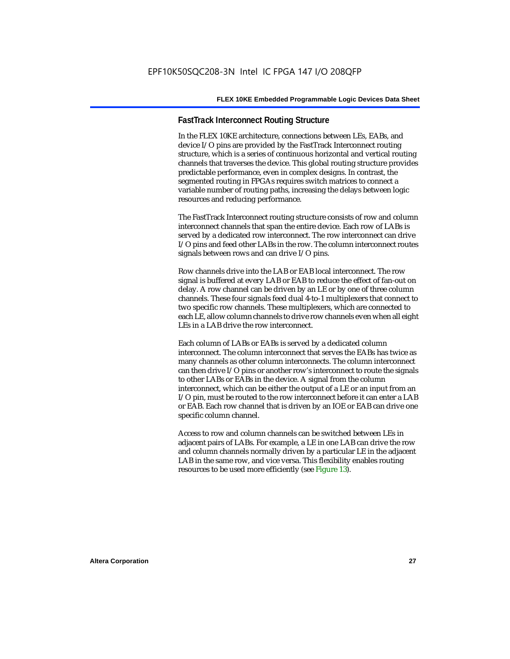#### **FastTrack Interconnect Routing Structure**

In the FLEX 10KE architecture, connections between LEs, EABs, and device I/O pins are provided by the FastTrack Interconnect routing structure, which is a series of continuous horizontal and vertical routing channels that traverses the device. This global routing structure provides predictable performance, even in complex designs. In contrast, the segmented routing in FPGAs requires switch matrices to connect a variable number of routing paths, increasing the delays between logic resources and reducing performance.

The FastTrack Interconnect routing structure consists of row and column interconnect channels that span the entire device. Each row of LABs is served by a dedicated row interconnect. The row interconnect can drive I/O pins and feed other LABs in the row. The column interconnect routes signals between rows and can drive I/O pins.

Row channels drive into the LAB or EAB local interconnect. The row signal is buffered at every LAB or EAB to reduce the effect of fan-out on delay. A row channel can be driven by an LE or by one of three column channels. These four signals feed dual 4-to-1 multiplexers that connect to two specific row channels. These multiplexers, which are connected to each LE, allow column channels to drive row channels even when all eight LEs in a LAB drive the row interconnect.

Each column of LABs or EABs is served by a dedicated column interconnect. The column interconnect that serves the EABs has twice as many channels as other column interconnects. The column interconnect can then drive I/O pins or another row's interconnect to route the signals to other LABs or EABs in the device. A signal from the column interconnect, which can be either the output of a LE or an input from an I/O pin, must be routed to the row interconnect before it can enter a LAB or EAB. Each row channel that is driven by an IOE or EAB can drive one specific column channel.

Access to row and column channels can be switched between LEs in adjacent pairs of LABs. For example, a LE in one LAB can drive the row and column channels normally driven by a particular LE in the adjacent LAB in the same row, and vice versa. This flexibility enables routing resources to be used more efficiently (see Figure 13).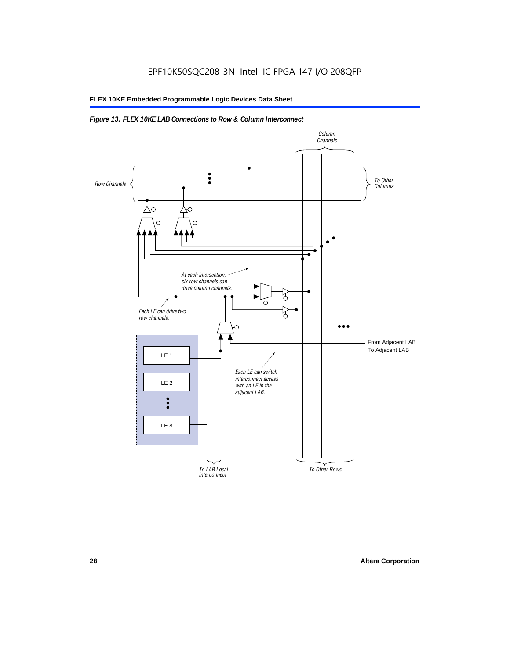#### *Figure 13. FLEX 10KE LAB Connections to Row & Column Interconnect*

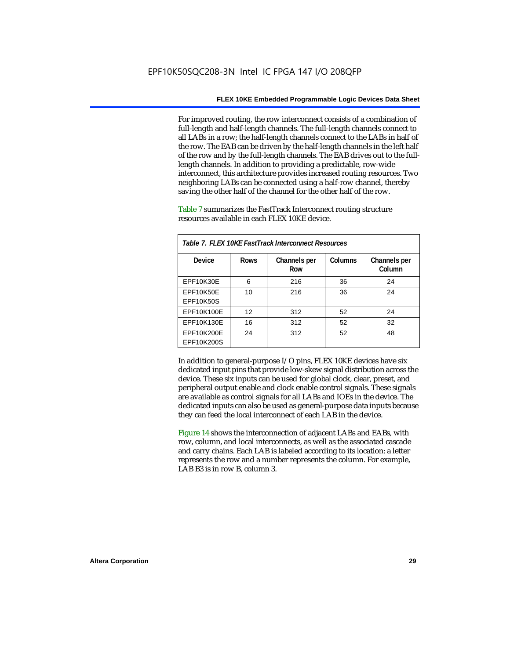For improved routing, the row interconnect consists of a combination of full-length and half-length channels. The full-length channels connect to all LABs in a row; the half-length channels connect to the LABs in half of the row. The EAB can be driven by the half-length channels in the left half of the row and by the full-length channels. The EAB drives out to the fulllength channels. In addition to providing a predictable, row-wide interconnect, this architecture provides increased routing resources. Two neighboring LABs can be connected using a half-row channel, thereby saving the other half of the channel for the other half of the row.

Table 7 summarizes the FastTrack Interconnect routing structure resources available in each FLEX 10KE device.

| Table 7. FLEX 10KE FastTrack Interconnect Resources |             |                     |         |                        |
|-----------------------------------------------------|-------------|---------------------|---------|------------------------|
| Device                                              | <b>Rows</b> | Channels per<br>Row | Columns | Channels per<br>Column |
| <b>EPF10K30E</b>                                    | 6           | 216                 | 36      | 24                     |
| EPF10K50E<br>EPF10K50S                              | 10          | 216                 | 36      | 24                     |
| EPF10K100E                                          | 12          | 312                 | 52      | 24                     |
| EPF10K130E                                          | 16          | 312                 | 52      | 32                     |
| EPF10K200E<br>EPF10K200S                            | 24          | 312                 | 52      | 48                     |

In addition to general-purpose I/O pins, FLEX 10KE devices have six dedicated input pins that provide low-skew signal distribution across the device. These six inputs can be used for global clock, clear, preset, and peripheral output enable and clock enable control signals. These signals are available as control signals for all LABs and IOEs in the device. The dedicated inputs can also be used as general-purpose data inputs because they can feed the local interconnect of each LAB in the device.

Figure 14 shows the interconnection of adjacent LABs and EABs, with row, column, and local interconnects, as well as the associated cascade and carry chains. Each LAB is labeled according to its location: a letter represents the row and a number represents the column. For example, LAB B3 is in row B, column 3.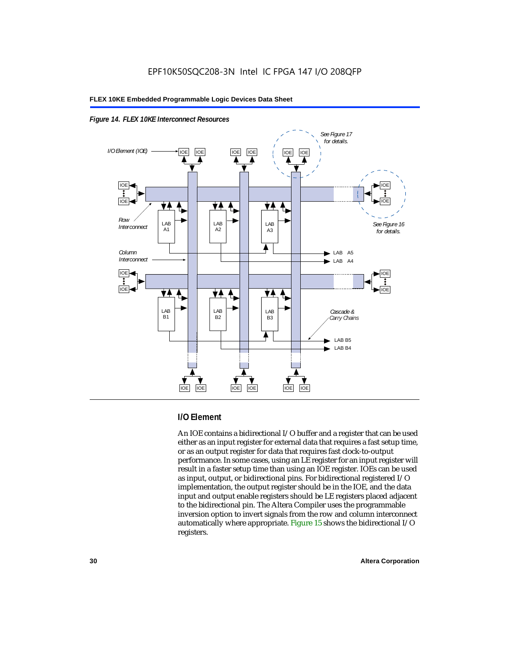



#### **I/O Element**

An IOE contains a bidirectional I/O buffer and a register that can be used either as an input register for external data that requires a fast setup time, or as an output register for data that requires fast clock-to-output performance. In some cases, using an LE register for an input register will result in a faster setup time than using an IOE register. IOEs can be used as input, output, or bidirectional pins. For bidirectional registered I/O implementation, the output register should be in the IOE, and the data input and output enable registers should be LE registers placed adjacent to the bidirectional pin. The Altera Compiler uses the programmable inversion option to invert signals from the row and column interconnect automatically where appropriate. Figure 15 shows the bidirectional I/O registers.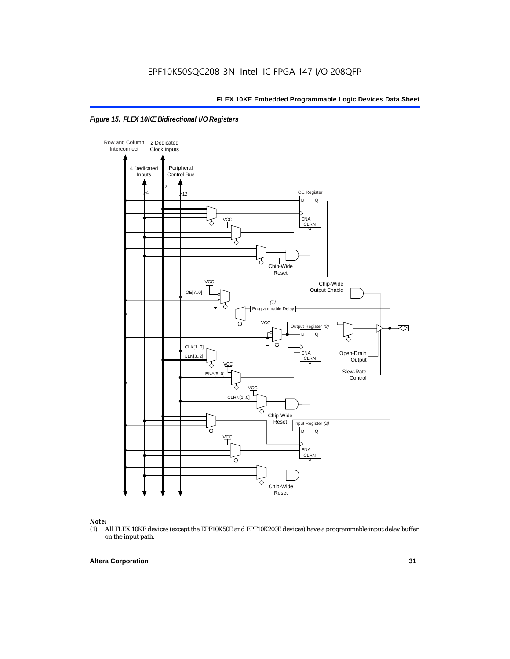



### *Note:*<br>(1) *A*

(1) All FLEX 10KE devices (except the EPF10K50E and EPF10K200E devices) have a programmable input delay buffer on the input path.

#### **Altera Corporation 31**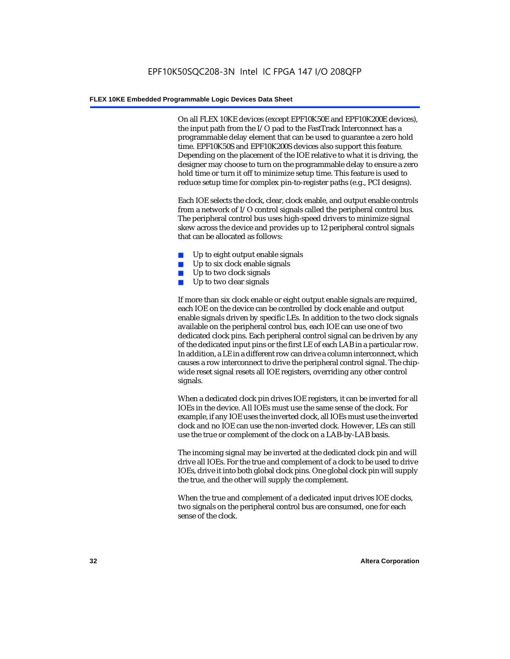On all FLEX 10KE devices (except EPF10K50E and EPF10K200E devices), the input path from the I/O pad to the FastTrack Interconnect has a programmable delay element that can be used to guarantee a zero hold time. EPF10K50S and EPF10K200S devices also support this feature. Depending on the placement of the IOE relative to what it is driving, the designer may choose to turn on the programmable delay to ensure a zero hold time or turn it off to minimize setup time. This feature is used to reduce setup time for complex pin-to-register paths (e.g., PCI designs).

Each IOE selects the clock, clear, clock enable, and output enable controls from a network of I/O control signals called the peripheral control bus. The peripheral control bus uses high-speed drivers to minimize signal skew across the device and provides up to 12 peripheral control signals that can be allocated as follows:

- Up to eight output enable signals
- Up to six clock enable signals
- Up to two clock signals
- Up to two clear signals

If more than six clock enable or eight output enable signals are required, each IOE on the device can be controlled by clock enable and output enable signals driven by specific LEs. In addition to the two clock signals available on the peripheral control bus, each IOE can use one of two dedicated clock pins. Each peripheral control signal can be driven by any of the dedicated input pins or the first LE of each LAB in a particular row. In addition, a LE in a different row can drive a column interconnect, which causes a row interconnect to drive the peripheral control signal. The chipwide reset signal resets all IOE registers, overriding any other control signals.

When a dedicated clock pin drives IOE registers, it can be inverted for all IOEs in the device. All IOEs must use the same sense of the clock. For example, if any IOE uses the inverted clock, all IOEs must use the inverted clock and no IOE can use the non-inverted clock. However, LEs can still use the true or complement of the clock on a LAB-by-LAB basis.

The incoming signal may be inverted at the dedicated clock pin and will drive all IOEs. For the true and complement of a clock to be used to drive IOEs, drive it into both global clock pins. One global clock pin will supply the true, and the other will supply the complement.

When the true and complement of a dedicated input drives IOE clocks, two signals on the peripheral control bus are consumed, one for each sense of the clock.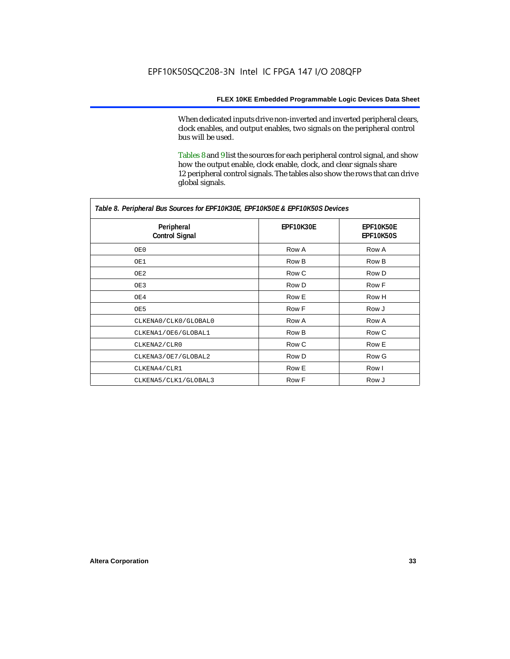When dedicated inputs drive non-inverted and inverted peripheral clears, clock enables, and output enables, two signals on the peripheral control bus will be used.

Tables 8 and 9 list the sources for each peripheral control signal, and show how the output enable, clock enable, clock, and clear signals share 12 peripheral control signals. The tables also show the rows that can drive global signals.

| Table 8. Peripheral Bus Sources for EPF10K30E, EPF10K50E & EPF10K50S Devices |                  |                               |  |  |
|------------------------------------------------------------------------------|------------------|-------------------------------|--|--|
| Peripheral<br><b>Control Signal</b>                                          | <b>EPF10K30E</b> | EPF10K50E<br><b>EPF10K50S</b> |  |  |
| OE0                                                                          | Row A            | Row A                         |  |  |
| OE1                                                                          | Row B            | Row B                         |  |  |
| OE2                                                                          | Row C            | Row D                         |  |  |
| OE3                                                                          | Row D            | Row F                         |  |  |
| OE4                                                                          | Row E            | Row H                         |  |  |
| OE5                                                                          | Row F            | Row J                         |  |  |
| CLKENA0/CLK0/GLOBAL0                                                         | Row A            | Row A                         |  |  |
| CLKENA1/OE6/GLOBAL1                                                          | Row B            | Row C                         |  |  |
| CLKENA2/CLR0                                                                 | Row C            | Row E                         |  |  |
| CLKENA3/OE7/GLOBAL2                                                          | Row D            | Row G                         |  |  |
| CLKENA4/CLR1                                                                 | Row E            | Row I                         |  |  |
| CLKENA5/CLK1/GLOBAL3                                                         | Row F            | Row J                         |  |  |

*Table 8. Peripheral Bus Sources for EPF10K30E, EPF10K50E & EPF10K50S Devices*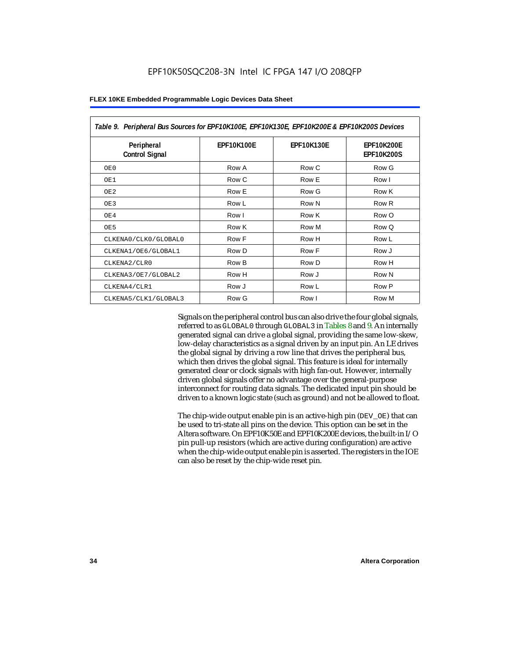| Table 9. Peripheral Bus Sources for EPF10K100E, EPF10K130E, EPF10K200E & EPF10K200S Devices |                   |                   |                                        |  |
|---------------------------------------------------------------------------------------------|-------------------|-------------------|----------------------------------------|--|
| Peripheral<br><b>Control Signal</b>                                                         | <b>EPF10K100E</b> | <b>EPF10K130E</b> | <b>EPF10K200E</b><br><b>EPF10K200S</b> |  |
| OE0                                                                                         | Row A             | Row C             | Row G                                  |  |
| OE1                                                                                         | Row C             | Row E             | Row I                                  |  |
| OE <sub>2</sub>                                                                             | Row E             | Row G             | Row K                                  |  |
| OE3                                                                                         | Row L             | Row N             | Row R                                  |  |
| OE4                                                                                         | Row I             | Row K             | Row O                                  |  |
| OE5                                                                                         | Row K             | Row M             | Row Q                                  |  |
| CLKENA0/CLK0/GLOBAL0                                                                        | Row F             | Row H             | Row L                                  |  |
| CLKENA1/OE6/GLOBAL1                                                                         | Row D             | Row F             | Row J                                  |  |
| CLKENA2/CLR0                                                                                | Row B             | Row D             | Row H                                  |  |
| CLKENA3/OE7/GLOBAL2                                                                         | Row H             | Row J             | Row N                                  |  |
| CLKENA4/CLR1                                                                                | Row J             | Row L             | Row P                                  |  |
| CLKENA5/CLK1/GLOBAL3                                                                        | Row G             | Row I             | Row M                                  |  |

Signals on the peripheral control bus can also drive the four global signals, referred to as GLOBAL0 through GLOBAL3 in Tables 8 and 9. An internally generated signal can drive a global signal, providing the same low-skew, low-delay characteristics as a signal driven by an input pin. An LE drives the global signal by driving a row line that drives the peripheral bus, which then drives the global signal. This feature is ideal for internally generated clear or clock signals with high fan-out. However, internally driven global signals offer no advantage over the general-purpose interconnect for routing data signals. The dedicated input pin should be driven to a known logic state (such as ground) and not be allowed to float.

The chip-wide output enable pin is an active-high pin (DEV\_OE) that can be used to tri-state all pins on the device. This option can be set in the Altera software. On EPF10K50E and EPF10K200E devices, the built-in I/O pin pull-up resistors (which are active during configuration) are active when the chip-wide output enable pin is asserted. The registers in the IOE can also be reset by the chip-wide reset pin.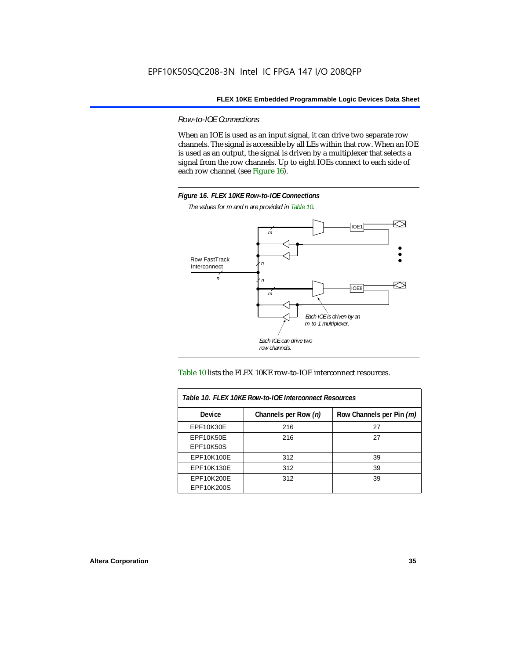*Row-to-IOE Connections*

When an IOE is used as an input signal, it can drive two separate row channels. The signal is accessible by all LEs within that row. When an IOE is used as an output, the signal is driven by a multiplexer that selects a signal from the row channels. Up to eight IOEs connect to each side of each row channel (see Figure 16).



*The values for m and n are provided in Table 10.*





| Table 10. FLEX 10KE Row-to-IOE Interconnect Resources |                      |                          |  |  |  |
|-------------------------------------------------------|----------------------|--------------------------|--|--|--|
| <b>Device</b>                                         | Channels per Row (n) | Row Channels per Pin (m) |  |  |  |
| <b>EPF10K30E</b>                                      | 216                  | 27                       |  |  |  |
| EPF10K50E                                             | 216                  | 27                       |  |  |  |
| <b>EPF10K50S</b>                                      |                      |                          |  |  |  |
| EPF10K100E                                            | 312                  | 39                       |  |  |  |
| EPF10K130E                                            | 312                  | 39                       |  |  |  |
| EPF10K200E<br>EPF10K200S                              | 312                  | 39                       |  |  |  |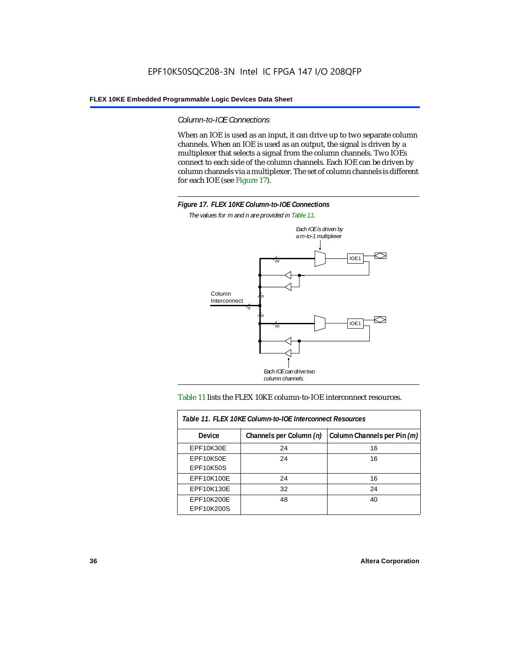*Column-to-IOE Connections*

When an IOE is used as an input, it can drive up to two separate column channels. When an IOE is used as an output, the signal is driven by a multiplexer that selects a signal from the column channels. Two IOEs connect to each side of the column channels. Each IOE can be driven by column channels via a multiplexer. The set of column channels is different for each IOE (see Figure 17).



*The values for m and n are provided in Table 11.*



### Table 11 lists the FLEX 10KE column-to-IOE interconnect resources.

| Table 11. FLEX 10KE Column-to-IOE Interconnect Resources |                         |                             |  |  |
|----------------------------------------------------------|-------------------------|-----------------------------|--|--|
| <b>Device</b>                                            | Channels per Column (n) | Column Channels per Pin (m) |  |  |
| EPF10K30E                                                | 24                      | 16                          |  |  |
| <b>EPF10K50E</b><br><b>EPF10K50S</b>                     | 24                      | 16                          |  |  |
| EPF10K100E                                               | 24                      | 16                          |  |  |
| EPF10K130E                                               | 32                      | 24                          |  |  |
| EPF10K200E<br>EPF10K200S                                 | 48                      | 40                          |  |  |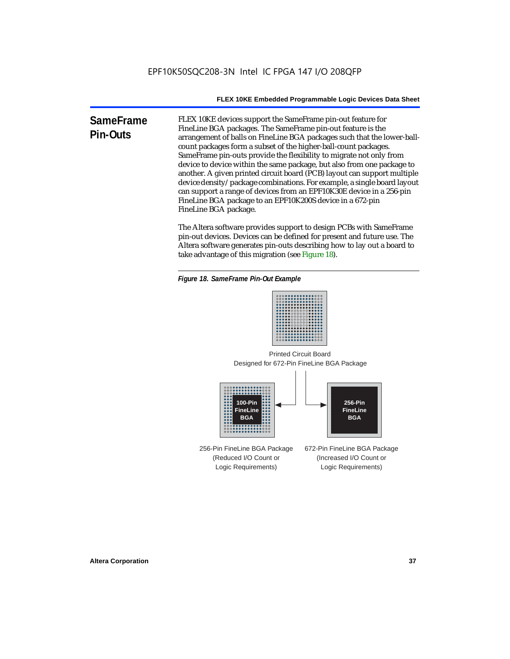**SameFrame Pin-Outs** FLEX 10KE devices support the SameFrame pin-out feature for FineLine BGA packages. The SameFrame pin-out feature is the arrangement of balls on FineLine BGA packages such that the lower-ballcount packages form a subset of the higher-ball-count packages. SameFrame pin-outs provide the flexibility to migrate not only from device to device within the same package, but also from one package to another. A given printed circuit board (PCB) layout can support multiple device density/package combinations. For example, a single board layout can support a range of devices from an EPF10K30E device in a 256-pin FineLine BGA package to an EPF10K200S device in a 672-pin FineLine BGA package.

> The Altera software provides support to design PCBs with SameFrame pin-out devices. Devices can be defined for present and future use. The Altera software generates pin-outs describing how to lay out a board to take advantage of this migration (see Figure 18).





Designed for 672-Pin FineLine BGA Package Printed Circuit Board



256-Pin FineLine BGA Package (Reduced I/O Count or Logic Requirements) 672-Pin FineLine BGA Package (Increased I/O Count or Logic Requirements)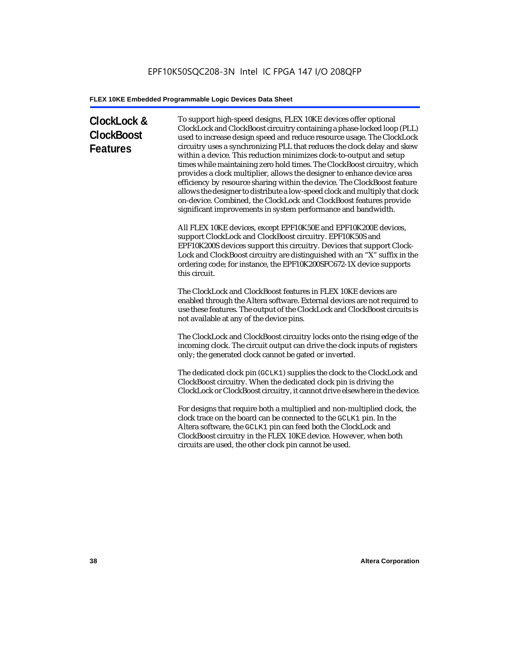# **ClockLock & ClockBoost Features**

To support high-speed designs, FLEX 10KE devices offer optional ClockLock and ClockBoost circuitry containing a phase-locked loop (PLL) used to increase design speed and reduce resource usage. The ClockLock circuitry uses a synchronizing PLL that reduces the clock delay and skew within a device. This reduction minimizes clock-to-output and setup times while maintaining zero hold times. The ClockBoost circuitry, which provides a clock multiplier, allows the designer to enhance device area efficiency by resource sharing within the device. The ClockBoost feature allows the designer to distribute a low-speed clock and multiply that clock on-device. Combined, the ClockLock and ClockBoost features provide significant improvements in system performance and bandwidth.

All FLEX 10KE devices, except EPF10K50E and EPF10K200E devices, support ClockLock and ClockBoost circuitry. EPF10K50S and EPF10K200S devices support this circuitry. Devices that support Clock-Lock and ClockBoost circuitry are distinguished with an "X" suffix in the ordering code; for instance, the EPF10K200SFC672-1X device supports this circuit.

The ClockLock and ClockBoost features in FLEX 10KE devices are enabled through the Altera software. External devices are not required to use these features. The output of the ClockLock and ClockBoost circuits is not available at any of the device pins.

The ClockLock and ClockBoost circuitry locks onto the rising edge of the incoming clock. The circuit output can drive the clock inputs of registers only; the generated clock cannot be gated or inverted.

The dedicated clock pin (GCLK1) supplies the clock to the ClockLock and ClockBoost circuitry. When the dedicated clock pin is driving the ClockLock or ClockBoost circuitry, it cannot drive elsewhere in the device.

For designs that require both a multiplied and non-multiplied clock, the clock trace on the board can be connected to the GCLK1 pin. In the Altera software, the GCLK1 pin can feed both the ClockLock and ClockBoost circuitry in the FLEX 10KE device. However, when both circuits are used, the other clock pin cannot be used.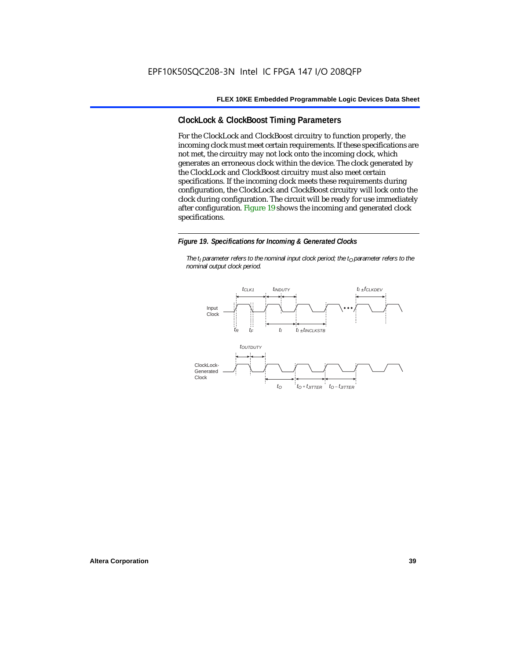# **ClockLock & ClockBoost Timing Parameters**

For the ClockLock and ClockBoost circuitry to function properly, the incoming clock must meet certain requirements. If these specifications are not met, the circuitry may not lock onto the incoming clock, which generates an erroneous clock within the device. The clock generated by the ClockLock and ClockBoost circuitry must also meet certain specifications. If the incoming clock meets these requirements during configuration, the ClockLock and ClockBoost circuitry will lock onto the clock during configuration. The circuit will be ready for use immediately after configuration. Figure 19 shows the incoming and generated clock specifications.

### *Figure 19. Specifications for Incoming & Generated Clocks*

*The t<sub>I</sub> parameter refers to the nominal input clock period; the t<sub>0</sub> parameter refers to the nominal output clock period.*

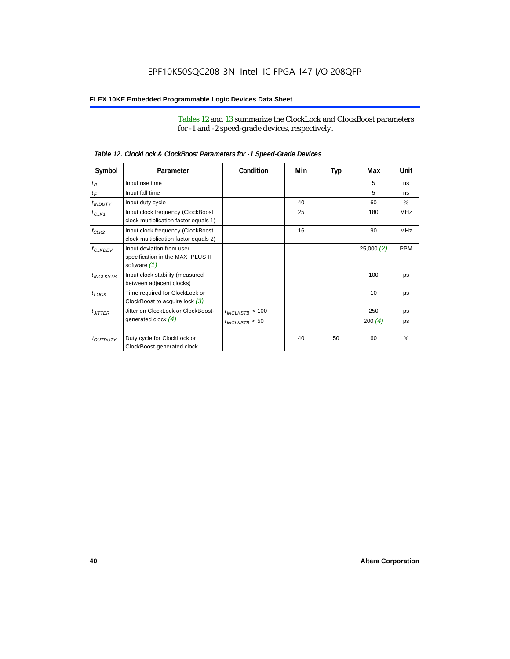Tables 12 and 13 summarize the ClockLock and ClockBoost parameters for -1 and -2 speed-grade devices, respectively.

| Table 12. ClockLock & ClockBoost Parameters for -1 Speed-Grade Devices |                                                                               |                      |     |     |                 |               |
|------------------------------------------------------------------------|-------------------------------------------------------------------------------|----------------------|-----|-----|-----------------|---------------|
| Symbol                                                                 | Parameter                                                                     | Condition            | Min | Typ | Max             | Unit          |
| $t_R$                                                                  | Input rise time                                                               |                      |     |     | 5               | ns            |
| $t_F$                                                                  | Input fall time                                                               |                      |     |     | 5               | ns            |
| $t$ <sub>INDUTY</sub>                                                  | Input duty cycle                                                              |                      | 40  |     | 60              | $\frac{9}{6}$ |
| $f_{CLK1}$                                                             | Input clock frequency (ClockBoost<br>clock multiplication factor equals 1)    |                      | 25  |     | 180             | <b>MHz</b>    |
| $f_{CLK2}$                                                             | Input clock frequency (ClockBoost<br>clock multiplication factor equals 2)    |                      | 16  |     | 90              | <b>MHz</b>    |
| $f_{CLKDEV}$                                                           | Input deviation from user<br>specification in the MAX+PLUS II<br>software (1) |                      |     |     | 25,000(2)       | <b>PPM</b>    |
| $t_{INCIKSTB}$                                                         | Input clock stability (measured<br>between adjacent clocks)                   |                      |     |     | 100             | ps            |
| $t_{LOCK}$                                                             | Time required for ClockLock or<br>ClockBoost to acquire lock $(3)$            |                      |     |     | 10 <sup>1</sup> | μs            |
| $t_{JITTER}$                                                           | Jitter on ClockLock or ClockBoost-                                            | $t_{INCLKSTB} < 100$ |     |     | 250             | ps            |
|                                                                        | generated clock $(4)$                                                         | $t_{INCLEKSTB}$ < 50 |     |     | 200(4)          | ps            |
| <i>toutbuty</i>                                                        | Duty cycle for ClockLock or<br>ClockBoost-generated clock                     |                      | 40  | 50  | 60              | $\frac{9}{6}$ |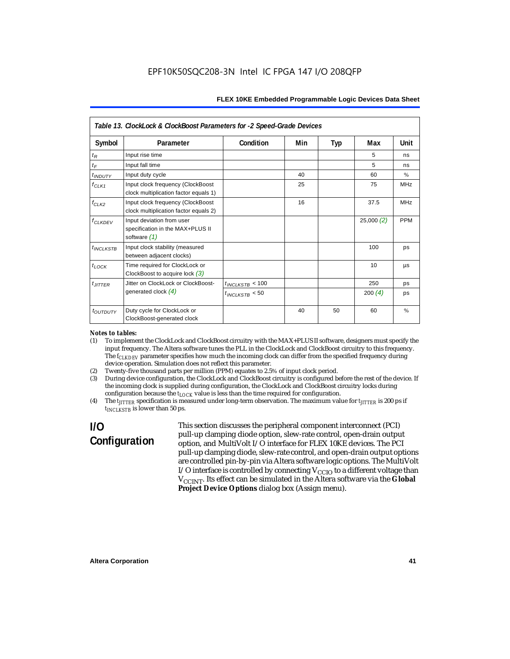| Table 13. ClockLock & ClockBoost Parameters for -2 Speed-Grade Devices |                                                                                 |                      |     |     |           |            |
|------------------------------------------------------------------------|---------------------------------------------------------------------------------|----------------------|-----|-----|-----------|------------|
| Symbol                                                                 | Parameter                                                                       | Condition            | Min | Typ | Max       | Unit       |
| $t_{R}$                                                                | Input rise time                                                                 |                      |     |     | 5         | ns         |
| $t_F$                                                                  | Input fall time                                                                 |                      |     |     | 5         | ns         |
| <i>t</i> <sub>INDUTY</sub>                                             | Input duty cycle                                                                |                      | 40  |     | 60        | $\%$       |
| $f_{CLK1}$                                                             | Input clock frequency (ClockBoost<br>clock multiplication factor equals 1)      |                      | 25  |     | 75        | <b>MHz</b> |
| $f_{CLK2}$                                                             | Input clock frequency (ClockBoost<br>clock multiplication factor equals 2)      |                      | 16  |     | 37.5      | <b>MHz</b> |
| $f_{CLKDEV}$                                                           | Input deviation from user<br>specification in the MAX+PLUS II<br>software $(1)$ |                      |     |     | 25,000(2) | <b>PPM</b> |
| $t_{INCLKSTB}$                                                         | Input clock stability (measured<br>between adjacent clocks)                     |                      |     |     | 100       | ps         |
| $t_{LOCK}$                                                             | Time required for ClockLock or<br>ClockBoost to acquire lock $(3)$              |                      |     |     | 10        | μs         |
| $t_{JITTER}$                                                           | Jitter on ClockLock or ClockBoost-                                              | $t_{INCLKSTB}$ < 100 |     |     | 250       | ps         |
|                                                                        | generated clock $(4)$                                                           | $t_{INCLKSTB}$ < 50  |     |     | 200 $(4)$ | ps         |
| toutputy                                                               | Duty cycle for ClockLock or<br>ClockBoost-generated clock                       |                      | 40  | 50  | 60        | $\%$       |

### *Notes to tables:*

- (1) To implement the ClockLock and ClockBoost circuitry with the MAX+PLUS II software, designers must specify the input frequency. The Altera software tunes the PLL in the ClockLock and ClockBoost circuitry to this frequency. The *f<sub>CLKDEV</sub>* parameter specifies how much the incoming clock can differ from the specified frequency during device operation. Simulation does not reflect this parameter.
- (2) Twenty-five thousand parts per million (PPM) equates to 2.5% of input clock period.<br>(3) During device configuration, the ClockLock and ClockBoost circuitry is configured b
- (3) During device configuration, the ClockLock and ClockBoost circuitry is configured before the rest of the device. If the incoming clock is supplied during configuration, the ClockLock and ClockBoost circuitry locks during configuration because the  $t_{LOCK}$  value is less than the time required for configuration.
- (4) The *tJITTER* specification is measured under long-term observation. The maximum value for *tJITTER* is 200 ps if  $t_{INCI KSTB}$  is lower than 50 ps.

# **I/O Configuration**

This section discusses the peripheral component interconnect (PCI) pull-up clamping diode option, slew-rate control, open-drain output option, and MultiVolt I/O interface for FLEX 10KE devices. The PCI pull-up clamping diode, slew-rate control, and open-drain output options are controlled pin-by-pin via Altera software logic options. The MultiVolt I/O interface is controlled by connecting  $V_{CCIO}$  to a different voltage than V<sub>CCINT</sub>. Its effect can be simulated in the Altera software via the Global **Project Device Options** dialog box (Assign menu).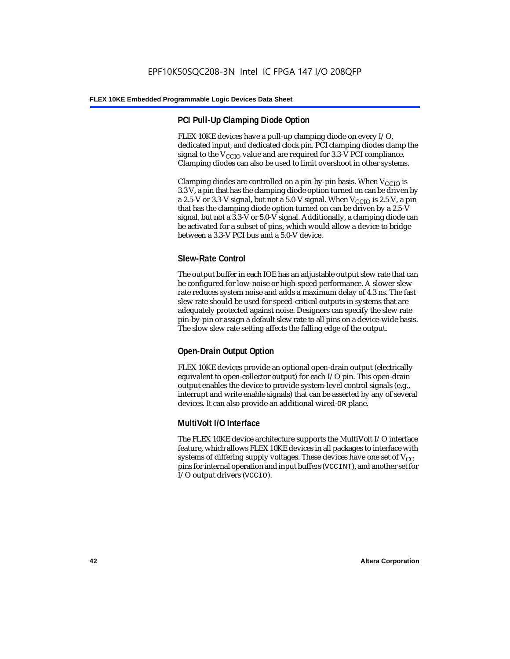# **PCI Pull-Up Clamping Diode Option**

FLEX 10KE devices have a pull-up clamping diode on every I/O, dedicated input, and dedicated clock pin. PCI clamping diodes clamp the signal to the  $V_{\text{CCIO}}$  value and are required for 3.3-V PCI compliance. Clamping diodes can also be used to limit overshoot in other systems.

Clamping diodes are controlled on a pin-by-pin basis. When  $V_{CCIO}$  is 3.3 V, a pin that has the clamping diode option turned on can be driven by a 2.5-V or 3.3-V signal, but not a 5.0-V signal. When  $V_{CCIO}$  is 2.5 V, a pin that has the clamping diode option turned on can be driven by a 2.5-V signal, but not a 3.3-V or 5.0-V signal. Additionally, a clamping diode can be activated for a subset of pins, which would allow a device to bridge between a 3.3-V PCI bus and a 5.0-V device.

# **Slew-Rate Control**

The output buffer in each IOE has an adjustable output slew rate that can be configured for low-noise or high-speed performance. A slower slew rate reduces system noise and adds a maximum delay of 4.3 ns. The fast slew rate should be used for speed-critical outputs in systems that are adequately protected against noise. Designers can specify the slew rate pin-by-pin or assign a default slew rate to all pins on a device-wide basis. The slow slew rate setting affects the falling edge of the output.

# **Open-Drain Output Option**

FLEX 10KE devices provide an optional open-drain output (electrically equivalent to open-collector output) for each I/O pin. This open-drain output enables the device to provide system-level control signals (e.g., interrupt and write enable signals) that can be asserted by any of several devices. It can also provide an additional wired-OR plane.

# **MultiVolt I/O Interface**

The FLEX 10KE device architecture supports the MultiVolt I/O interface feature, which allows FLEX 10KE devices in all packages to interface with systems of differing supply voltages. These devices have one set of  $V_{CC}$ pins for internal operation and input buffers (VCCINT), and another set for I/O output drivers (VCCIO).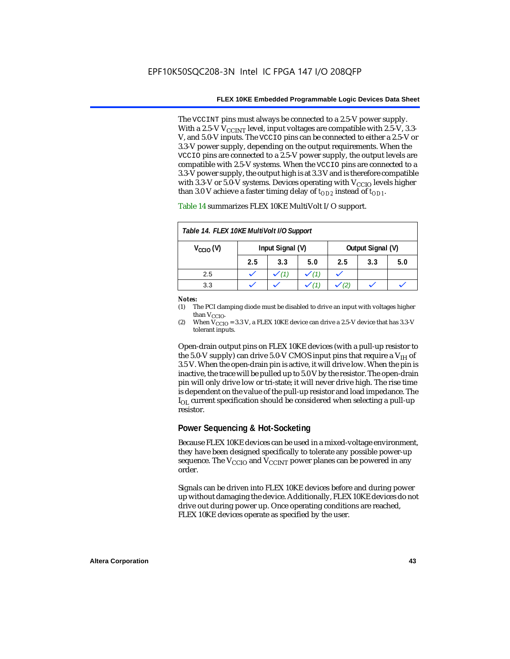The VCCINT pins must always be connected to a 2.5-V power supply. With a 2.5-V  $V_{CCMT}$  level, input voltages are compatible with 2.5-V, 3.3-V, and 5.0-V inputs. The VCCIO pins can be connected to either a 2.5-V or 3.3-V power supply, depending on the output requirements. When the VCCIO pins are connected to a 2.5-V power supply, the output levels are compatible with 2.5-V systems. When the VCCIO pins are connected to a 3.3-V power supply, the output high is at 3.3 V and is therefore compatible with 3.3-V or 5.0-V systems. Devices operating with  $V_{CCIO}$  levels higher than 3.0 V achieve a faster timing delay of  $t_{OD2}$  instead of  $t_{OD1}$ .

| Table 14. FLEX 10KE MultiVolt I/O Support |                                       |     |     |     |     |     |
|-------------------------------------------|---------------------------------------|-----|-----|-----|-----|-----|
| $V_{\text{CCIO}}(V)$                      | Input Signal (V)<br>Output Signal (V) |     |     |     |     |     |
|                                           | 2.5                                   | 3.3 | 5.0 | 2.5 | 3.3 | 5.0 |
| 2.5                                       |                                       |     |     |     |     |     |
| 3.3                                       |                                       |     |     |     |     |     |

Table 14 summarizes FLEX 10KE MultiVolt I/O support.

### *Notes:*

(1) The PCI clamping diode must be disabled to drive an input with voltages higher than  $V_{CCIO}$ .

(2) When  $V_{\text{CCIO}} = 3.3$  V, a FLEX 10KE device can drive a 2.5-V device that has 3.3-V tolerant inputs.

Open-drain output pins on FLEX 10KE devices (with a pull-up resistor to the 5.0-V supply) can drive 5.0-V CMOS input pins that require a  $V_{\text{H}}$  of 3.5 V. When the open-drain pin is active, it will drive low. When the pin is inactive, the trace will be pulled up to 5.0 V by the resistor. The open-drain pin will only drive low or tri-state; it will never drive high. The rise time is dependent on the value of the pull-up resistor and load impedance. The  $I_{\text{OL}}$  current specification should be considered when selecting a pull-up resistor.

### **Power Sequencing & Hot-Socketing**

Because FLEX 10KE devices can be used in a mixed-voltage environment, they have been designed specifically to tolerate any possible power-up sequence. The  $V_{\text{CCIO}}$  and  $V_{\text{CCINT}}$  power planes can be powered in any order.

Signals can be driven into FLEX 10KE devices before and during power up without damaging the device. Additionally, FLEX 10KE devices do not drive out during power up. Once operating conditions are reached, FLEX 10KE devices operate as specified by the user.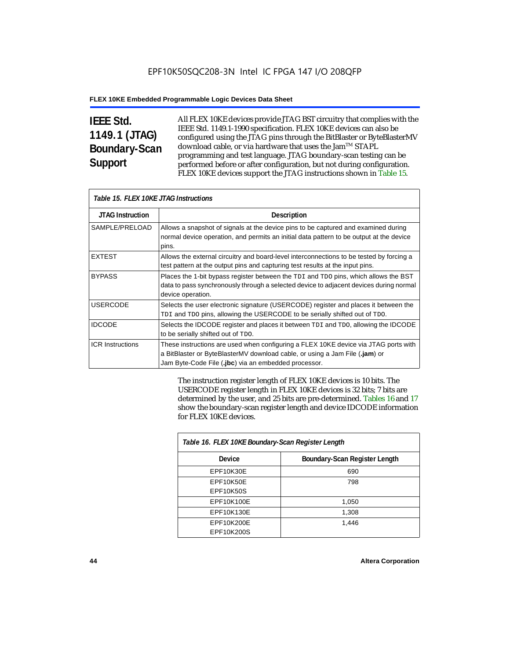# **IEEE Std. 1149.1 (JTAG) Boundary-Scan Support**

Г

All FLEX 10KE devices provide JTAG BST circuitry that complies with the IEEE Std. 1149.1-1990 specification. FLEX 10KE devices can also be configured using the JTAG pins through the BitBlaster or ByteBlasterMV download cable, or via hardware that uses the Jam™ STAPL programming and test language. JTAG boundary-scan testing can be performed before or after configuration, but not during configuration. FLEX 10KE devices support the JTAG instructions shown in Table 15.

| Table 15. FLEX 10KE JTAG Instructions |                                                                                                                                                                                                                            |  |  |  |
|---------------------------------------|----------------------------------------------------------------------------------------------------------------------------------------------------------------------------------------------------------------------------|--|--|--|
| <b>JTAG Instruction</b>               | <b>Description</b>                                                                                                                                                                                                         |  |  |  |
| SAMPLE/PRELOAD                        | Allows a snapshot of signals at the device pins to be captured and examined during<br>normal device operation, and permits an initial data pattern to be output at the device<br>pins.                                     |  |  |  |
| <b>EXTEST</b>                         | Allows the external circuitry and board-level interconnections to be tested by forcing a<br>test pattern at the output pins and capturing test results at the input pins.                                                  |  |  |  |
| <b>BYPASS</b>                         | Places the 1-bit bypass register between the TDI and TDO pins, which allows the BST<br>data to pass synchronously through a selected device to adjacent devices during normal<br>device operation.                         |  |  |  |
| <b>USERCODE</b>                       | Selects the user electronic signature (USERCODE) register and places it between the<br>TDI and TDO pins, allowing the USERCODE to be serially shifted out of TDO.                                                          |  |  |  |
| <b>IDCODE</b>                         | Selects the IDCODE register and places it between TDI and TDO, allowing the IDCODE<br>to be serially shifted out of TDO.                                                                                                   |  |  |  |
| <b>ICR Instructions</b>               | These instructions are used when configuring a FLEX 10KE device via JTAG ports with<br>a BitBlaster or ByteBlasterMV download cable, or using a Jam File (.jam) or<br>Jam Byte-Code File (.jbc) via an embedded processor. |  |  |  |

The instruction register length of FLEX 10KE devices is 10 bits. The USERCODE register length in FLEX 10KE devices is 32 bits; 7 bits are determined by the user, and 25 bits are pre-determined. Tables 16 and 17 show the boundary-scan register length and device IDCODE information for FLEX 10KE devices.

| Table 16. FLEX 10KE Boundary-Scan Register Length |                               |  |  |
|---------------------------------------------------|-------------------------------|--|--|
| Device                                            | Boundary-Scan Register Length |  |  |
| EPF10K30E                                         | 690                           |  |  |
| <b>EPF10K50E</b><br><b>EPF10K50S</b>              | 798                           |  |  |
| EPF10K100E                                        | 1,050                         |  |  |
| EPF10K130E                                        | 1,308                         |  |  |
| EPF10K200E<br>EPF10K200S                          | 1.446                         |  |  |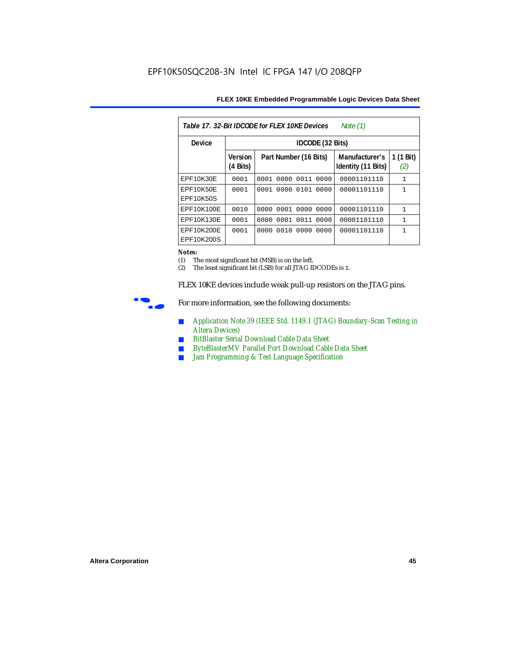| Table 17. 32-Bit IDCODE for FLEX 10KE Devices<br>Note (1) |                            |                              |                                      |                  |  |  |  |
|-----------------------------------------------------------|----------------------------|------------------------------|--------------------------------------|------------------|--|--|--|
| Device                                                    |                            | IDCODE (32 Bits)             |                                      |                  |  |  |  |
|                                                           | <b>Version</b><br>(4 Bits) | Part Number (16 Bits)        | Manufacturer's<br>Identity (11 Bits) | 1 (1 Bit)<br>(2) |  |  |  |
| EPF10K30E                                                 | 0001                       | 0000<br>0011<br>0001<br>0000 | 00001101110                          | 1                |  |  |  |
| EPF10K50E<br>EPF10K50S                                    | 0001                       | 0000<br>0101<br>0001<br>0000 | 00001101110                          | 1                |  |  |  |
| EPF10K100E                                                | 0010                       | 0001 0000<br>0000<br>0000    | 00001101110                          | $\mathbf{1}$     |  |  |  |
| EPF10K130E                                                | 0001                       | 0001<br>0011<br>0000<br>0000 | 00001101110                          | 1                |  |  |  |
| EPF10K200E<br>EPF10K200S                                  | 0001                       | 0010<br>0000<br>0000<br>0000 | 00001101110                          | 1                |  |  |  |

### *Notes:*

(1) The most significant bit (MSB) is on the left.

(2) The least significant bit (LSB) for all JTAG IDCODEs is 1.

FLEX 10KE devices include weak pull-up resistors on the JTAG pins.



For more information, see the following documents:

- *Application Note 39 (IEEE Std. 1149.1 (JTAG) Boundary-Scan Testing in Altera Devices)*
- *BitBlaster Serial Download Cable Data Sheet*
- *ByteBlasterMV Parallel Port Download Cable Data Sheet*
- *Jam Programming & Test Language Specification*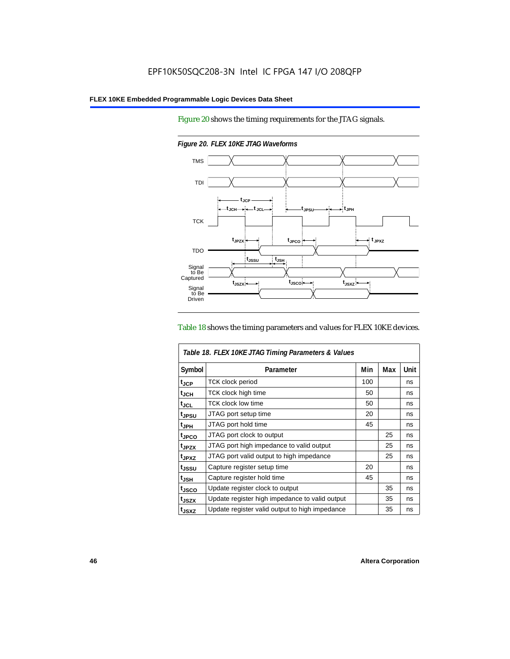Figure 20 shows the timing requirements for the JTAG signals.



*Figure 20. FLEX 10KE JTAG Waveforms*

### Table 18 shows the timing parameters and values for FLEX 10KE devices.

|                   | Table 18. FLEX 10KE JTAG Timing Parameters & Values |     |     |      |  |
|-------------------|-----------------------------------------------------|-----|-----|------|--|
| Symbol            | Parameter                                           | Min | Max | Unit |  |
| t <sub>JCP</sub>  | TCK clock period                                    | 100 |     | ns   |  |
| t <sub>JCH</sub>  | TCK clock high time                                 | 50  |     | ns   |  |
| $t_{JCL}$         | TCK clock low time                                  | 50  |     | ns   |  |
| t <sub>JPSU</sub> | JTAG port setup time                                | 20  |     | ns   |  |
| t <sub>JPH</sub>  | JTAG port hold time                                 | 45  |     | ns   |  |
| t <sub>JPCO</sub> | JTAG port clock to output                           |     | 25  | ns   |  |
| t <sub>JPZX</sub> | JTAG port high impedance to valid output            |     | 25  | ns   |  |
| t <sub>JPXZ</sub> | JTAG port valid output to high impedance            |     | 25  | ns   |  |
| tjssu             | Capture register setup time                         | 20  |     | ns   |  |
| $t_{\sf JSH}$     | Capture register hold time                          | 45  |     | ns   |  |
| tjsco             | Update register clock to output                     |     | 35  | ns   |  |
| t <sub>JSZX</sub> | Update register high impedance to valid output      |     | 35  | ns   |  |
| t <sub>JSXZ</sub> | Update register valid output to high impedance      |     | 35  | ns   |  |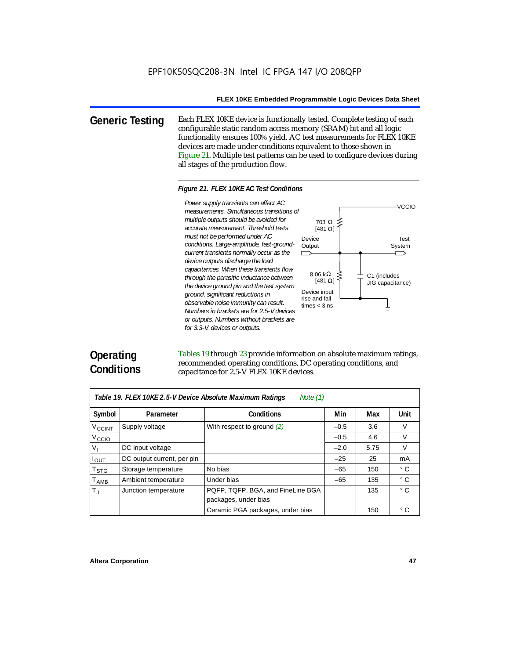**Generic Testing** Each FLEX 10KE device is functionally tested. Complete testing of each configurable static random access memory (SRAM) bit and all logic functionality ensures 100% yield. AC test measurements for FLEX 10KE devices are made under conditions equivalent to those shown in Figure 21. Multiple test patterns can be used to configure devices during all stages of the production flow.

### *Figure 21. FLEX 10KE AC Test Conditions*

Power supply transients can affect AC *Power supply transients can affect AC measurements. Simultaneous transitions of multiple outputs should be avoided for accurate measurement. Threshold tests must not be performed under AC conditions. Large-amplitude, fast-groundcurrent transients normally occur as the*   $\Box$ *device outputs discharge the load capacitances. When these transients flow through the parasitic inductance between the device ground pin and the test system ground, significant reductions in observable noise immunity can result. Numbers in brackets are for 2.5-V devices or outputs. Numbers without brackets are for 3.3-V. devices or outputs.*



# **Operating Conditions**

Tables 19 through 23 provide information on absolute maximum ratings, recommended operating conditions, DC operating conditions, and capacitance for 2.5-V FLEX 10KE devices.

| Table 19. FLEX 10KE 2.5-V Device Absolute Maximum Ratings<br>Note $(1)$ |                            |                                   |        |      |              |  |
|-------------------------------------------------------------------------|----------------------------|-----------------------------------|--------|------|--------------|--|
| Symbol                                                                  | Parameter                  | <b>Conditions</b>                 | Min    | Max  | <b>Unit</b>  |  |
| V <sub>CCINT</sub>                                                      | Supply voltage             | With respect to ground $(2)$      | $-0.5$ | 3.6  | $\vee$       |  |
| V <sub>CCIO</sub>                                                       |                            |                                   | $-0.5$ | 4.6  | V            |  |
| $V_{\parallel}$                                                         | DC input voltage           |                                   | $-2.0$ | 5.75 | $\vee$       |  |
| $I_{OUT}$                                                               | DC output current, per pin |                                   | $-25$  | 25   | mA           |  |
| $\mathsf{T}_{\textsf{STG}}$                                             | Storage temperature        | No bias                           | $-65$  | 150  | $^{\circ}$ C |  |
| $T_{AMB}$                                                               | Ambient temperature        | Under bias                        | $-65$  | 135  | $^{\circ}$ C |  |
| $T_{\rm J}$                                                             | Junction temperature       | PQFP, TQFP, BGA, and FineLine BGA |        | 135  | $^{\circ}$ C |  |
|                                                                         |                            | packages, under bias              |        |      |              |  |
|                                                                         |                            | Ceramic PGA packages, under bias  |        | 150  | $^{\circ}$ C |  |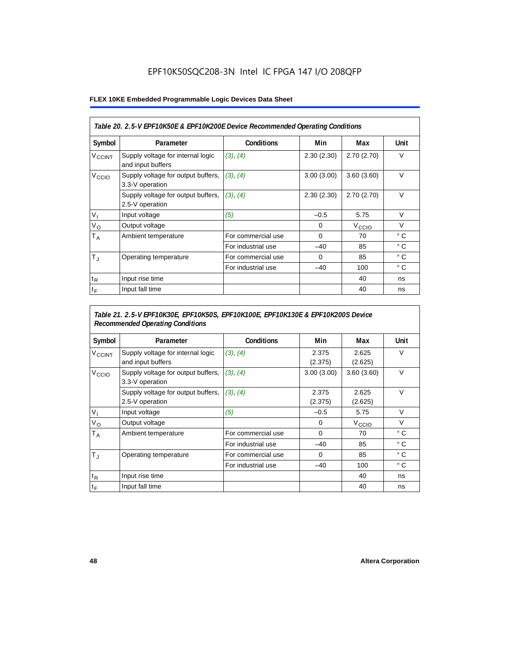# EPF10K50SQC208-3N Intel IC FPGA 147 I/O 208QFP

### **FLEX 10KE Embedded Programmable Logic Devices Data Sheet**

| Table 20. 2.5-V EPF10K50E & EPF10K200E Device Recommended Operating Conditions |                                                        |                    |            |                   |              |  |
|--------------------------------------------------------------------------------|--------------------------------------------------------|--------------------|------------|-------------------|--------------|--|
| Symbol                                                                         | Parameter                                              | <b>Conditions</b>  | Min        | Max               | Unit         |  |
| <b>V<sub>CCINT</sub></b>                                                       | Supply voltage for internal logic<br>and input buffers | (3), (4)           | 2.30(2.30) | 2.70(2.70)        | $\vee$       |  |
| V <sub>CCIO</sub>                                                              | Supply voltage for output buffers,<br>3.3-V operation  | (3), (4)           | 3.00(3.00) | 3.60(3.60)        | $\vee$       |  |
|                                                                                | Supply voltage for output buffers,<br>2.5-V operation  | (3), (4)           | 2.30(2.30) | 2.70(2.70)        | $\vee$       |  |
| $V_{1}$                                                                        | Input voltage                                          | (5)                | $-0.5$     | 5.75              | $\vee$       |  |
| $V_{\rm O}$                                                                    | Output voltage                                         |                    | 0          | V <sub>CCIO</sub> | $\vee$       |  |
| $T_A$                                                                          | Ambient temperature                                    | For commercial use | $\Omega$   | 70                | ° C          |  |
|                                                                                |                                                        | For industrial use | $-40$      | 85                | $^{\circ}$ C |  |
| $T_{\rm J}$                                                                    | Operating temperature                                  | For commercial use | $\Omega$   | 85                | °C           |  |
|                                                                                |                                                        | For industrial use | $-40$      | 100               | ° C          |  |
| $t_{R}$                                                                        | Input rise time                                        |                    |            | 40                | ns           |  |
| $t_F$                                                                          | Input fall time                                        |                    |            | 40                | ns           |  |

## *Table 21. 2.5-V EPF10K30E, EPF10K50S, EPF10K100E, EPF10K130E & EPF10K200S Device Recommended Operating Conditions*

| Symbol                   | Parameter                                              | <b>Conditions</b>  | Min              | Max               | Unit         |
|--------------------------|--------------------------------------------------------|--------------------|------------------|-------------------|--------------|
| <b>V<sub>CCINT</sub></b> | Supply voltage for internal logic<br>and input buffers | (3), (4)           | 2.375<br>(2.375) | 2.625<br>(2.625)  | $\vee$       |
| V <sub>CCIO</sub>        | Supply voltage for output buffers,<br>3.3-V operation  | (3), (4)           | 3.00(3.00)       | 3.60(3.60)        | $\vee$       |
|                          | Supply voltage for output buffers,<br>2.5-V operation  | (3), (4)           | 2.375<br>(2.375) | 2.625<br>(2.625)  | $\vee$       |
| $V_{1}$                  | Input voltage                                          | (5)                | $-0.5$           | 5.75              | $\vee$       |
| $V_{\rm O}$              | Output voltage                                         |                    | 0                | V <sub>CCIO</sub> | $\vee$       |
| $T_A$                    | Ambient temperature                                    | For commercial use | 0                | 70                | ° C          |
|                          |                                                        | For industrial use | $-40$            | 85                | $^{\circ}$ C |
| $T_{\rm J}$              | Operating temperature                                  | For commercial use | $\mathbf 0$      | 85                | °C           |
|                          |                                                        | For industrial use | $-40$            | 100               | $^{\circ}$ C |
| $t_{R}$                  | Input rise time                                        |                    |                  | 40                | ns           |
| $t_F$                    | Input fall time                                        |                    |                  | 40                | ns           |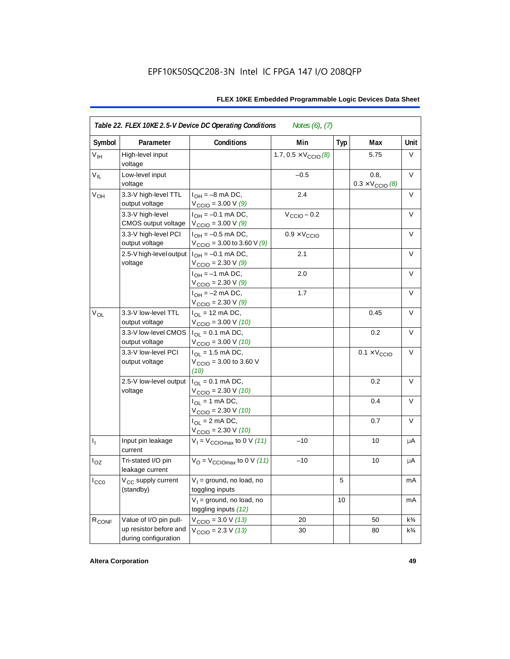| Symbol            | Parameter                                      | Conditions                                                                      | Min                                  | <b>Typ</b> | Max                                      | Unit           |
|-------------------|------------------------------------------------|---------------------------------------------------------------------------------|--------------------------------------|------------|------------------------------------------|----------------|
| $V_{\text{IH}}$   | High-level input<br>voltage                    |                                                                                 | 1.7, $0.5 \times V_{\text{CCIO}}(8)$ |            | 5.75                                     | V              |
| $V_{IL}$          | Low-level input<br>voltage                     |                                                                                 | $-0.5$                               |            | 0.8,<br>$0.3 \times V_{\text{CCIO}}$ (8) | V              |
| V <sub>OH</sub>   | 3.3-V high-level TTL<br>output voltage         | $I_{OH} = -8$ mA DC,<br>$V_{\text{CCIO}} = 3.00 \text{ V } (9)$                 | 2.4                                  |            |                                          | V              |
|                   | 3.3-V high-level<br>CMOS output voltage        | $I_{OH} = -0.1$ mA DC,<br>$V_{\text{CCIO}} = 3.00 V (9)$                        | $V_{\text{CCIO}} - 0.2$              |            |                                          | V              |
|                   | 3.3-V high-level PCI<br>output voltage         | $I_{OH} = -0.5$ mA DC,<br>$V_{\text{CCIO}} = 3.00$ to 3.60 V (9)                | $0.9 \times V_{\text{CCIO}}$         |            |                                          | $\vee$         |
|                   | 2.5-V high-level output<br>voltage             | $I_{OH} = -0.1$ mA DC,<br>$V_{\text{CCIO}} = 2.30 \text{ V} (9)$                | 2.1                                  |            |                                          | V              |
|                   |                                                | $I_{OH} = -1$ mA DC,<br>$V_{\text{CCIO}} = 2.30 \text{ V} (9)$                  | 2.0                                  |            |                                          | V              |
|                   |                                                | $I_{OH} = -2$ mA DC,<br>$V_{\text{CCIO}} = 2.30 V (9)$                          | 1.7                                  |            |                                          | V              |
| $V_{OL}$          | 3.3-V low-level TTL<br>output voltage          | $I_{\text{OI}} = 12 \text{ mA DC}$ ,<br>$V_{\text{CCIO}} = 3.00 \text{ V} (10)$ |                                      |            | 0.45                                     | V              |
|                   | 3.3-V low-level CMOS<br>output voltage         | $I_{OL} = 0.1$ mA DC,<br>$V_{\text{CCIO}} = 3.00 V (10)$                        |                                      |            | 0.2                                      | V              |
|                   | 3.3-V low-level PCI<br>output voltage          | $I_{\Omega}$ = 1.5 mA DC,<br>$V_{\text{CGIO}} = 3.00$ to 3.60 V<br>(10)         |                                      |            | $0.1 \times V_{\text{CCIO}}$             | V              |
|                   | 2.5-V low-level output<br>voltage              | $I_{\Omega} = 0.1$ mA DC,<br>$V_{\text{CCIO}} = 2.30 \text{ V } (10)$           |                                      |            | 0.2                                      | $\vee$         |
|                   |                                                | $I_{OL}$ = 1 mA DC,<br>$V_{\text{CCIO}} = 2.30 V (10)$                          |                                      |            | 0.4                                      | V              |
|                   |                                                | $I_{OL}$ = 2 mA DC,<br>$V_{\text{CCIO}} = 2.30 V (10)$                          |                                      |            | 0.7                                      | $\vee$         |
| $I_1$             | Input pin leakage<br>current                   | $V_1 = V_{\text{CCIOMax}}$ to 0 V (11)                                          | $-10$                                |            | 10                                       | μA             |
| $I_{OZ}$          | Tri-stated I/O pin<br>leakage current          | $V_O = V_{CCIOMax}$ to 0 V (11)                                                 | $-10$                                |            | 10                                       | μA             |
| $I_{CC0}$         | V <sub>CC</sub> supply current<br>(standby)    | $V_1$ = ground, no load, no<br>toggling inputs                                  |                                      | 5          |                                          | mA             |
|                   |                                                | $V_1$ = ground, no load, no<br>toggling inputs (12)                             |                                      | 10         |                                          | mA             |
| R <sub>CONF</sub> | Value of I/O pin pull-                         | $V_{\text{CCIO}} = 3.0 V (13)$                                                  | 20                                   |            | 50                                       | $k\frac{3}{4}$ |
|                   | up resistor before and<br>during configuration | $V_{\text{CCIO}} = 2.3 V (13)$                                                  | 30                                   |            | 80                                       | $k\frac{3}{4}$ |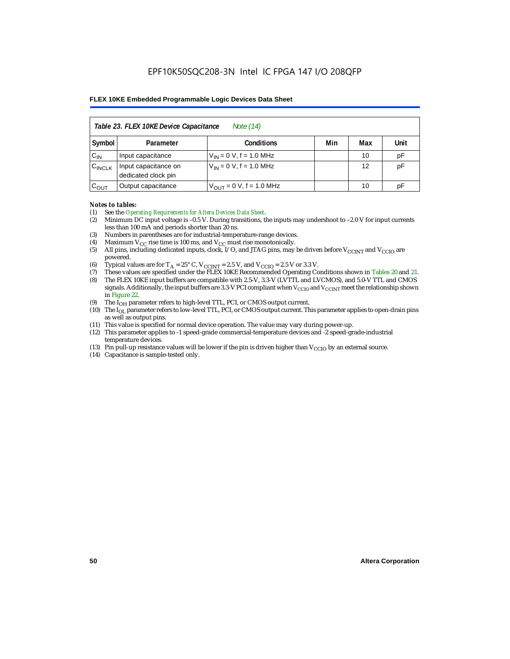| Table 23. FLEX 10KE Device Capacitance<br>Note (14) |                                                      |                               |  |    |    |  |  |  |
|-----------------------------------------------------|------------------------------------------------------|-------------------------------|--|----|----|--|--|--|
| Symbol                                              | Min<br>Unit<br><b>Conditions</b><br>Max<br>Parameter |                               |  |    |    |  |  |  |
| $C_{IN}$                                            | Input capacitance                                    | $V_{IN} = 0 V$ , f = 1.0 MHz  |  | 10 | pF |  |  |  |
| $C_{\text{INCLK}}$                                  | Input capacitance on<br>dedicated clock pin          | $V_{IN} = 0 V$ , f = 1.0 MHz  |  | 12 | pF |  |  |  |
| $C_{OUT}$                                           | Output capacitance                                   | $V_{OUT} = 0 V$ , f = 1.0 MHz |  | 10 | рF |  |  |  |

### *Notes to tables:*

- (1) See the *Operating Requirements for Altera Devices Data Sheet*.
- (2) Minimum DC input voltage is –0.5 V. During transitions, the inputs may undershoot to –2.0 V for input currents less than 100 mA and periods shorter than 20 ns.
- (3) Numbers in parentheses are for industrial-temperature-range devices.
- (4) Maximum  $V_{CC}$  rise time is 100 ms, and  $V_{CC}$  must rise monotonically.<br>(5) All pins, including dedicated inputs, clock, I/O, and JTAG pins, may
- All pins, including dedicated inputs, clock, I/O, and JTAG pins, may be driven before  $V_{CCTNT}$  and  $V_{CCTO}$  are powered.
- (6) Typical values are for  $T_A = 25^\circ$  C,  $V_{CClNT} = 2.5$  V, and  $V_{CClO} = 2.5$  V or 3.3 V.<br>(7) These values are specified under the FLEX 10KE Recommended Operating Co
- (7) These values are specified under the FLEX 10KE Recommended Operating Conditions shown in Tables 20 and 21.<br>(8) The FLEX 10KE input buffers are compatible with 2.5-V. 3.3-V (LVTTL and LVCMOS), and 5.0-V TTL and CMOS (8) The FLEX 10KE input buffers are compatible with 2.5-V, 3.3-V (LVTTL and LVCMOS), and 5.0-V TTL and CMOS
- signals. Additionally, the input buffers are 3.3-V PCI compliant when  $V_{\rm CCD}$  and  $V_{\rm CCINT}$  meet the relationship shown in Figure 22.
- (9) The  $I<sub>OH</sub>$  parameter refers to high-level TTL, PCI, or CMOS output current.
- (10) The IOL parameter refers to low-level TTL, PCI, or CMOS output current. This parameter applies to open-drain pins as well as output pins.
- (11) This value is specified for normal device operation. The value may vary during power-up.
- (12) This parameter applies to -1 speed-grade commercial-temperature devices and -2 speed-grade-industrial temperature devices.
- (13) Pin pull-up resistance values will be lower if the pin is driven higher than  $V_{CCIO}$  by an external source.
- (14) Capacitance is sample-tested only.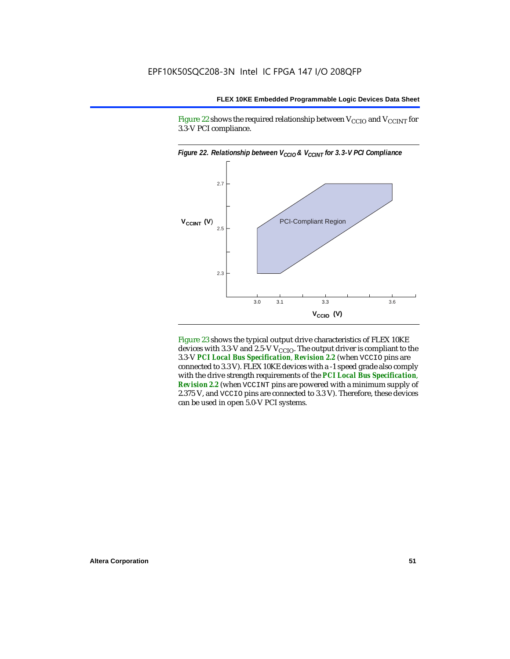Figure 22 shows the required relationship between  $V_{\text{CCIO}}$  and  $V_{\text{CCINT}}$  for 3.3-V PCI compliance.



Figure 23 shows the typical output drive characteristics of FLEX 10KE devices with 3.3-V and 2.5-V  $V_{\text{CCIO}}$ . The output driver is compliant to the 3.3-V *PCI Local Bus Specification*, *Revision 2.2* (when VCCIO pins are connected to 3.3 V). FLEX 10KE devices with a -1 speed grade also comply with the drive strength requirements of the *PCI Local Bus Specification*, *Revision 2.2* (when VCCINT pins are powered with a minimum supply of 2.375 V, and VCCIO pins are connected to 3.3 V). Therefore, these devices can be used in open 5.0-V PCI systems.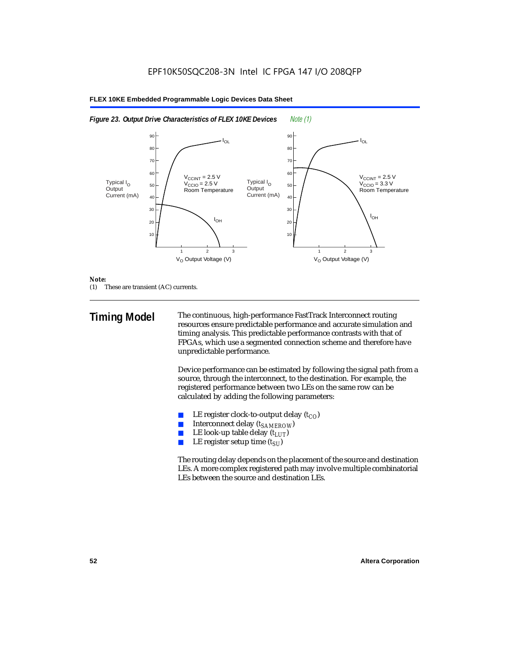



### *Note:*

(1) These are transient (AC) currents.

**Timing Model** The continuous, high-performance FastTrack Interconnect routing resources ensure predictable performance and accurate simulation and timing analysis. This predictable performance contrasts with that of FPGAs, which use a segmented connection scheme and therefore have unpredictable performance.

> Device performance can be estimated by following the signal path from a source, through the interconnect, to the destination. For example, the registered performance between two LEs on the same row can be calculated by adding the following parameters:

- LE register clock-to-output delay  $(t_{CO})$
- **■** Interconnect delay  $(t_{SAMEROW})$ <br> **■** I.E look-up table delay  $(t_{LUT})$
- LE look-up table delay  $(t_{LUT})$
- LE register setup time  $(t_{SI})$

The routing delay depends on the placement of the source and destination LEs. A more complex registered path may involve multiple combinatorial LEs between the source and destination LEs.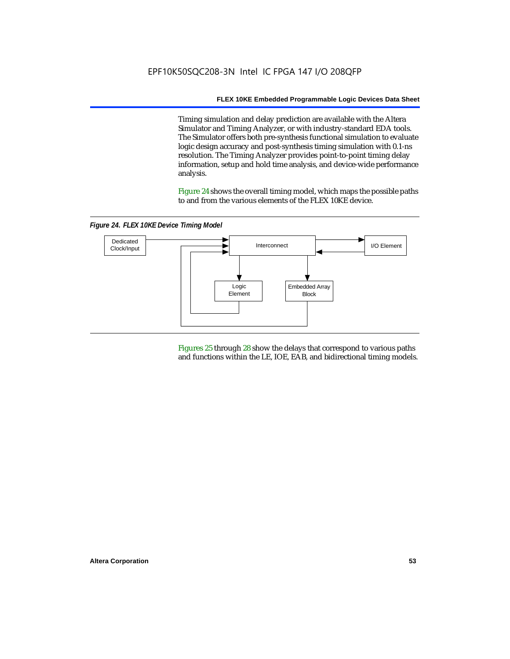Timing simulation and delay prediction are available with the Altera Simulator and Timing Analyzer, or with industry-standard EDA tools. The Simulator offers both pre-synthesis functional simulation to evaluate logic design accuracy and post-synthesis timing simulation with 0.1-ns resolution. The Timing Analyzer provides point-to-point timing delay information, setup and hold time analysis, and device-wide performance analysis.

Figure 24 shows the overall timing model, which maps the possible paths to and from the various elements of the FLEX 10KE device.

*Figure 24. FLEX 10KE Device Timing Model*



Figures 25 through 28 show the delays that correspond to various paths and functions within the LE, IOE, EAB, and bidirectional timing models.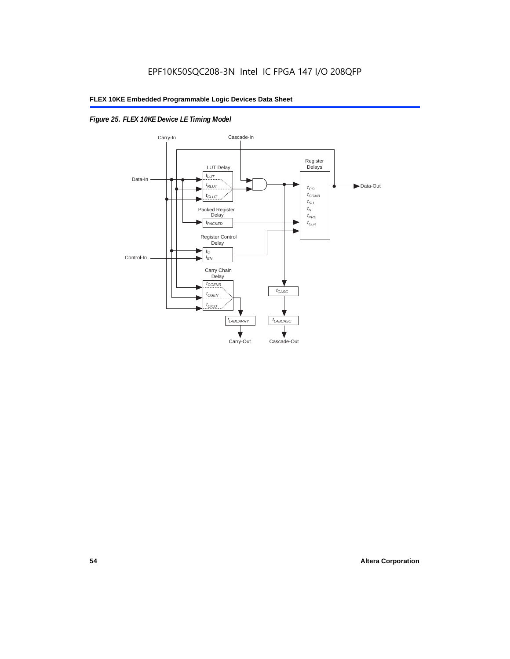# *Figure 25. FLEX 10KE Device LE Timing Model*

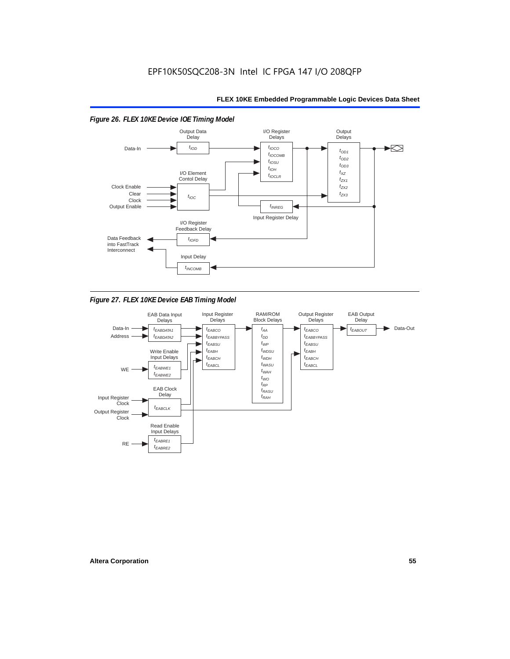### *Figure 26. FLEX 10KE Device IOE Timing Model* Output Data I/O Register **Output Delays Delay Delays**  $t_{\text{IOD}}$  $t_{IOCO}$  $\blacktriangleright$ Data-In  $t_{OD1}$  $t_{IOCOMB}$  $t_{OD2}$  $t_{IOSU}$  $t_{OD3}$  $t_{IOH}$ I/O Element  $t_{\chi z}$  $t_{IOCLR}$ Contol Delay  $t_{ZX1}$ Clock Enable  $t_{ZX2}$ Clear  $t_{7X3}$  $t_{IOC}$ Clock Output Enable  $t_{INREG}$ Input Register Delay I/O Register Feedback Delay Data Feedback  $t_{IOFD}$ into FastTrack Interconnect Input Delay  $t_{INCOMB}$

*Figure 27. FLEX 10KE Device EAB Timing Model*

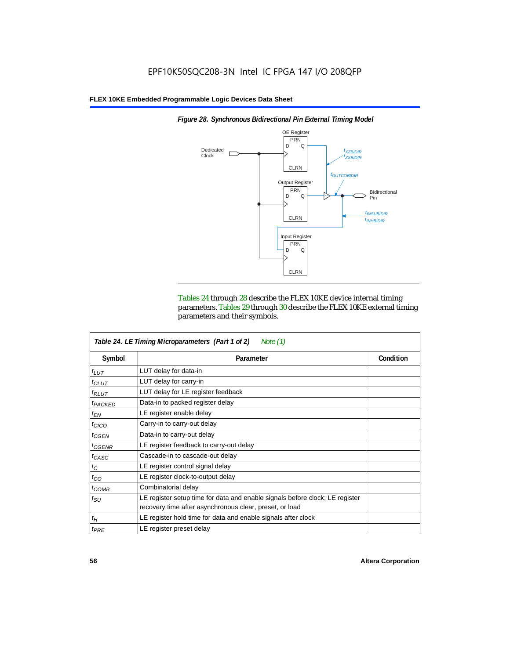

*Figure 28. Synchronous Bidirectional Pin External Timing Model*

Tables 24 through 28 describe the FLEX 10KE device internal timing parameters. Tables 29 through 30 describe the FLEX 10KE external timing parameters and their symbols.

| Table 24. LE Timing Microparameters (Part 1 of 2)<br>Note $(1)$ |                                                                                                                                         |           |  |  |  |  |
|-----------------------------------------------------------------|-----------------------------------------------------------------------------------------------------------------------------------------|-----------|--|--|--|--|
| Symbol                                                          | Parameter                                                                                                                               | Condition |  |  |  |  |
| $t_{LUT}$                                                       | LUT delay for data-in                                                                                                                   |           |  |  |  |  |
| $t_{CLUT}$                                                      | LUT delay for carry-in                                                                                                                  |           |  |  |  |  |
| $t_{RLUT}$                                                      | LUT delay for LE register feedback                                                                                                      |           |  |  |  |  |
| <sup>t</sup> PACKED                                             | Data-in to packed register delay                                                                                                        |           |  |  |  |  |
| $t_{EN}$                                                        | LE register enable delay                                                                                                                |           |  |  |  |  |
| $t_{CICO}$                                                      | Carry-in to carry-out delay                                                                                                             |           |  |  |  |  |
| $t_{GEN}$                                                       | Data-in to carry-out delay                                                                                                              |           |  |  |  |  |
| ${}^t$ CGENR                                                    | LE register feedback to carry-out delay                                                                                                 |           |  |  |  |  |
| $t_{CASC}$                                                      | Cascade-in to cascade-out delay                                                                                                         |           |  |  |  |  |
| $t_C$                                                           | LE register control signal delay                                                                                                        |           |  |  |  |  |
| $t_{CO}$                                                        | LE register clock-to-output delay                                                                                                       |           |  |  |  |  |
| $t_{COMB}$                                                      | Combinatorial delay                                                                                                                     |           |  |  |  |  |
| $t_{\rm SU}$                                                    | LE register setup time for data and enable signals before clock; LE register<br>recovery time after asynchronous clear, preset, or load |           |  |  |  |  |
| $t_H$                                                           | LE register hold time for data and enable signals after clock                                                                           |           |  |  |  |  |
| $t_{PRE}$                                                       | LE register preset delay                                                                                                                |           |  |  |  |  |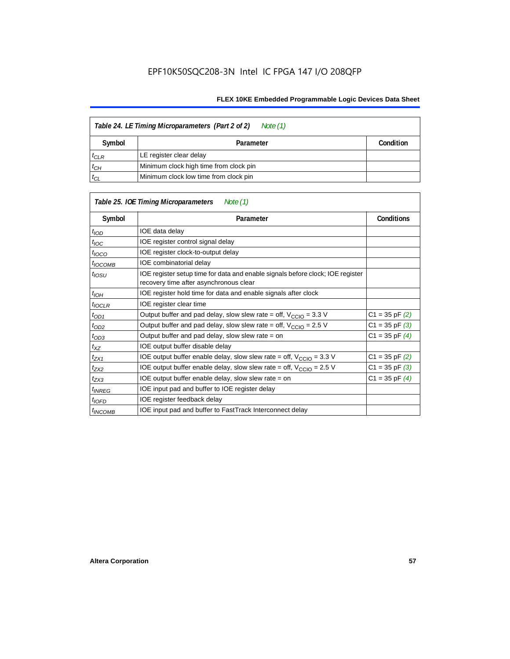| Table 24. LE Timing Microparameters (Part 2 of 2)<br>Note (1) |                                        |  |  |  |  |
|---------------------------------------------------------------|----------------------------------------|--|--|--|--|
| Symbol                                                        | Condition<br>Parameter                 |  |  |  |  |
| $t_{CLR}$                                                     | LE register clear delay                |  |  |  |  |
| $t_{CH}$                                                      | Minimum clock high time from clock pin |  |  |  |  |
| $t_{CL}$                                                      | Minimum clock low time from clock pin  |  |  |  |  |

| Table 25. IOE Timing Microparameters<br>Note (1) |                                                                                                                          |                    |  |  |  |  |
|--------------------------------------------------|--------------------------------------------------------------------------------------------------------------------------|--------------------|--|--|--|--|
| Symbol                                           | Parameter                                                                                                                | <b>Conditions</b>  |  |  |  |  |
| $t_{\mathit{IOD}}$                               | IOE data delay                                                                                                           |                    |  |  |  |  |
| $t_{\text{IOC}}$                                 | IOE register control signal delay                                                                                        |                    |  |  |  |  |
| $t_{\text{IOCO}}$                                | IOE register clock-to-output delay                                                                                       |                    |  |  |  |  |
| $t_{\text{IOCOMB}}$                              | IOE combinatorial delay                                                                                                  |                    |  |  |  |  |
| t <sub>iosu</sub>                                | IOE register setup time for data and enable signals before clock; IOE register<br>recovery time after asynchronous clear |                    |  |  |  |  |
| $t_{IOH}$                                        | IOE register hold time for data and enable signals after clock                                                           |                    |  |  |  |  |
| $t_{IOCLR}$                                      | IOE register clear time                                                                                                  |                    |  |  |  |  |
| $t_{OD1}$                                        | Output buffer and pad delay, slow slew rate = off, $V_{\text{CCIO}} = 3.3 \text{ V}$                                     | $C1 = 35$ pF $(2)$ |  |  |  |  |
| $t_{OD2}$                                        | Output buffer and pad delay, slow slew rate = off, $V_{\text{CCIO}} = 2.5$ V                                             | $C1 = 35$ pF $(3)$ |  |  |  |  |
| $t_{OD3}$                                        | Output buffer and pad delay, slow slew rate $=$ on                                                                       | $C1 = 35$ pF $(4)$ |  |  |  |  |
| $t_{XZ}$                                         | IOE output buffer disable delay                                                                                          |                    |  |  |  |  |
| $t_{ZX1}$                                        | IOE output buffer enable delay, slow slew rate = off, $V_{\text{CCIO}} = 3.3$ V                                          | $C1 = 35$ pF $(2)$ |  |  |  |  |
| t <sub>ZX2</sub>                                 | IOE output buffer enable delay, slow slew rate = off, $V_{\text{CCIO}} = 2.5 V$                                          | $C1 = 35$ pF $(3)$ |  |  |  |  |
| $t_{ZX3}$                                        | IOE output buffer enable delay, slow slew rate $=$ on                                                                    | $C1 = 35$ pF $(4)$ |  |  |  |  |
| <sup>t</sup> INREG                               | IOE input pad and buffer to IOE register delay                                                                           |                    |  |  |  |  |
| $t_{IOFD}$                                       | IOE register feedback delay                                                                                              |                    |  |  |  |  |
| <sup>t</sup> INCOMB                              | IOE input pad and buffer to FastTrack Interconnect delay                                                                 |                    |  |  |  |  |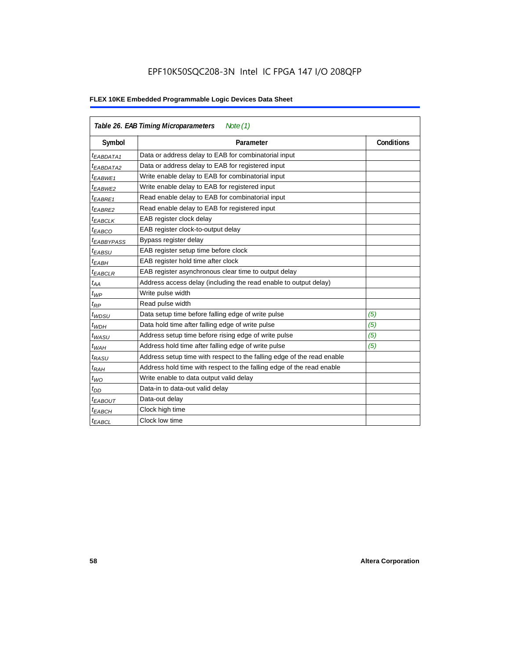# EPF10K50SQC208-3N Intel IC FPGA 147 I/O 208QFP

| Table 26. EAB Timing Microparameters<br>Note $(1)$ |                                                                        |                   |  |  |  |  |
|----------------------------------------------------|------------------------------------------------------------------------|-------------------|--|--|--|--|
| Symbol                                             | Parameter                                                              | <b>Conditions</b> |  |  |  |  |
| $t_{EABDATA1}$                                     | Data or address delay to EAB for combinatorial input                   |                   |  |  |  |  |
| <sup>t</sup> EABDATA2                              | Data or address delay to EAB for registered input                      |                   |  |  |  |  |
| t <sub>EABWE1</sub>                                | Write enable delay to EAB for combinatorial input                      |                   |  |  |  |  |
| t <sub>EABWE2</sub>                                | Write enable delay to EAB for registered input                         |                   |  |  |  |  |
| <sup>t</sup> EABRE1                                | Read enable delay to EAB for combinatorial input                       |                   |  |  |  |  |
| $t_{EABRE2}$                                       | Read enable delay to EAB for registered input                          |                   |  |  |  |  |
| $t_{EABCLK}$                                       | EAB register clock delay                                               |                   |  |  |  |  |
| $t_{EABCO}$                                        | EAB register clock-to-output delay                                     |                   |  |  |  |  |
| <sup>t</sup> EABBYPASS                             | Bypass register delay                                                  |                   |  |  |  |  |
| <sup>t</sup> EABSU                                 | EAB register setup time before clock                                   |                   |  |  |  |  |
| <sup>t</sup> EABH                                  | EAB register hold time after clock                                     |                   |  |  |  |  |
| <sup>t</sup> EABCLR                                | EAB register asynchronous clear time to output delay                   |                   |  |  |  |  |
| $t_{AA}$                                           | Address access delay (including the read enable to output delay)       |                   |  |  |  |  |
| $t_{WP}$                                           | Write pulse width                                                      |                   |  |  |  |  |
| $t_{RP}$                                           | Read pulse width                                                       |                   |  |  |  |  |
| $t_{WDSU}$                                         | Data setup time before falling edge of write pulse                     | (5)               |  |  |  |  |
| $t_{WDH}$                                          | Data hold time after falling edge of write pulse                       | (5)               |  |  |  |  |
| $t_{WASU}$                                         | Address setup time before rising edge of write pulse                   | (5)               |  |  |  |  |
| $t_{WAH}$                                          | Address hold time after falling edge of write pulse                    | (5)               |  |  |  |  |
| t <sub>RASU</sub>                                  | Address setup time with respect to the falling edge of the read enable |                   |  |  |  |  |
| $t_{RAH}$                                          | Address hold time with respect to the falling edge of the read enable  |                   |  |  |  |  |
| $t_{WO}$                                           | Write enable to data output valid delay                                |                   |  |  |  |  |
| $t_{DD}$                                           | Data-in to data-out valid delay                                        |                   |  |  |  |  |
| <sup>t</sup> EABOUT                                | Data-out delay                                                         |                   |  |  |  |  |
| <sup>t</sup> EABCH                                 | Clock high time                                                        |                   |  |  |  |  |
| <sup>t</sup> EABCL                                 | Clock low time                                                         |                   |  |  |  |  |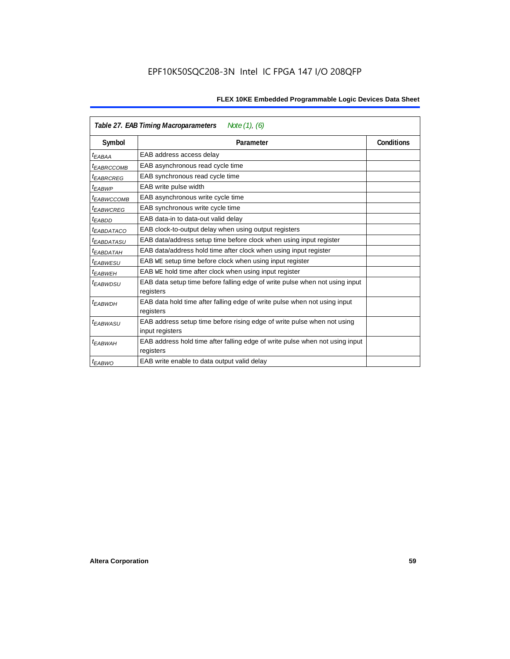| Table 27. EAB Timing Macroparameters<br>Note $(1)$ , $(6)$ |                                                                              |                   |  |  |  |  |
|------------------------------------------------------------|------------------------------------------------------------------------------|-------------------|--|--|--|--|
| Symbol                                                     | Parameter                                                                    | <b>Conditions</b> |  |  |  |  |
| t <sub>EABAA</sub>                                         | EAB address access delay                                                     |                   |  |  |  |  |
| <sup>I</sup> EABRCCOMB                                     | EAB asynchronous read cycle time                                             |                   |  |  |  |  |
| <sup>t</sup> EABRCREG                                      | EAB synchronous read cycle time                                              |                   |  |  |  |  |
| <sup>t</sup> EABWP                                         | EAB write pulse width                                                        |                   |  |  |  |  |
| <sup>t</sup> ЕАВWССОМВ                                     | EAB asynchronous write cycle time                                            |                   |  |  |  |  |
| <sup>t</sup> EABWCREG                                      | EAB synchronous write cycle time                                             |                   |  |  |  |  |
| <sup>t</sup> EABDD                                         | EAB data-in to data-out valid delay                                          |                   |  |  |  |  |
| <sup>t</sup> EABDATACO                                     | EAB clock-to-output delay when using output registers                        |                   |  |  |  |  |
| <sup>I</sup> EABDATASU                                     | EAB data/address setup time before clock when using input register           |                   |  |  |  |  |
| <sup>I</sup> EABDATAH                                      | EAB data/address hold time after clock when using input register             |                   |  |  |  |  |
| <sup>t</sup> EABWESU                                       | EAB WE setup time before clock when using input register                     |                   |  |  |  |  |
| <sup>t</sup> EABWEH                                        | EAB WE hold time after clock when using input register                       |                   |  |  |  |  |
| <sup>t</sup> EABWDSU                                       | EAB data setup time before falling edge of write pulse when not using input  |                   |  |  |  |  |
|                                                            | registers                                                                    |                   |  |  |  |  |
| t <sub>EABWDH</sub>                                        | EAB data hold time after falling edge of write pulse when not using input    |                   |  |  |  |  |
|                                                            | registers                                                                    |                   |  |  |  |  |
| <sup>t</sup> EABWASU                                       | EAB address setup time before rising edge of write pulse when not using      |                   |  |  |  |  |
|                                                            | input registers                                                              |                   |  |  |  |  |
| t <sub>FARWAH</sub>                                        | EAB address hold time after falling edge of write pulse when not using input |                   |  |  |  |  |
|                                                            | registers                                                                    |                   |  |  |  |  |
| <sup>t</sup> EABWO                                         | EAB write enable to data output valid delay                                  |                   |  |  |  |  |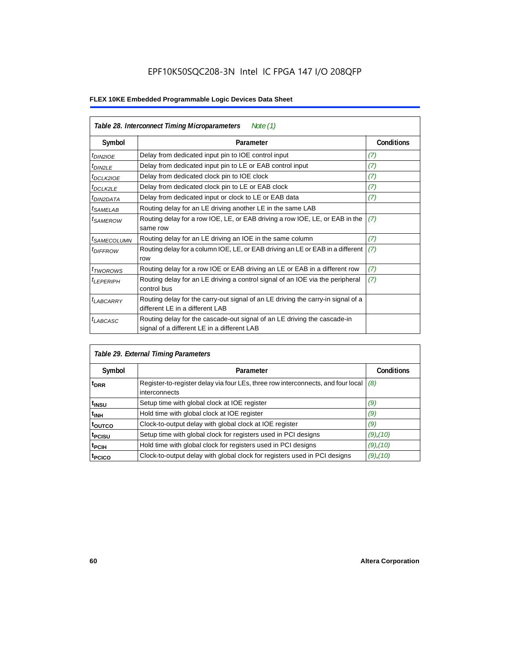# EPF10K50SQC208-3N Intel IC FPGA 147 I/O 208QFP

| Table 28. Interconnect Timing Microparameters<br>Note $(1)$ |                                                                                                                         |                   |  |  |  |  |
|-------------------------------------------------------------|-------------------------------------------------------------------------------------------------------------------------|-------------------|--|--|--|--|
| Symbol                                                      | Parameter                                                                                                               | <b>Conditions</b> |  |  |  |  |
| $tD$ IN2IOE                                                 | Delay from dedicated input pin to IOE control input                                                                     | (7)               |  |  |  |  |
| $t_{DIN2LE}$                                                | Delay from dedicated input pin to LE or EAB control input                                                               | (7)               |  |  |  |  |
| t <sub>DCLK2IOE</sub>                                       | Delay from dedicated clock pin to IOE clock                                                                             | (7)               |  |  |  |  |
| $t_{DCLK2LE}$                                               | Delay from dedicated clock pin to LE or EAB clock                                                                       | (7)               |  |  |  |  |
| <sup>t</sup> DIN2DATA                                       | Delay from dedicated input or clock to LE or EAB data                                                                   | (7)               |  |  |  |  |
| <sup>t</sup> SAMELAB                                        | Routing delay for an LE driving another LE in the same LAB                                                              |                   |  |  |  |  |
| <i>t</i> SAMEROW                                            | Routing delay for a row IOE, LE, or EAB driving a row IOE, LE, or EAB in the<br>same row                                | (7)               |  |  |  |  |
| <sup>t</sup> SAMECOLUMN                                     | Routing delay for an LE driving an IOE in the same column                                                               | (7)               |  |  |  |  |
| <i>t<sub>DIFFROW</sub></i>                                  | Routing delay for a column IOE, LE, or EAB driving an LE or EAB in a different<br>row                                   | (7)               |  |  |  |  |
| <i>t</i> <sub>TWOROWS</sub>                                 | Routing delay for a row IOE or EAB driving an LE or EAB in a different row                                              | (7)               |  |  |  |  |
| <sup>t</sup> LEPERIPH                                       | Routing delay for an LE driving a control signal of an IOE via the peripheral<br>control bus                            | (7)               |  |  |  |  |
| t <sub>LABCARRY</sub>                                       | Routing delay for the carry-out signal of an LE driving the carry-in signal of a<br>different LE in a different LAB     |                   |  |  |  |  |
| $t_{LABCASC}$                                               | Routing delay for the cascade-out signal of an LE driving the cascade-in<br>signal of a different LE in a different LAB |                   |  |  |  |  |

| Table 29. External Timing Parameters |                                                                                                   |                   |  |  |  |  |  |
|--------------------------------------|---------------------------------------------------------------------------------------------------|-------------------|--|--|--|--|--|
| Symbol                               | Parameter                                                                                         | <b>Conditions</b> |  |  |  |  |  |
| <sup>t</sup> DRR                     | Register-to-register delay via four LEs, three row interconnects, and four local<br>interconnects | (8)               |  |  |  |  |  |
| t <sub>insu</sub>                    | Setup time with global clock at IOE register                                                      | (9)               |  |  |  |  |  |
| $t_{\rm INH}$                        | Hold time with global clock at IOE register                                                       | (9)               |  |  |  |  |  |
| toutco                               | Clock-to-output delay with global clock at IOE register                                           | (9)               |  |  |  |  |  |
| t <sub>PCISU</sub>                   | Setup time with global clock for registers used in PCI designs                                    | $(9)$ , $(10)$    |  |  |  |  |  |
| <sup>t</sup> PCIH                    | Hold time with global clock for registers used in PCI designs                                     | $(9)$ , $(10)$    |  |  |  |  |  |
| <sup>T</sup> PCICO                   | Clock-to-output delay with global clock for registers used in PCI designs                         | $(9)$ , $(10)$    |  |  |  |  |  |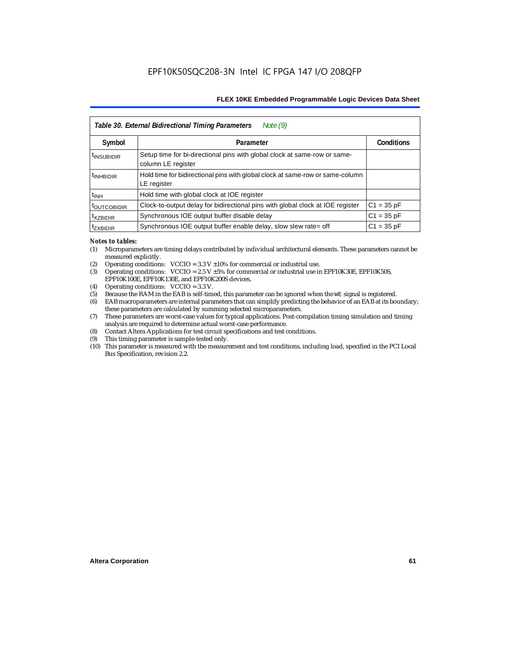| Table 30. External Bidirectional Timing Parameters<br>Note $(9)$ |                                                                                                 |                   |  |  |  |  |  |
|------------------------------------------------------------------|-------------------------------------------------------------------------------------------------|-------------------|--|--|--|--|--|
| Symbol                                                           | Parameter                                                                                       | <b>Conditions</b> |  |  |  |  |  |
| <sup>t</sup> INSUBIDIR                                           | Setup time for bi-directional pins with global clock at same-row or same-<br>column LE register |                   |  |  |  |  |  |
| <sup>t</sup> INHBIDIR                                            | Hold time for bidirectional pins with global clock at same-row or same-column<br>LE register    |                   |  |  |  |  |  |
| $t_{INH}$                                                        | Hold time with global clock at IOE register                                                     |                   |  |  |  |  |  |
| <b><i>LOUTCOBIDIR</i></b>                                        | Clock-to-output delay for bidirectional pins with global clock at IOE register                  | $C1 = 35 pF$      |  |  |  |  |  |
| <sup>t</sup> xzbidir                                             | Synchronous IOE output buffer disable delay                                                     | $C1 = 35 pF$      |  |  |  |  |  |
| <sup>T</sup> ZXBIDIR                                             | Synchronous IOE output buffer enable delay, slow slew rate= off                                 | $C1 = 35 pF$      |  |  |  |  |  |

### *Notes to tables:*

- (1) Microparameters are timing delays contributed by individual architectural elements. These parameters cannot be measured explicitly.
- (2) Operating conditions:  $VCCIO = 3.3 V ±10%$  for commercial or industrial use.<br>(3) Operating conditions:  $VCCIO = 2.5 V ±5%$  for commercial or industrial use in
- Operating conditions: VCCIO =  $2.5$  V  $\pm 5$ % for commercial or industrial use in EPF10K30E, EPF10K50S, EPF10K100E, EPF10K130E, and EPF10K200S devices.
- (4) Operating conditions: VCCIO = 3.3 V.
- (5) Because the RAM in the EAB is self-timed, this parameter can be ignored when the WE signal is registered.<br>(6) EAB macroparameters are internal parameters that can simplify predicting the behavior of an EAB at its bor
- EAB macroparameters are internal parameters that can simplify predicting the behavior of an EAB at its boundary; these parameters are calculated by summing selected microparameters.
- (7) These parameters are worst-case values for typical applications. Post-compilation timing simulation and timing analysis are required to determine actual worst-case performance.
- (8) Contact Altera Applications for test circuit specifications and test conditions.
- (9) This timing parameter is sample-tested only.
- (10) This parameter is measured with the measurement and test conditions, including load, specified in the PCI Local Bus Specification, revision 2.2.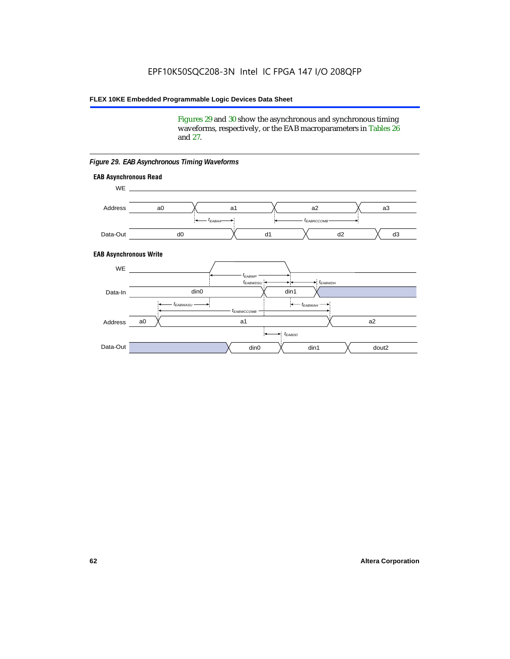Figures 29 and 30 show the asynchronous and synchronous timing waveforms, respectively, or the EAB macroparameters in Tables 26 and 27.

**EAB Asynchronous Write EAB Asynchronous Read** WE. a0 d0 d3  $t_{EABRCCOMB}$ a1 *《*、 a2 *《*、 a3 d2  $t_{FABAA}$ d1 Address Data-Out WE a0 din1  $\chi$  dout2  $t_{EABDD}$ a1 a2 din1 din0  $t_{EABWCCOMB}$  $t_{EABWASU}$   $\longrightarrow$  $t_{EABWDSU}$  +  $\longrightarrow$   $t_{EABWDH}$  $t_{EABWP}$ Data-In din0 Address Data-Out

### *Figure 29. EAB Asynchronous Timing Waveforms*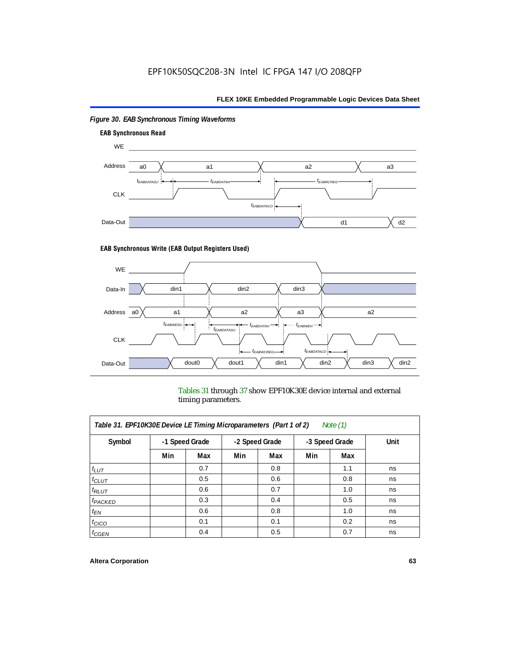

# *Figure 30. EAB Synchronous Timing Waveforms*

### **EAB Synchronous Write (EAB Output Registers Used)**



Tables 31 through 37 show EPF10K30E device internal and external timing parameters.

| Table 31. EPF10K30E Device LE Timing Microparameters (Part 1 of 2)<br>Note $(1)$ |     |                |     |                |     |                |      |  |
|----------------------------------------------------------------------------------|-----|----------------|-----|----------------|-----|----------------|------|--|
| Symbol                                                                           |     | -1 Speed Grade |     | -2 Speed Grade |     | -3 Speed Grade | Unit |  |
|                                                                                  | Min | Max            | Min | Max            | Min | Max            |      |  |
| $t_{LUT}$                                                                        |     | 0.7            |     | 0.8            |     | 1.1            | ns   |  |
| $t_{CLUT}$                                                                       |     | 0.5            |     | 0.6            |     | 0.8            | ns   |  |
| $t_{RLUT}$                                                                       |     | 0.6            |     | 0.7            |     | 1.0            | ns   |  |
| $t_{PACKED}$                                                                     |     | 0.3            |     | 0.4            |     | 0.5            | ns   |  |
| $t_{EN}$                                                                         |     | 0.6            |     | 0.8            |     | 1.0            | ns   |  |
| $t_{CICO}$                                                                       |     | 0.1            |     | 0.1            |     | 0.2            | ns   |  |
| $t_{GEN}$                                                                        |     | 0.4            |     | 0.5            |     | 0.7            | ns   |  |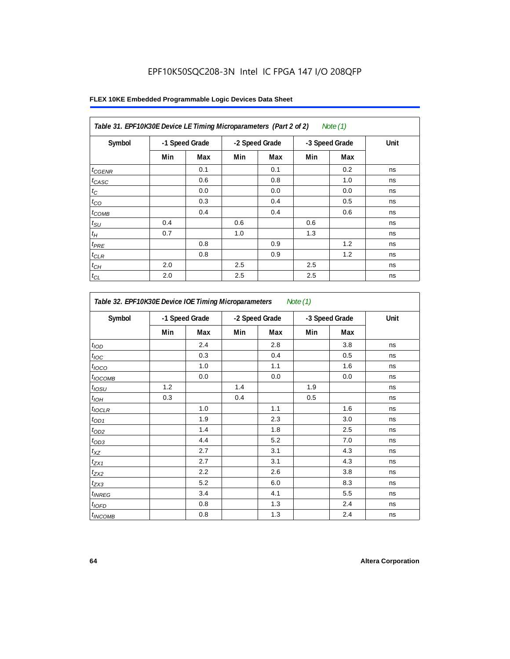# EPF10K50SQC208-3N Intel IC FPGA 147 I/O 208QFP

| Table 31. EPF10K30E Device LE Timing Microparameters (Part 2 of 2)<br>Note $(1)$ |                |     |                |     |                |     |      |
|----------------------------------------------------------------------------------|----------------|-----|----------------|-----|----------------|-----|------|
| Symbol                                                                           | -1 Speed Grade |     | -2 Speed Grade |     | -3 Speed Grade |     | Unit |
|                                                                                  | Min            | Max | Min            | Max | Min            | Max |      |
| $t_{GENR}$                                                                       |                | 0.1 |                | 0.1 |                | 0.2 | ns   |
| $t_{CASC}$                                                                       |                | 0.6 |                | 0.8 |                | 1.0 | ns   |
| $t_C$                                                                            |                | 0.0 |                | 0.0 |                | 0.0 | ns   |
| $t_{CO}$                                                                         |                | 0.3 |                | 0.4 |                | 0.5 | ns   |
| $t_{COMB}$                                                                       |                | 0.4 |                | 0.4 |                | 0.6 | ns   |
| $t_{\text{SU}}$                                                                  | 0.4            |     | 0.6            |     | 0.6            |     | ns   |
| $t_H\,$                                                                          | 0.7            |     | 1.0            |     | 1.3            |     | ns   |
| $t_{PRE}$                                                                        |                | 0.8 |                | 0.9 |                | 1.2 | ns   |
| $t_{CLR}$                                                                        |                | 0.8 |                | 0.9 |                | 1.2 | ns   |
| $t_{CH}$                                                                         | 2.0            |     | 2.5            |     | 2.5            |     | ns   |
| $t_{CL}$                                                                         | 2.0            |     | 2.5            |     | 2.5            |     | ns   |

| Table 32. EPF10K30E Device IOE Timing Microparameters<br>Note $(1)$ |     |                |     |                |     |                |      |
|---------------------------------------------------------------------|-----|----------------|-----|----------------|-----|----------------|------|
| Symbol                                                              |     | -1 Speed Grade |     | -2 Speed Grade |     | -3 Speed Grade | Unit |
|                                                                     | Min | Max            | Min | Max            | Min | Max            |      |
| t <sub>IOD</sub>                                                    |     | 2.4            |     | 2.8            |     | 3.8            | ns   |
| $t_{\text{IOC}}$                                                    |     | 0.3            |     | 0.4            |     | 0.5            | ns   |
| t <sub>IOCO</sub>                                                   |     | 1.0            |     | 1.1            |     | 1.6            | ns   |
| $t_{IOCOMB}$                                                        |     | 0.0            |     | 0.0            |     | 0.0            | ns   |
| $t_{IOSU}$                                                          | 1.2 |                | 1.4 |                | 1.9 |                | ns   |
| $t_{IOH}$                                                           | 0.3 |                | 0.4 |                | 0.5 |                | ns   |
| $t_{IOCLR}$                                                         |     | 1.0            |     | 1.1            |     | 1.6            | ns   |
| $t_{OD1}$                                                           |     | 1.9            |     | 2.3            |     | 3.0            | ns   |
| $t_{OD2}$                                                           |     | 1.4            |     | 1.8            |     | 2.5            | ns   |
| $t_{OD3}$                                                           |     | 4.4            |     | 5.2            |     | 7.0            | ns   |
| $t_{\mathsf{XZ}}$                                                   |     | 2.7            |     | 3.1            |     | 4.3            | ns   |
| $t_{ZX1}$                                                           |     | 2.7            |     | 3.1            |     | 4.3            | ns   |
| $t_{ZX2}$                                                           |     | 2.2            |     | 2.6            |     | 3.8            | ns   |
| $t_{ZX3}$                                                           |     | 5.2            |     | 6.0            |     | 8.3            | ns   |
| <i>t</i> <sub>INREG</sub>                                           |     | 3.4            |     | 4.1            |     | 5.5            | ns   |
| $t_{IOFD}$                                                          |     | 0.8            |     | 1.3            |     | 2.4            | ns   |
| $t_{INCOMB}$                                                        |     | 0.8            |     | 1.3            |     | 2.4            | ns   |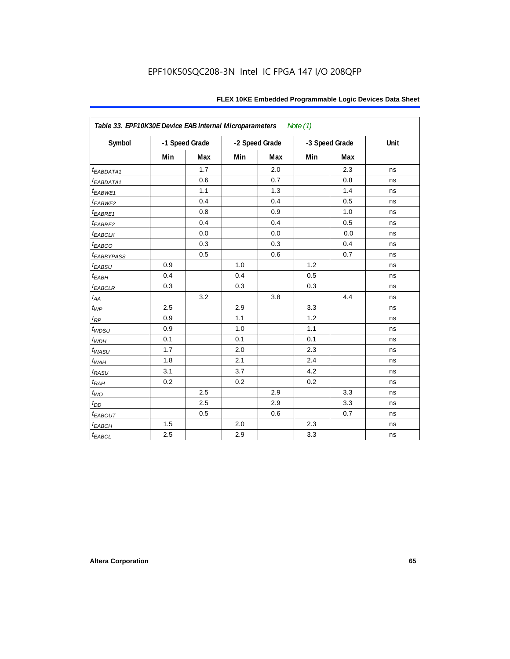| Table 33. EPF10K30E Device EAB Internal Microparameters<br>Note $(1)$ |     |                |     |                |                |     |      |  |  |
|-----------------------------------------------------------------------|-----|----------------|-----|----------------|----------------|-----|------|--|--|
| Symbol                                                                |     | -1 Speed Grade |     | -2 Speed Grade | -3 Speed Grade |     | Unit |  |  |
|                                                                       | Min | <b>Max</b>     | Min | Max            | Min            | Max |      |  |  |
| t <sub>EABDATA1</sub>                                                 |     | 1.7            |     | 2.0            |                | 2.3 | ns   |  |  |
| t <sub>EABDATA1</sub>                                                 |     | 0.6            |     | 0.7            |                | 0.8 | ns   |  |  |
| t <sub>EABWE1</sub>                                                   |     | 1.1            |     | 1.3            |                | 1.4 | ns   |  |  |
| t <sub>EABWE2</sub>                                                   |     | 0.4            |     | 0.4            |                | 0.5 | ns   |  |  |
| $t_{EABRE1}$                                                          |     | 0.8            |     | 0.9            |                | 1.0 | ns   |  |  |
| t <sub>EABRE2</sub>                                                   |     | 0.4            |     | 0.4            |                | 0.5 | ns   |  |  |
| <b><i>EABCLK</i></b>                                                  |     | 0.0            |     | 0.0            |                | 0.0 | ns   |  |  |
| t <sub>EABCO</sub>                                                    |     | 0.3            |     | 0.3            |                | 0.4 | ns   |  |  |
| <b><i>EABBYPASS</i></b>                                               |     | 0.5            |     | 0.6            |                | 0.7 | ns   |  |  |
| $t_{EABSU}$                                                           | 0.9 |                | 1.0 |                | 1.2            |     | ns   |  |  |
| $t_{EABH}$                                                            | 0.4 |                | 0.4 |                | 0.5            |     | ns   |  |  |
| $t_{EABCLR}$                                                          | 0.3 |                | 0.3 |                | 0.3            |     | ns   |  |  |
| $t_{AA}$                                                              |     | 3.2            |     | 3.8            |                | 4.4 | ns   |  |  |
| $t_{\mathit{WP}}$                                                     | 2.5 |                | 2.9 |                | 3.3            |     | ns   |  |  |
| $t_{\!R\!P}$                                                          | 0.9 |                | 1.1 |                | 1.2            |     | ns   |  |  |
| $t_{WDSU}$                                                            | 0.9 |                | 1.0 |                | 1.1            |     | ns   |  |  |
| $t_{WDH}$                                                             | 0.1 |                | 0.1 |                | 0.1            |     | ns   |  |  |
| $t_{WASU}$                                                            | 1.7 |                | 2.0 |                | 2.3            |     | ns   |  |  |
| $t_{WAH}$                                                             | 1.8 |                | 2.1 |                | 2.4            |     | ns   |  |  |
| $t_{RASU}$                                                            | 3.1 |                | 3.7 |                | 4.2            |     | ns   |  |  |
| $t_{R\underline{AH}}$                                                 | 0.2 |                | 0.2 |                | 0.2            |     | ns   |  |  |
| $t_{WO}$                                                              |     | 2.5            |     | 2.9            |                | 3.3 | ns   |  |  |
| $t_{DD}$                                                              |     | 2.5            |     | 2.9            |                | 3.3 | ns   |  |  |
| $t_{EABOUT}$                                                          |     | 0.5            |     | 0.6            |                | 0.7 | ns   |  |  |
| $t_{EABCH}$                                                           | 1.5 |                | 2.0 |                | 2.3            |     | ns   |  |  |
| $t_{EABCL}$                                                           | 2.5 |                | 2.9 |                | 3.3            |     | ns   |  |  |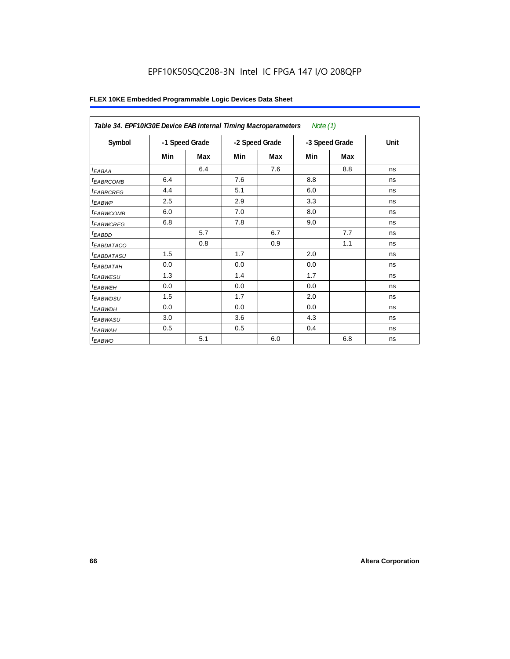# EPF10K50SQC208-3N Intel IC FPGA 147 I/O 208QFP

| Note $(1)$<br>Table 34. EPF10K30E Device EAB Internal Timing Macroparameters |                |     |                |     |     |                |      |  |  |
|------------------------------------------------------------------------------|----------------|-----|----------------|-----|-----|----------------|------|--|--|
| Symbol                                                                       | -1 Speed Grade |     | -2 Speed Grade |     |     | -3 Speed Grade | Unit |  |  |
|                                                                              | Min            | Max | Min            | Max | Min | Max            |      |  |  |
| $t_{EABA}$                                                                   |                | 6.4 |                | 7.6 |     | 8.8            | ns   |  |  |
| <sup>t</sup> EABRCOMB                                                        | 6.4            |     | 7.6            |     | 8.8 |                | ns   |  |  |
| <sup>t</sup> EABRCREG                                                        | 4.4            |     | 5.1            |     | 6.0 |                | ns   |  |  |
| $t_{EABWP}$                                                                  | 2.5            |     | 2.9            |     | 3.3 |                | ns   |  |  |
| <sup>t</sup> EABWCOMB                                                        | 6.0            |     | 7.0            |     | 8.0 |                | ns   |  |  |
| <sup>t</sup> EABWCREG                                                        | 6.8            |     | 7.8            |     | 9.0 |                | ns   |  |  |
| t <sub>EABDD</sub>                                                           |                | 5.7 |                | 6.7 |     | 7.7            | ns   |  |  |
| t <sub>EABDATACO</sub>                                                       |                | 0.8 |                | 0.9 |     | 1.1            | ns   |  |  |
| <sup>t</sup> EABDATASU                                                       | 1.5            |     | 1.7            |     | 2.0 |                | ns   |  |  |
| t <sub>EABDATAH</sub>                                                        | 0.0            |     | 0.0            |     | 0.0 |                | ns   |  |  |
| <sup>t</sup> EABWESU                                                         | 1.3            |     | 1.4            |     | 1.7 |                | ns   |  |  |
| <sup>t</sup> EABWEH                                                          | 0.0            |     | 0.0            |     | 0.0 |                | ns   |  |  |
| t <sub>EABWDSU</sub>                                                         | 1.5            |     | 1.7            |     | 2.0 |                | ns   |  |  |
| <sup>t</sup> EABWDH                                                          | 0.0            |     | 0.0            |     | 0.0 |                | ns   |  |  |
| t <sub>EABWASU</sub>                                                         | 3.0            |     | 3.6            |     | 4.3 |                | ns   |  |  |
| <sup>t</sup> EABWAH                                                          | 0.5            |     | 0.5            |     | 0.4 |                | ns   |  |  |
| $t_{EABWO}$                                                                  |                | 5.1 |                | 6.0 |     | 6.8            | ns   |  |  |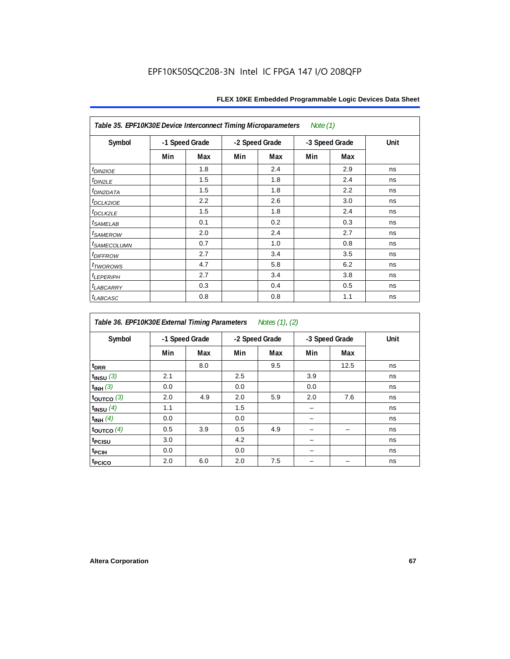| Note $(1)$<br>Table 35. EPF10K30E Device Interconnect Timing Microparameters |                |     |     |                |     |                |             |  |  |  |
|------------------------------------------------------------------------------|----------------|-----|-----|----------------|-----|----------------|-------------|--|--|--|
| Symbol                                                                       | -1 Speed Grade |     |     | -2 Speed Grade |     | -3 Speed Grade | <b>Unit</b> |  |  |  |
|                                                                              | Min            | Max | Min | Max            | Min | Max            |             |  |  |  |
| $t_{DIN2IOE}$                                                                |                | 1.8 |     | 2.4            |     | 2.9            | ns          |  |  |  |
| t <sub>DIN2LE</sub>                                                          |                | 1.5 |     | 1.8            |     | 2.4            | ns          |  |  |  |
| <sup>t</sup> DIN2DATA                                                        |                | 1.5 |     | 1.8            |     | 2.2            | ns          |  |  |  |
| t <sub>DCLK2IOE</sub>                                                        |                | 2.2 |     | 2.6            |     | 3.0            | ns          |  |  |  |
| $t_{DCLK2LE}$                                                                |                | 1.5 |     | 1.8            |     | 2.4            | ns          |  |  |  |
| <i>t</i> SAMELAB                                                             |                | 0.1 |     | 0.2            |     | 0.3            | ns          |  |  |  |
| <i>t<sub>SAMEROW</sub></i>                                                   |                | 2.0 |     | 2.4            |     | 2.7            | ns          |  |  |  |
| <i>t<sub>SAMECOLUMN</sub></i>                                                |                | 0.7 |     | 1.0            |     | 0.8            | ns          |  |  |  |
| t <sub>DIFFROW</sub>                                                         |                | 2.7 |     | 3.4            |     | 3.5            | ns          |  |  |  |
| <sup>t</sup> TWOROWS                                                         |                | 4.7 |     | 5.8            |     | 6.2            | ns          |  |  |  |
| <b><i>LEPERIPH</i></b>                                                       |                | 2.7 |     | 3.4            |     | 3.8            | ns          |  |  |  |
| <b><i>LABCARRY</i></b>                                                       |                | 0.3 |     | 0.4            |     | 0.5            | ns          |  |  |  |
| <sup>t</sup> LABCASC                                                         |                | 0.8 |     | 0.8            |     | 1.1            | ns          |  |  |  |

| Table 36. EPF10K30E External Timing Parameters Notes (1), (2) |     |                |     |                |     |                |      |  |  |  |
|---------------------------------------------------------------|-----|----------------|-----|----------------|-----|----------------|------|--|--|--|
| Symbol                                                        |     | -1 Speed Grade |     | -2 Speed Grade |     | -3 Speed Grade | Unit |  |  |  |
|                                                               | Min | Max            | Min | Max            | Min | Max            |      |  |  |  |
| $t_{DRR}$                                                     |     | 8.0            |     | 9.5            |     | 12.5           | ns   |  |  |  |
| $t_{INSU}$ (3)                                                | 2.1 |                | 2.5 |                | 3.9 |                | ns   |  |  |  |
| $t_{INH}$ (3)                                                 | 0.0 |                | 0.0 |                | 0.0 |                | ns   |  |  |  |
| $t_{OUTCO}$ (3)                                               | 2.0 | 4.9            | 2.0 | 5.9            | 2.0 | 7.6            | ns   |  |  |  |
| $t_{INSU}$ (4)                                                | 1.1 |                | 1.5 |                |     |                | ns   |  |  |  |
| $t_{INH}$ (4)                                                 | 0.0 |                | 0.0 |                |     |                | ns   |  |  |  |
| $t_{\text{OUTCO}}(4)$                                         | 0.5 | 3.9            | 0.5 | 4.9            |     |                | ns   |  |  |  |
| t <sub>PCISU</sub>                                            | 3.0 |                | 4.2 |                |     |                | ns   |  |  |  |
| t <sub>PCIH</sub>                                             | 0.0 |                | 0.0 |                |     |                | ns   |  |  |  |
| t <sub>PCICO</sub>                                            | 2.0 | 6.0            | 2.0 | 7.5            |     |                | ns   |  |  |  |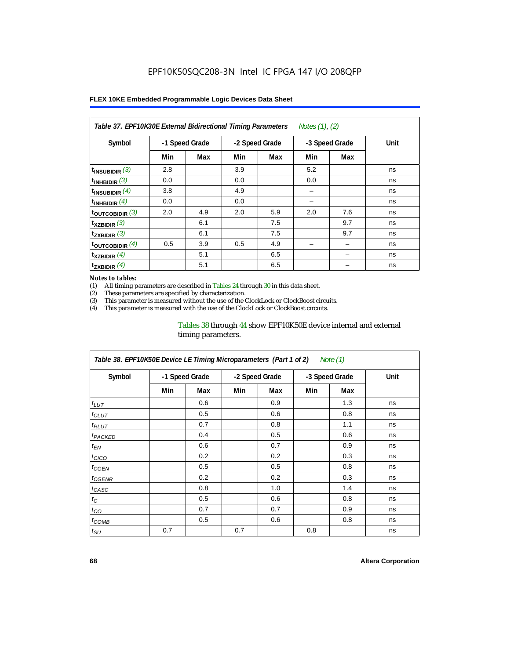| Notes (1), (2)<br>Table 37. EPF10K30E External Bidirectional Timing Parameters |                |     |     |                |     |                |      |  |  |
|--------------------------------------------------------------------------------|----------------|-----|-----|----------------|-----|----------------|------|--|--|
| Symbol                                                                         | -1 Speed Grade |     |     | -2 Speed Grade |     | -3 Speed Grade | Unit |  |  |
|                                                                                | Min            | Max | Min | Max            | Min | Max            |      |  |  |
| $t_{INSUBIDIR}$ (3)                                                            | 2.8            |     | 3.9 |                | 5.2 |                | ns   |  |  |
| $t_{INHBIDIR}$ (3)                                                             | 0.0            |     | 0.0 |                | 0.0 |                | ns   |  |  |
| $t_{INSUBIDIR}(4)$                                                             | 3.8            |     | 4.9 |                |     |                | ns   |  |  |
| $t_{INHBIDIR}$ $(4)$                                                           | 0.0            |     | 0.0 |                |     |                | ns   |  |  |
| toutcobidir $(3)$                                                              | 2.0            | 4.9 | 2.0 | 5.9            | 2.0 | 7.6            | ns   |  |  |
| $t_{XZBIDIR}$ (3)                                                              |                | 6.1 |     | 7.5            |     | 9.7            | ns   |  |  |
| $t_{ZXBIDIR}$ (3)                                                              |                | 6.1 |     | 7.5            |     | 9.7            | ns   |  |  |
| $t_{\text{OUTCOBIDIR}}$ (4)                                                    | 0.5            | 3.9 | 0.5 | 4.9            |     |                | ns   |  |  |
| $t_{XZBIDIR}$ (4)                                                              |                | 5.1 |     | 6.5            |     |                | ns   |  |  |
| $t_{ZXBIDIR}$ (4)                                                              |                | 5.1 |     | 6.5            |     |                | ns   |  |  |

### *Notes to tables:*

(1) All timing parameters are described in Tables 24 through 30 in this data sheet.<br>(2) These parameters are specified by characterization.

(2) These parameters are specified by characterization.<br>(3) This parameter is measured without the use of the C

This parameter is measured without the use of the ClockLock or ClockBoost circuits.

(4) This parameter is measured with the use of the ClockLock or ClockBoost circuits.

### Tables 38 through 44 show EPF10K50E device internal and external timing parameters.

| Table 38. EPF10K50E Device LE Timing Microparameters (Part 1 of 2)<br>Note (1) |     |                |     |                |     |                |      |  |  |  |
|--------------------------------------------------------------------------------|-----|----------------|-----|----------------|-----|----------------|------|--|--|--|
| Symbol                                                                         |     | -1 Speed Grade |     | -2 Speed Grade |     | -3 Speed Grade | Unit |  |  |  |
|                                                                                | Min | Max            | Min | Max            | Min | Max            |      |  |  |  |
| $t_{LUT}$                                                                      |     | 0.6            |     | 0.9            |     | 1.3            | ns   |  |  |  |
| $t_{CLUT}$                                                                     |     | 0.5            |     | 0.6            |     | 0.8            | ns   |  |  |  |
| $t_{RLUT}$                                                                     |     | 0.7            |     | 0.8            |     | 1.1            | ns   |  |  |  |
| <b><i>t<sub>PACKED</sub></i></b>                                               |     | 0.4            |     | 0.5            |     | 0.6            | ns   |  |  |  |
| $t_{EN}$                                                                       |     | 0.6            |     | 0.7            |     | 0.9            | ns   |  |  |  |
| $t_{CICO}$                                                                     |     | 0.2            |     | 0.2            |     | 0.3            | ns   |  |  |  |
| $t_{GEN}$                                                                      |     | 0.5            |     | 0.5            |     | 0.8            | ns   |  |  |  |
| <sup>t</sup> CGENR                                                             |     | 0.2            |     | 0.2            |     | 0.3            | ns   |  |  |  |
| t <sub>CASC</sub>                                                              |     | 0.8            |     | 1.0            |     | 1.4            | ns   |  |  |  |
| $t_C$                                                                          |     | 0.5            |     | 0.6            |     | 0.8            | ns   |  |  |  |
| $t_{CO}$                                                                       |     | 0.7            |     | 0.7            |     | 0.9            | ns   |  |  |  |
| $t_{\text{COMB}}$                                                              |     | 0.5            |     | 0.6            |     | 0.8            | ns   |  |  |  |
| $t_{\text{SU}}$                                                                | 0.7 |                | 0.7 |                | 0.8 |                | ns   |  |  |  |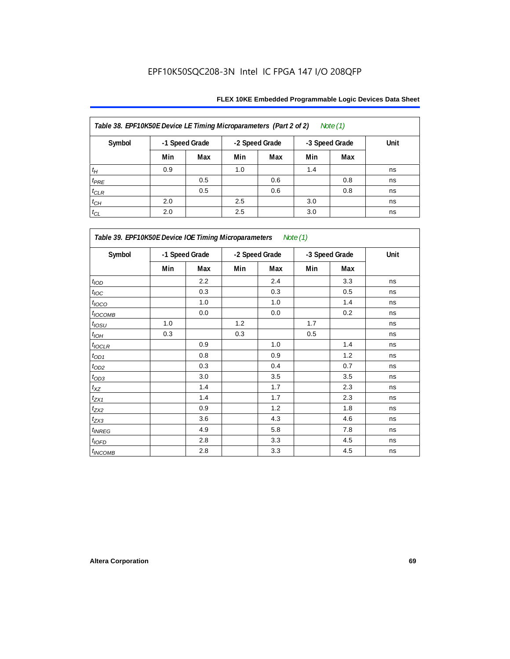| Table 38. EPF10K50E Device LE Timing Microparameters (Part 2 of 2)<br>Note $(1)$ |     |                |                |     |                |     |      |  |  |  |
|----------------------------------------------------------------------------------|-----|----------------|----------------|-----|----------------|-----|------|--|--|--|
| Symbol                                                                           |     | -1 Speed Grade | -2 Speed Grade |     | -3 Speed Grade |     | Unit |  |  |  |
|                                                                                  | Min | Max            | Min            | Max | Min            | Max |      |  |  |  |
| $t_H$                                                                            | 0.9 |                | 1.0            |     | 1.4            |     | ns   |  |  |  |
| $t_{PRE}$                                                                        |     | 0.5            |                | 0.6 |                | 0.8 | ns   |  |  |  |
| $t_{CLR}$                                                                        |     | 0.5            |                | 0.6 |                | 0.8 | ns   |  |  |  |
| $t_{\mathbb{C} H}$                                                               | 2.0 |                | 2.5            |     | 3.0            |     | ns   |  |  |  |
| $t_{CL}$                                                                         | 2.0 |                | 2.5            |     | 3.0            |     | ns   |  |  |  |

| Table 39. EPF10K50E Device IOE Timing Microparameters Note (1) |                |         |                |     |                |     |      |  |  |  |
|----------------------------------------------------------------|----------------|---------|----------------|-----|----------------|-----|------|--|--|--|
| Symbol                                                         | -1 Speed Grade |         | -2 Speed Grade |     | -3 Speed Grade |     | Unit |  |  |  |
|                                                                | Min            | Max     | Min            | Max | Min            | Max |      |  |  |  |
| t <sub>IOD</sub>                                               |                | 2.2     |                | 2.4 |                | 3.3 | ns   |  |  |  |
| $t_{\text{IOC}}$                                               |                | 0.3     |                | 0.3 |                | 0.5 | ns   |  |  |  |
| $t_{\text{LOCO}}$                                              |                | 1.0     |                | 1.0 |                | 1.4 | ns   |  |  |  |
| $t_{IOCOMB}$                                                   |                | 0.0     |                | 0.0 |                | 0.2 | ns   |  |  |  |
| $t_{IOSU}$                                                     | 1.0            |         | 1.2            |     | 1.7            |     | ns   |  |  |  |
| $t_{IOM}$                                                      | 0.3            |         | 0.3            |     | 0.5            |     | ns   |  |  |  |
| $t_{IOCLR}$                                                    |                | 0.9     |                | 1.0 |                | 1.4 | ns   |  |  |  |
| $t_{OD1}$                                                      |                | 0.8     |                | 0.9 |                | 1.2 | ns   |  |  |  |
| $t_{OD2}$                                                      |                | 0.3     |                | 0.4 |                | 0.7 | ns   |  |  |  |
| $t_{OD3}$                                                      |                | 3.0     |                | 3.5 |                | 3.5 | ns   |  |  |  |
| $t_{\mathsf{XZ}}$                                              |                | 1.4     |                | 1.7 |                | 2.3 | ns   |  |  |  |
| $t_{ZX1}$                                                      |                | 1.4     |                | 1.7 |                | 2.3 | ns   |  |  |  |
| $t_{ZX2}$                                                      |                | 0.9     |                | 1.2 |                | 1.8 | ns   |  |  |  |
| $t_{ZX3}$                                                      |                | 3.6     |                | 4.3 |                | 4.6 | ns   |  |  |  |
| $t_{INREG}$                                                    |                | 4.9     |                | 5.8 |                | 7.8 | ns   |  |  |  |
| $t_{IOED}$                                                     |                | 2.8     |                | 3.3 |                | 4.5 | ns   |  |  |  |
| $t_{INCOMB}$                                                   |                | $2.8\,$ |                | 3.3 |                | 4.5 | ns   |  |  |  |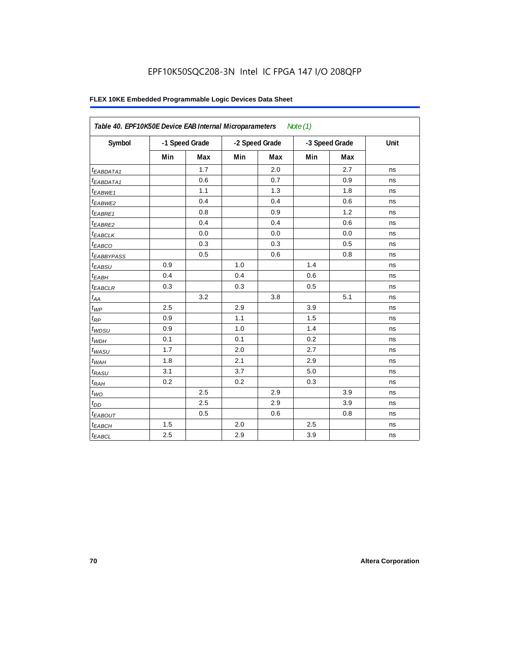# EPF10K50SQC208-3N Intel IC FPGA 147 I/O 208QFP

| Table 40. EPF10K50E Device EAB Internal Microparameters<br>Note $(1)$ |                |     |     |                |     |                |      |  |  |
|-----------------------------------------------------------------------|----------------|-----|-----|----------------|-----|----------------|------|--|--|
| Symbol                                                                | -1 Speed Grade |     |     | -2 Speed Grade |     | -3 Speed Grade | Unit |  |  |
|                                                                       | Min            | Max | Min | Max            | Min | Max            |      |  |  |
| <i>EABDATA1</i>                                                       |                | 1.7 |     | 2.0            |     | 2.7            | ns   |  |  |
| $t_{EABDATA1}$                                                        |                | 0.6 |     | 0.7            |     | 0.9            | ns   |  |  |
| $t_{EABWE1}$                                                          |                | 1.1 |     | 1.3            |     | 1.8            | ns   |  |  |
| <sup>t</sup> EABWE2                                                   |                | 0.4 |     | 0.4            |     | 0.6            | ns   |  |  |
| t <sub>EABRE1</sub>                                                   |                | 0.8 |     | 0.9            |     | 1.2            | ns   |  |  |
| $t_{EABRE2}$                                                          |                | 0.4 |     | 0.4            |     | 0.6            | ns   |  |  |
| $t_{EABCLK}$                                                          |                | 0.0 |     | 0.0            |     | 0.0            | ns   |  |  |
| $t_{EABCO}$                                                           |                | 0.3 |     | 0.3            |     | 0.5            | ns   |  |  |
| <i><b>EABBYPASS</b></i>                                               |                | 0.5 |     | 0.6            |     | 0.8            | ns   |  |  |
| $t_{EABSU}$                                                           | 0.9            |     | 1.0 |                | 1.4 |                | ns   |  |  |
| $t_{EABH}$                                                            | 0.4            |     | 0.4 |                | 0.6 |                | ns   |  |  |
| $t_{EABCLR}$                                                          | 0.3            |     | 0.3 |                | 0.5 |                | ns   |  |  |
| $t_{AA}$                                                              |                | 3.2 |     | 3.8            |     | 5.1            | ns   |  |  |
| $t_{\mathit{WP}}$                                                     | 2.5            |     | 2.9 |                | 3.9 |                | ns   |  |  |
| $t_{RP}$                                                              | 0.9            |     | 1.1 |                | 1.5 |                | ns   |  |  |
| $t_{WDSU}$                                                            | 0.9            |     | 1.0 |                | 1.4 |                | ns   |  |  |
| $t_{WDH}$                                                             | 0.1            |     | 0.1 |                | 0.2 |                | ns   |  |  |
| $t_{WASU}$                                                            | 1.7            |     | 2.0 |                | 2.7 |                | ns   |  |  |
| $t_{WAH}$                                                             | 1.8            |     | 2.1 |                | 2.9 |                | ns   |  |  |
| $t_{RASU}$                                                            | 3.1            |     | 3.7 |                | 5.0 |                | ns   |  |  |
| $t_{RAH}$                                                             | 0.2            |     | 0.2 |                | 0.3 |                | ns   |  |  |
| $t_{WO}$                                                              |                | 2.5 |     | 2.9            |     | 3.9            | ns   |  |  |
| $t_{DD}$                                                              |                | 2.5 |     | 2.9            |     | 3.9            | ns   |  |  |
| t <sub>EABOUT</sub>                                                   |                | 0.5 |     | 0.6            |     | 0.8            | ns   |  |  |
| t <sub>EABCH</sub>                                                    | 1.5            |     | 2.0 |                | 2.5 |                | ns   |  |  |
| $t_{EABCL}$                                                           | 2.5            |     | 2.9 |                | 3.9 |                | ns   |  |  |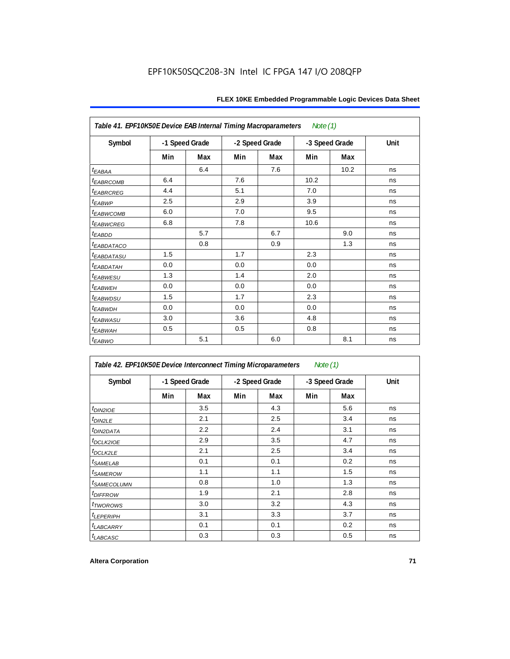| Table 41. EPF10K50E Device EAB Internal Timing Macroparameters<br>Note $(1)$ |                |     |                |     |                |      |      |  |  |  |
|------------------------------------------------------------------------------|----------------|-----|----------------|-----|----------------|------|------|--|--|--|
| Symbol                                                                       | -1 Speed Grade |     | -2 Speed Grade |     | -3 Speed Grade |      | Unit |  |  |  |
|                                                                              | Min            | Max | Min            | Max | Min            | Max  |      |  |  |  |
| $t_{EABA}$                                                                   |                | 6.4 |                | 7.6 |                | 10.2 | ns   |  |  |  |
| <b><i>EABRCOMB</i></b>                                                       | 6.4            |     | 7.6            |     | 10.2           |      | ns   |  |  |  |
| t <sub>EABRCREG</sub>                                                        | 4.4            |     | 5.1            |     | 7.0            |      | ns   |  |  |  |
| t <sub>EABWP</sub>                                                           | 2.5            |     | 2.9            |     | 3.9            |      | ns   |  |  |  |
| <sup>t</sup> EABWCOMB                                                        | 6.0            |     | 7.0            |     | 9.5            |      | ns   |  |  |  |
| <b><i>EABWCREG</i></b>                                                       | 6.8            |     | 7.8            |     | 10.6           |      | ns   |  |  |  |
| $t_{EABDD}$                                                                  |                | 5.7 |                | 6.7 |                | 9.0  | ns   |  |  |  |
| <sup>t</sup> EABDATACO                                                       |                | 0.8 |                | 0.9 |                | 1.3  | ns   |  |  |  |
| <sup>t</sup> EABDATASU                                                       | 1.5            |     | 1.7            |     | 2.3            |      | ns   |  |  |  |
| <sup>t</sup> EABDATAH                                                        | 0.0            |     | 0.0            |     | 0.0            |      | ns   |  |  |  |
| t <sub>EABWESU</sub>                                                         | 1.3            |     | 1.4            |     | 2.0            |      | ns   |  |  |  |
| t <sub>EABWEH</sub>                                                          | 0.0            |     | 0.0            |     | 0.0            |      | ns   |  |  |  |
| <sup>t</sup> EABWDSU                                                         | 1.5            |     | 1.7            |     | 2.3            |      | ns   |  |  |  |
| <sup>t</sup> EABWDH                                                          | 0.0            |     | 0.0            |     | 0.0            |      | ns   |  |  |  |
| <sup>t</sup> EABWASU                                                         | 3.0            |     | 3.6            |     | 4.8            |      | ns   |  |  |  |
| t <sub>EABWAH</sub>                                                          | 0.5            |     | 0.5            |     | 0.8            |      | ns   |  |  |  |
| $t_{EABWO}$                                                                  |                | 5.1 |                | 6.0 |                | 8.1  | ns   |  |  |  |

| Table 42. EPF10K50E Device Interconnect Timing Microparameters<br>Note $(1)$ |                |     |                |     |                |     |      |  |  |  |
|------------------------------------------------------------------------------|----------------|-----|----------------|-----|----------------|-----|------|--|--|--|
| Symbol                                                                       | -1 Speed Grade |     | -2 Speed Grade |     | -3 Speed Grade |     | Unit |  |  |  |
|                                                                              | Min            | Max | Min            | Max | Min            | Max |      |  |  |  |
| $tD$ IN2IOE                                                                  |                | 3.5 |                | 4.3 |                | 5.6 | ns   |  |  |  |
| t <sub>DIN2LE</sub>                                                          |                | 2.1 |                | 2.5 |                | 3.4 | ns   |  |  |  |
| <sup>t</sup> DIN2DATA                                                        |                | 2.2 |                | 2.4 |                | 3.1 | ns   |  |  |  |
| $t$ DCLK2IOE                                                                 |                | 2.9 |                | 3.5 |                | 4.7 | ns   |  |  |  |
| $t$ DCLK2LE                                                                  |                | 2.1 |                | 2.5 |                | 3.4 | ns   |  |  |  |
| <sup>t</sup> SAMELAB                                                         |                | 0.1 |                | 0.1 |                | 0.2 | ns   |  |  |  |
| <i>t</i> SAMEROW                                                             |                | 1.1 |                | 1.1 |                | 1.5 | ns   |  |  |  |
| <i>t<sub>SAMECOLUMN</sub></i>                                                |                | 0.8 |                | 1.0 |                | 1.3 | ns   |  |  |  |
| <i>t<sub>DIFFROW</sub></i>                                                   |                | 1.9 |                | 2.1 |                | 2.8 | ns   |  |  |  |
| <i>t</i> TWOROWS                                                             |                | 3.0 |                | 3.2 |                | 4.3 | ns   |  |  |  |
| <b><i>LEPERIPH</i></b>                                                       |                | 3.1 |                | 3.3 |                | 3.7 | ns   |  |  |  |
| <b><i>LABCARRY</i></b>                                                       |                | 0.1 |                | 0.1 |                | 0.2 | ns   |  |  |  |
| t <sub>LABCASC</sub>                                                         |                | 0.3 |                | 0.3 |                | 0.5 | ns   |  |  |  |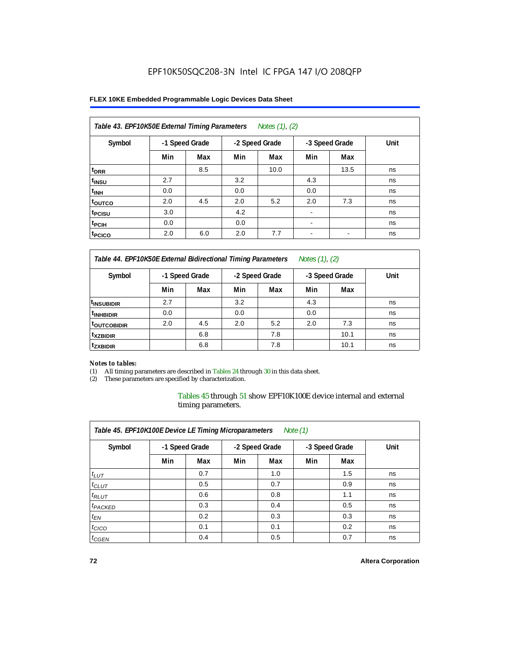#### **FLEX 10KE Embedded Programmable Logic Devices Data Sheet**

| Table 43. EPF10K50E External Timing Parameters<br>Notes (1), (2) |                |     |     |                |                          |                |      |  |  |  |  |
|------------------------------------------------------------------|----------------|-----|-----|----------------|--------------------------|----------------|------|--|--|--|--|
| Symbol                                                           | -1 Speed Grade |     |     | -2 Speed Grade |                          | -3 Speed Grade | Unit |  |  |  |  |
|                                                                  | Min            | Max | Min | Max            | Min                      | Max            |      |  |  |  |  |
| t <sub>DRR</sub>                                                 |                | 8.5 |     | 10.0           |                          | 13.5           | ns   |  |  |  |  |
| t <sub>insu</sub>                                                | 2.7            |     | 3.2 |                | 4.3                      |                | ns   |  |  |  |  |
| $t_{\text{INH}}$                                                 | 0.0            |     | 0.0 |                | 0.0                      |                | ns   |  |  |  |  |
| toutco                                                           | 2.0            | 4.5 | 2.0 | 5.2            | 2.0                      | 7.3            | ns   |  |  |  |  |
| t <sub>PCISU</sub>                                               | 3.0            |     | 4.2 |                |                          |                | ns   |  |  |  |  |
| <sup>t</sup> PCIH                                                | 0.0            |     | 0.0 |                | $\overline{\phantom{a}}$ |                | ns   |  |  |  |  |
| <sup>t</sup> PCICO                                               | 2.0            | 6.0 | 2.0 | 7.7            | $\blacksquare$           |                | ns   |  |  |  |  |

*Table 44. EPF10K50E External Bidirectional Timing Parameters Notes (1), (2)*

| Symbol                  | -1 Speed Grade |     |     | -2 Speed Grade |     | -3 Speed Grade | Unit |
|-------------------------|----------------|-----|-----|----------------|-----|----------------|------|
|                         | Min            | Max | Min | Max            | Min | Max            |      |
| <sup>t</sup> INSUBIDIR  | 2.7            |     | 3.2 |                | 4.3 |                | ns   |
| <sup>t</sup> INHBIDIR   | 0.0            |     | 0.0 |                | 0.0 |                | ns   |
| <sup>t</sup> OUTCOBIDIR | 2.0            | 4.5 | 2.0 | 5.2            | 2.0 | 7.3            | ns   |
| <sup>t</sup> xzbidir    |                | 6.8 |     | 7.8            |     | 10.1           | ns   |
| <sup>t</sup> zxbidir    |                | 6.8 |     | 7.8            |     | 10.1           | ns   |

#### *Notes to tables:*

(1) All timing parameters are described in Tables 24 through 30 in this data sheet.

(2) These parameters are specified by characterization.

Tables 45 through 51 show EPF10K100E device internal and external timing parameters.

| Table 45. EPF10K100E Device LE Timing Microparameters<br>Note $(1)$ |     |                |     |                |     |                |      |  |  |  |
|---------------------------------------------------------------------|-----|----------------|-----|----------------|-----|----------------|------|--|--|--|
| Symbol                                                              |     | -1 Speed Grade |     | -2 Speed Grade |     | -3 Speed Grade | Unit |  |  |  |
|                                                                     | Min | Max            | Min | Max            | Min | Max            |      |  |  |  |
| $t_{LUT}$                                                           |     | 0.7            |     | 1.0            |     | 1.5            | ns   |  |  |  |
| $t_{CLUT}$                                                          |     | 0.5            |     | 0.7            |     | 0.9            | ns   |  |  |  |
| $t_{RLUT}$                                                          |     | 0.6            |     | 0.8            |     | 1.1            | ns   |  |  |  |
| <sup>t</sup> PACKED                                                 |     | 0.3            |     | 0.4            |     | 0.5            | ns   |  |  |  |
| $t_{EN}$                                                            |     | 0.2            |     | 0.3            |     | 0.3            | ns   |  |  |  |
| $t_{CICO}$                                                          |     | 0.1            |     | 0.1            |     | 0.2            | ns   |  |  |  |
| $t_{GEN}$                                                           |     | 0.4            |     | 0.5            |     | 0.7            | ns   |  |  |  |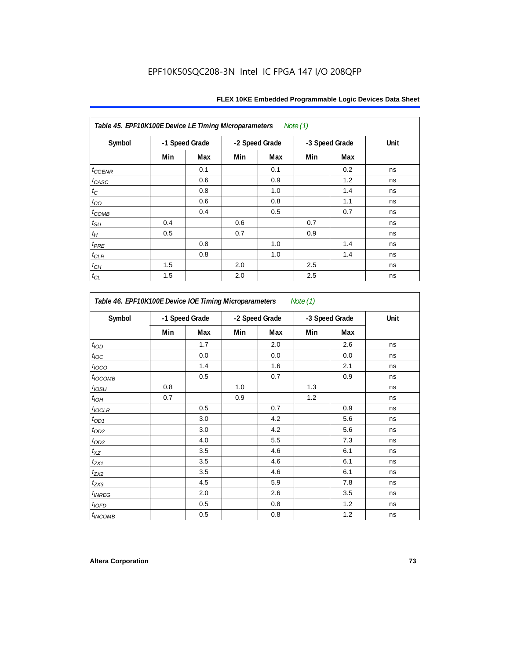| Table 45. EPF10K100E Device LE Timing Microparameters<br>Note (1) |                |     |     |                |     |                |      |  |  |
|-------------------------------------------------------------------|----------------|-----|-----|----------------|-----|----------------|------|--|--|
| Symbol                                                            | -1 Speed Grade |     |     | -2 Speed Grade |     | -3 Speed Grade | Unit |  |  |
|                                                                   | Min            | Max | Min | Max            | Min | Max            |      |  |  |
| $t_{CGENR}$                                                       |                | 0.1 |     | 0.1            |     | 0.2            | ns   |  |  |
| $t_{CASC}$                                                        |                | 0.6 |     | 0.9            |     | 1.2            | ns   |  |  |
| $t_C$                                                             |                | 0.8 |     | 1.0            |     | 1.4            | ns   |  |  |
| $t_{CO}$                                                          |                | 0.6 |     | 0.8            |     | 1.1            | ns   |  |  |
| $t_{COMB}$                                                        |                | 0.4 |     | 0.5            |     | 0.7            | ns   |  |  |
| $t_{\text{SU}}$                                                   | 0.4            |     | 0.6 |                | 0.7 |                | ns   |  |  |
| $t_H$                                                             | 0.5            |     | 0.7 |                | 0.9 |                | ns   |  |  |
| $t_{PRE}$                                                         |                | 0.8 |     | 1.0            |     | 1.4            | ns   |  |  |
| $t_{CLR}$                                                         |                | 0.8 |     | 1.0            |     | 1.4            | ns   |  |  |
| $t_{CH}$                                                          | 1.5            |     | 2.0 |                | 2.5 |                | ns   |  |  |
| $t_{CL}$                                                          | 1.5            |     | 2.0 |                | 2.5 |                | ns   |  |  |

| Symbol                    |     | -1 Speed Grade |     | -2 Speed Grade |     | -3 Speed Grade | Unit |
|---------------------------|-----|----------------|-----|----------------|-----|----------------|------|
|                           | Min | Max            | Min | Max            | Min | Max            |      |
| t <sub>IOD</sub>          |     | 1.7            |     | 2.0            |     | 2.6            | ns   |
| $t_{\text{IOC}}$          |     | 0.0            |     | 0.0            |     | 0.0            | ns   |
| $t_{\text{IOCO}}$         |     | 1.4            |     | 1.6            |     | 2.1            | ns   |
| t <sub>IOCOMB</sub>       |     | 0.5            |     | 0.7            |     | 0.9            | ns   |
| $t_{\textit{IOSU}}$       | 0.8 |                | 1.0 |                | 1.3 |                | ns   |
| $t_{IOH}$                 | 0.7 |                | 0.9 |                | 1.2 |                | ns   |
| $t_{IOCLR}$               |     | 0.5            |     | 0.7            |     | 0.9            | ns   |
| $t_{OD1}$                 |     | 3.0            |     | 4.2            |     | 5.6            | ns   |
| $t_{OD2}$                 |     | 3.0            |     | 4.2            |     | 5.6            | ns   |
| $t_{OD3}$                 |     | 4.0            |     | 5.5            |     | 7.3            | ns   |
| $t_{XZ}$                  |     | 3.5            |     | 4.6            |     | 6.1            | ns   |
| $t_{ZX1}$                 |     | 3.5            |     | 4.6            |     | 6.1            | ns   |
| $t_{ZX2}$                 |     | 3.5            |     | 4.6            |     | 6.1            | ns   |
| $t_{ZX3}$                 |     | 4.5            |     | 5.9            |     | 7.8            | ns   |
| <i>t</i> <sub>INREG</sub> |     | 2.0            |     | 2.6            |     | 3.5            | ns   |
| $t_{IOED}$                |     | 0.5            |     | 0.8            |     | 1.2            | ns   |
| <sup>t</sup> INCOMB       |     | 0.5            |     | 0.8            |     | 1.2            | ns   |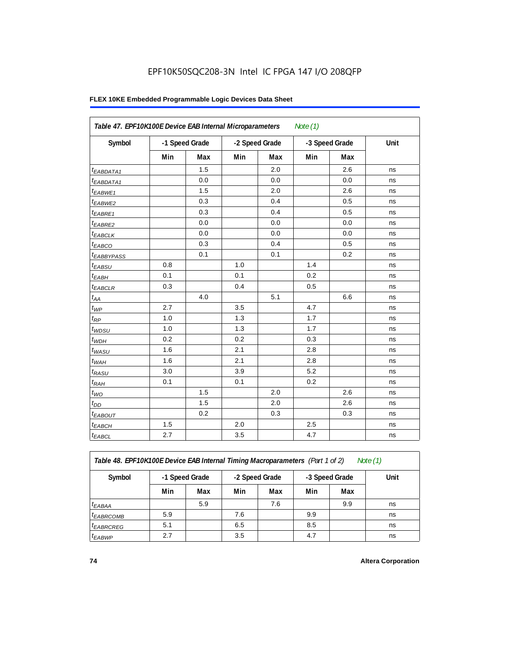#### **FLEX 10KE Embedded Programmable Logic Devices Data Sheet**

| Table 47. EPF10K100E Device EAB Internal Microparameters |                |     |                |     |                |     |      |
|----------------------------------------------------------|----------------|-----|----------------|-----|----------------|-----|------|
| Symbol                                                   | -1 Speed Grade |     | -2 Speed Grade |     | -3 Speed Grade |     | Unit |
|                                                          | Min            | Max | Min            | Max | Min            | Max |      |
| <sup>t</sup> EABDATA1                                    |                | 1.5 |                | 2.0 |                | 2.6 | ns   |
| <sup>t</sup> EABDATA1                                    |                | 0.0 |                | 0.0 |                | 0.0 | ns   |
| <sup>t</sup> EABWE1                                      |                | 1.5 |                | 2.0 |                | 2.6 | ns   |
| t <sub>EABWE2</sub>                                      |                | 0.3 |                | 0.4 |                | 0.5 | ns   |
| <sup>t</sup> EABRE1                                      |                | 0.3 |                | 0.4 |                | 0.5 | ns   |
| $t_{EABRE2}$                                             |                | 0.0 |                | 0.0 |                | 0.0 | ns   |
| t <sub>EABCLK</sub>                                      |                | 0.0 |                | 0.0 |                | 0.0 | ns   |
| t <sub>EABCO</sub>                                       |                | 0.3 |                | 0.4 |                | 0.5 | ns   |
| <sup>t</sup> EABBYPASS                                   |                | 0.1 |                | 0.1 |                | 0.2 | ns   |
| t <sub>EABSU</sub>                                       | 0.8            |     | 1.0            |     | 1.4            |     | ns   |
| $t_{EABH}$                                               | 0.1            |     | 0.1            |     | 0.2            |     | ns   |
| <sup>t</sup> EABCLR                                      | 0.3            |     | 0.4            |     | 0.5            |     | ns   |
| $t_{AA}$                                                 |                | 4.0 |                | 5.1 |                | 6.6 | ns   |
| $t_{WP}$                                                 | 2.7            |     | 3.5            |     | 4.7            |     | ns   |
| $t_{RP}$                                                 | 1.0            |     | 1.3            |     | 1.7            |     | ns   |
| $t_{WDSU}$                                               | 1.0            |     | 1.3            |     | 1.7            |     | ns   |
| $t_{WDH}$                                                | 0.2            |     | 0.2            |     | 0.3            |     | ns   |
| $t_{WASU}$                                               | 1.6            |     | 2.1            |     | 2.8            |     | ns   |
| $t_{WAH}$                                                | 1.6            |     | 2.1            |     | 2.8            |     | ns   |
| $t_{RASU}$                                               | 3.0            |     | 3.9            |     | 5.2            |     | ns   |
| $t_{RAH}$                                                | 0.1            |     | 0.1            |     | 0.2            |     | ns   |
| $t_{WO}$                                                 |                | 1.5 |                | 2.0 |                | 2.6 | ns   |
| $t_{DD}$                                                 |                | 1.5 |                | 2.0 |                | 2.6 | ns   |
| t <sub>EABOUT</sub>                                      |                | 0.2 |                | 0.3 |                | 0.3 | ns   |
| <sup>t</sup> EABCH                                       | 1.5            |     | 2.0            |     | 2.5            |     | ns   |
| $t_{EABCL}$                                              | 2.7            |     | 3.5            |     | 4.7            |     | ns   |

*Table 48. EPF10K100E Device EAB Internal Timing Macroparameters (Part 1 of 2) Note (1)*

| Symbol         | -1 Speed Grade |     | -2 Speed Grade |     | -3 Speed Grade |     | Unit |
|----------------|----------------|-----|----------------|-----|----------------|-----|------|
|                | Min            | Max | Min            | Max | Min            | Max |      |
| $t_{EABA}$     |                | 5.9 |                | 7.6 |                | 9.9 | ns   |
| $t_{EABRCOMB}$ | 5.9            |     | 7.6            |     | 9.9            |     | ns   |
| $t_{EABRCREG}$ | 5.1            |     | 6.5            |     | 8.5            |     | ns   |
| $t_{EABWP}$    | 2.7            |     | 3.5            |     | 4.7            |     | ns   |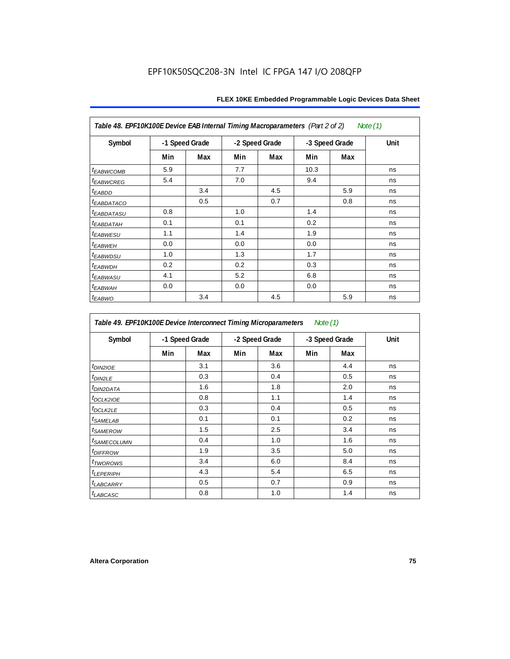| Table 48. EPF10K100E Device EAB Internal Timing Macroparameters (Part 2 of 2)<br>Note (1) |                |     |                |     |                |     |             |  |  |  |
|-------------------------------------------------------------------------------------------|----------------|-----|----------------|-----|----------------|-----|-------------|--|--|--|
| Symbol                                                                                    | -1 Speed Grade |     | -2 Speed Grade |     | -3 Speed Grade |     | <b>Unit</b> |  |  |  |
|                                                                                           | Min            | Max | Min            | Max | Min            | Max |             |  |  |  |
| <i><b>EABWCOMB</b></i>                                                                    | 5.9            |     | 7.7            |     | 10.3           |     | ns          |  |  |  |
| <sup>t</sup> EABWCREG                                                                     | 5.4            |     | 7.0            |     | 9.4            |     | ns          |  |  |  |
| $t_{EABDD}$                                                                               |                | 3.4 |                | 4.5 |                | 5.9 | ns          |  |  |  |
| <sup>t</sup> EABDATACO                                                                    |                | 0.5 |                | 0.7 |                | 0.8 | ns          |  |  |  |
| <sup>t</sup> EABDATASU                                                                    | 0.8            |     | 1.0            |     | 1.4            |     | ns          |  |  |  |
| <sup>t</sup> EABDATAH                                                                     | 0.1            |     | 0.1            |     | 0.2            |     | ns          |  |  |  |
| <i>t<sub>EABWESU</sub></i>                                                                | 1.1            |     | 1.4            |     | 1.9            |     | ns          |  |  |  |
| <b><i>EABWEH</i></b>                                                                      | 0.0            |     | 0.0            |     | 0.0            |     | ns          |  |  |  |
| t <sub>EABWDSU</sub>                                                                      | 1.0            |     | 1.3            |     | 1.7            |     | ns          |  |  |  |
| <sup>t</sup> EABWDH                                                                       | 0.2            |     | 0.2            |     | 0.3            |     | ns          |  |  |  |
| <sup>t</sup> EABWASU                                                                      | 4.1            |     | 5.2            |     | 6.8            |     | ns          |  |  |  |
| <sup>t</sup> EABWAH                                                                       | 0.0            |     | 0.0            |     | 0.0            |     | ns          |  |  |  |
| t <sub>EABWO</sub>                                                                        |                | 3.4 |                | 4.5 |                | 5.9 | ns          |  |  |  |

*Table 49. EPF10K100E Device Interconnect Timing Microparameters Note (1)*

| Symbol                        |     | -1 Speed Grade |     | -2 Speed Grade |     | -3 Speed Grade | Unit |
|-------------------------------|-----|----------------|-----|----------------|-----|----------------|------|
|                               | Min | Max            | Min | Max            | Min | Max            |      |
| $tD$ IN2IOE                   |     | 3.1            |     | 3.6            |     | 4.4            | ns   |
| t <sub>DIN2LE</sub>           |     | 0.3            |     | 0.4            |     | 0.5            | ns   |
| <sup>t</sup> DIN2DATA         |     | 1.6            |     | 1.8            |     | 2.0            | ns   |
| $t_{DCLK2IOE}$                |     | 0.8            |     | 1.1            |     | 1.4            | ns   |
| $t$ DCLK2LE                   |     | 0.3            |     | 0.4            |     | 0.5            | ns   |
| <sup>t</sup> SAMELAB          |     | 0.1            |     | 0.1            |     | 0.2            | ns   |
| <i>t</i> SAMEROW              |     | 1.5            |     | 2.5            |     | 3.4            | ns   |
| <i>t<sub>SAMECOLUMN</sub></i> |     | 0.4            |     | 1.0            |     | 1.6            | ns   |
| <i>t<sub>DIFFROW</sub></i>    |     | 1.9            |     | 3.5            |     | 5.0            | ns   |
| <i>t</i> TWOROWS              |     | 3.4            |     | 6.0            |     | 8.4            | ns   |
| <b><i>LEPERIPH</i></b>        |     | 4.3            |     | 5.4            |     | 6.5            | ns   |
| t <sub>LABCARRY</sub>         |     | 0.5            |     | 0.7            |     | 0.9            | ns   |
| $t_{LABCASC}$                 |     | 0.8            |     | 1.0            |     | 1.4            | ns   |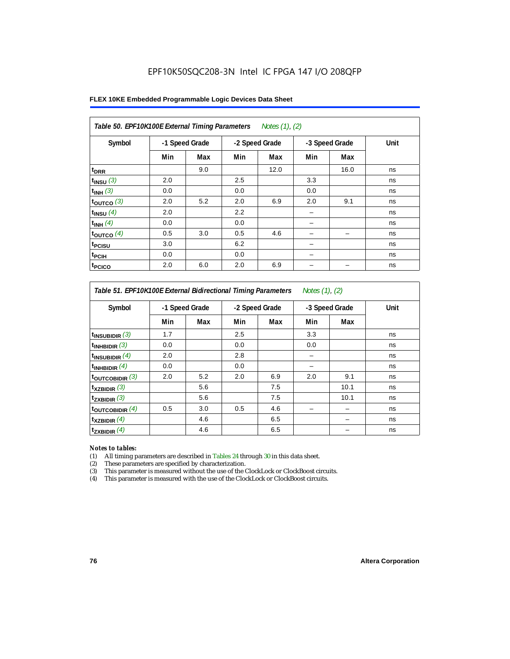#### **FLEX 10KE Embedded Programmable Logic Devices Data Sheet**

| Table 50. EPF10K100E External Timing Parameters Notes (1), (2) |                |     |     |                |     |                |      |  |  |  |
|----------------------------------------------------------------|----------------|-----|-----|----------------|-----|----------------|------|--|--|--|
| Symbol                                                         | -1 Speed Grade |     |     | -2 Speed Grade |     | -3 Speed Grade | Unit |  |  |  |
|                                                                | Min            | Max | Min | Max            | Min | Max            |      |  |  |  |
| t <sub>DRR</sub>                                               |                | 9.0 |     | 12.0           |     | 16.0           | ns   |  |  |  |
| $t$ <sub>INSU</sub> $(3)$                                      | 2.0            |     | 2.5 |                | 3.3 |                | ns   |  |  |  |
| $t_{INH}$ (3)                                                  | 0.0            |     | 0.0 |                | 0.0 |                | ns   |  |  |  |
| $t_{OUTCO}$ (3)                                                | 2.0            | 5.2 | 2.0 | 6.9            | 2.0 | 9.1            | ns   |  |  |  |
| $t_{INSU}$ (4)                                                 | 2.0            |     | 2.2 |                |     |                | ns   |  |  |  |
| $t_{INH}$ (4)                                                  | 0.0            |     | 0.0 |                |     |                | ns   |  |  |  |
| $t_{OUTCO}$ (4)                                                | 0.5            | 3.0 | 0.5 | 4.6            |     |                | ns   |  |  |  |
| t <sub>PCISU</sub>                                             | 3.0            |     | 6.2 |                |     |                | ns   |  |  |  |
| t <sub>PCIH</sub>                                              | 0.0            |     | 0.0 |                | -   |                | ns   |  |  |  |
| t <sub>PCICO</sub>                                             | 2.0            | 6.0 | 2.0 | 6.9            |     |                | ns   |  |  |  |

#### *Table 51. EPF10K100E External Bidirectional Timing Parameters Notes (1), (2)*

| Symbol                      |     | -1 Speed Grade |     | -2 Speed Grade |     | -3 Speed Grade | Unit |
|-----------------------------|-----|----------------|-----|----------------|-----|----------------|------|
|                             | Min | Max            | Min | Max            | Min | Max            |      |
| $t_{INSUBIDIR}$ (3)         | 1.7 |                | 2.5 |                | 3.3 |                | ns   |
| $t_{INHBIDIR}$ (3)          | 0.0 |                | 0.0 |                | 0.0 |                | ns   |
| $t_{INSUBIDIR}(4)$          | 2.0 |                | 2.8 |                |     |                | ns   |
| $t_{INHBIDIR}$ $(4)$        | 0.0 |                | 0.0 |                |     |                | ns   |
| $t_{\text{OUTCOBIDIR}}$ (3) | 2.0 | 5.2            | 2.0 | 6.9            | 2.0 | 9.1            | ns   |
| $t_{XZBIDIR}$ (3)           |     | 5.6            |     | 7.5            |     | 10.1           | ns   |
| $t_{ZXBIDIR}$ (3)           |     | 5.6            |     | 7.5            |     | 10.1           | ns   |
| $t_{\text{OUTCOBIDIR}}$ (4) | 0.5 | 3.0            | 0.5 | 4.6            |     |                | ns   |
| $t_{XZBIDIR}$ (4)           |     | 4.6            |     | 6.5            |     |                | ns   |
| $t_{ZXBIDIR}$ (4)           |     | 4.6            |     | 6.5            |     |                | ns   |

#### *Notes to tables:*

(1) All timing parameters are described in Tables 24 through 30 in this data sheet.

(2) These parameters are specified by characterization.

(3) This parameter is measured without the use of the ClockLock or ClockBoost circuits.

(4) This parameter is measured with the use of the ClockLock or ClockBoost circuits.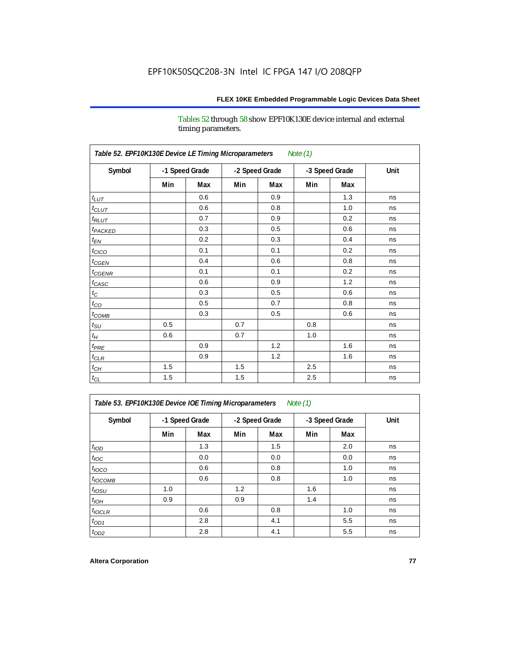Tables 52 through 58 show EPF10K130E device internal and external timing parameters.

| Table 52. EPF10K130E Device LE Timing Microparameters<br><b>Note (1)</b> |     |                |     |                |                |     |      |  |  |
|--------------------------------------------------------------------------|-----|----------------|-----|----------------|----------------|-----|------|--|--|
| Symbol                                                                   |     | -1 Speed Grade |     | -2 Speed Grade | -3 Speed Grade |     | Unit |  |  |
|                                                                          | Min | Max            | Min | Max            | Min            | Max |      |  |  |
| $t_{LUT}$                                                                |     | 0.6            |     | 0.9            |                | 1.3 | ns   |  |  |
| $t_{CLUT}$                                                               |     | 0.6            |     | 0.8            |                | 1.0 | ns   |  |  |
| $t_{RLUT}$                                                               |     | 0.7            |     | 0.9            |                | 0.2 | ns   |  |  |
| t <sub>PACKED</sub>                                                      |     | 0.3            |     | 0.5            |                | 0.6 | ns   |  |  |
| $t_{EN}$                                                                 |     | 0.2            |     | 0.3            |                | 0.4 | ns   |  |  |
| $t_{CICO}$                                                               |     | 0.1            |     | 0.1            |                | 0.2 | ns   |  |  |
| $t_{CGEN}$                                                               |     | 0.4            |     | 0.6            |                | 0.8 | ns   |  |  |
| $t_{CGENR}$                                                              |     | 0.1            |     | 0.1            |                | 0.2 | ns   |  |  |
| $t_{CASC}$                                                               |     | 0.6            |     | 0.9            |                | 1.2 | ns   |  |  |
| $t_{\rm C}$                                                              |     | 0.3            |     | 0.5            |                | 0.6 | ns   |  |  |
| $t_{CO}$                                                                 |     | 0.5            |     | 0.7            |                | 0.8 | ns   |  |  |
| $t_{\text{COMB}}$                                                        |     | 0.3            |     | 0.5            |                | 0.6 | ns   |  |  |
| $t_{\rm SU}$                                                             | 0.5 |                | 0.7 |                | 0.8            |     | ns   |  |  |
| $t_H$                                                                    | 0.6 |                | 0.7 |                | 1.0            |     | ns   |  |  |
| $t_{PRE}$                                                                |     | 0.9            |     | 1.2            |                | 1.6 | ns   |  |  |
| $t_{CLR}$                                                                |     | 0.9            |     | 1.2            |                | 1.6 | ns   |  |  |
| $t_{CH}$                                                                 | 1.5 |                | 1.5 |                | 2.5            |     | ns   |  |  |
| $t_{\rm CL}$                                                             | 1.5 |                | 1.5 |                | 2.5            |     | ns   |  |  |

*Table 53. EPF10K130E Device IOE Timing Microparameters Note (1)*

| Symbol           |     | -1 Speed Grade |     | -2 Speed Grade |     | -3 Speed Grade | Unit |
|------------------|-----|----------------|-----|----------------|-----|----------------|------|
|                  | Min | Max            | Min | Max            | Min | Max            |      |
| t <sub>IOD</sub> |     | 1.3            |     | 1.5            |     | 2.0            | ns   |
| $t_{\text{IOC}}$ |     | 0.0            |     | 0.0            |     | 0.0            | ns   |
| $t_{IOCO}$       |     | 0.6            |     | 0.8            |     | 1.0            | ns   |
| $t_{IOCOMB}$     |     | 0.6            |     | 0.8            |     | 1.0            | ns   |
| $t_{IOSU}$       | 1.0 |                | 1.2 |                | 1.6 |                | ns   |
| $t_{IOH}$        | 0.9 |                | 0.9 |                | 1.4 |                | ns   |
| $t_{IOCLR}$      |     | 0.6            |     | 0.8            |     | 1.0            | ns   |
| $t_{OD1}$        |     | 2.8            |     | 4.1            |     | 5.5            | ns   |
| $t_{OD2}$        |     | 2.8            |     | 4.1            |     | 5.5            | ns   |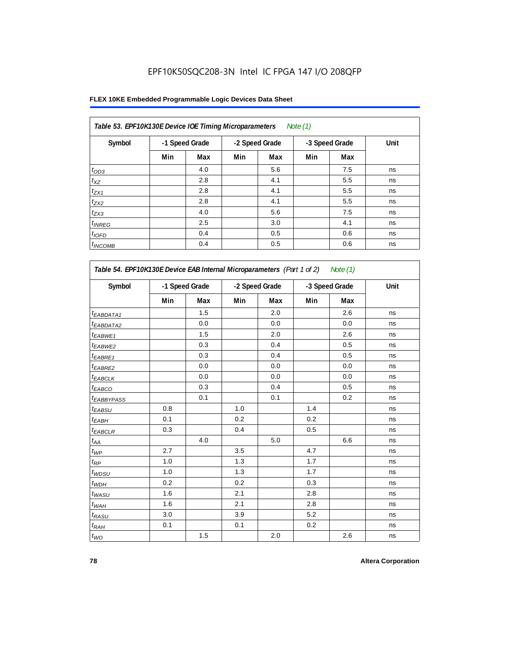#### **FLEX 10KE Embedded Programmable Logic Devices Data Sheet**

| Table 53. EPF10K130E Device IOE Timing Microparameters<br>Note $(1)$ |                |     |                |     |                |     |      |  |  |  |
|----------------------------------------------------------------------|----------------|-----|----------------|-----|----------------|-----|------|--|--|--|
| Symbol                                                               | -1 Speed Grade |     | -2 Speed Grade |     | -3 Speed Grade |     | Unit |  |  |  |
|                                                                      | Min            | Max | Min            | Max | Min            | Max |      |  |  |  |
| $t_{OD3}$                                                            |                | 4.0 |                | 5.6 |                | 7.5 | ns   |  |  |  |
| $t_{XZ}$                                                             |                | 2.8 |                | 4.1 |                | 5.5 | ns   |  |  |  |
| $t_{ZX1}$                                                            |                | 2.8 |                | 4.1 |                | 5.5 | ns   |  |  |  |
| $t_{ZX2}$                                                            |                | 2.8 |                | 4.1 |                | 5.5 | ns   |  |  |  |
| $t_{ZX3}$                                                            |                | 4.0 |                | 5.6 |                | 7.5 | ns   |  |  |  |
| $t_{INREG}$                                                          |                | 2.5 |                | 3.0 |                | 4.1 | ns   |  |  |  |
| $t_{IOFD}$                                                           |                | 0.4 |                | 0.5 |                | 0.6 | ns   |  |  |  |
| $t_{INCOMB}$                                                         |                | 0.4 |                | 0.5 |                | 0.6 | ns   |  |  |  |

| Symbol                 |     | -1 Speed Grade | -2 Speed Grade |     |     | -3 Speed Grade | Unit |
|------------------------|-----|----------------|----------------|-----|-----|----------------|------|
|                        | Min | Max            | Min            | Max | Min | Max            |      |
| <sup>t</sup> EABDATA1  |     | 1.5            |                | 2.0 |     | 2.6            | ns   |
| t <sub>EABDATA2</sub>  |     | 0.0            |                | 0.0 |     | 0.0            | ns   |
| t <sub>EABWE1</sub>    |     | 1.5            |                | 2.0 |     | 2.6            | ns   |
| <sup>t</sup> EABWE2    |     | 0.3            |                | 0.4 |     | 0.5            | ns   |
| <sup>t</sup> EABRE1    |     | 0.3            |                | 0.4 |     | 0.5            | ns   |
| <sup>t</sup> EABRE2    |     | 0.0            |                | 0.0 |     | 0.0            | ns   |
| $t_{EABCLK}$           |     | 0.0            |                | 0.0 |     | 0.0            | ns   |
| t <sub>EABCO</sub>     |     | 0.3            |                | 0.4 |     | 0.5            | ns   |
| t <sub>EABBYPASS</sub> |     | 0.1            |                | 0.1 |     | 0.2            | ns   |
| t <sub>EABSU</sub>     | 0.8 |                | 1.0            |     | 1.4 |                | ns   |
| t <sub>ЕАВН</sub>      | 0.1 |                | 0.2            |     | 0.2 |                | ns   |
| <sup>t</sup> EABCLR    | 0.3 |                | 0.4            |     | 0.5 |                | ns   |
| t <sub>АА</sub>        |     | 4.0            |                | 5.0 |     | 6.6            | ns   |
| $t_{\mathcal{WP}}$     | 2.7 |                | 3.5            |     | 4.7 |                | ns   |
| $t_{\mathsf{RP}}$      | 1.0 |                | 1.3            |     | 1.7 |                | ns   |
| $t_{WDSU}$             | 1.0 |                | 1.3            |     | 1.7 |                | ns   |
| $t_{WDH}$              | 0.2 |                | 0.2            |     | 0.3 |                | ns   |
| $t_{WASU}$             | 1.6 |                | 2.1            |     | 2.8 |                | ns   |
| $t_{WAH}$              | 1.6 |                | 2.1            |     | 2.8 |                | ns   |
| t <sub>RASU</sub>      | 3.0 |                | 3.9            |     | 5.2 |                | ns   |
| $t_{RAH}$              | 0.1 |                | 0.1            |     | 0.2 |                | ns   |
| $t_{WQ}$               |     | 1.5            |                | 2.0 |     | 2.6            | ns   |

'n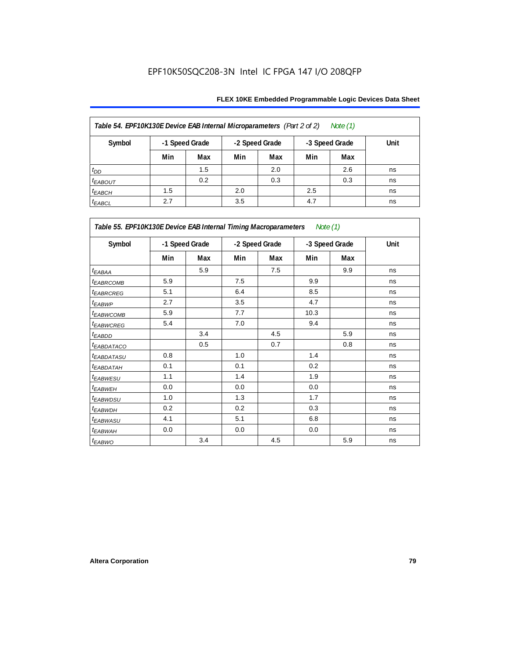| Table 54. EPF10K130E Device EAB Internal Microparameters (Part 2 of 2)<br>Note $(1)$ |                                                    |     |     |      |     |     |    |  |  |  |
|--------------------------------------------------------------------------------------|----------------------------------------------------|-----|-----|------|-----|-----|----|--|--|--|
| Symbol                                                                               | -1 Speed Grade<br>-2 Speed Grade<br>-3 Speed Grade |     |     | Unit |     |     |    |  |  |  |
|                                                                                      | Min                                                | Max | Min | Max  | Min | Max |    |  |  |  |
| $t_{DD}$                                                                             |                                                    | 1.5 |     | 2.0  |     | 2.6 | ns |  |  |  |
| $t_{EABOUT}$                                                                         |                                                    | 0.2 |     | 0.3  |     | 0.3 | ns |  |  |  |
| $t_{EABCH}$                                                                          | 1.5                                                |     | 2.0 |      | 2.5 |     | ns |  |  |  |
| $t_{EABCL}$                                                                          | 2.7                                                |     | 3.5 |      | 4.7 |     | ns |  |  |  |

| Table 55. EPF10K130E Device EAB Internal Timing Macroparameters Note (1) |                |     |                |     |                |     |             |  |  |  |
|--------------------------------------------------------------------------|----------------|-----|----------------|-----|----------------|-----|-------------|--|--|--|
| Symbol                                                                   | -1 Speed Grade |     | -2 Speed Grade |     | -3 Speed Grade |     | <b>Unit</b> |  |  |  |
|                                                                          | Min            | Max | Min            | Max | Min            | Max |             |  |  |  |
| $t_{EABA}$                                                               |                | 5.9 |                | 7.5 |                | 9.9 | ns          |  |  |  |
| <i>EABRCOMB</i>                                                          | 5.9            |     | 7.5            |     | 9.9            |     | ns          |  |  |  |
| <sup>t</sup> EABRCREG                                                    | 5.1            |     | 6.4            |     | 8.5            |     | ns          |  |  |  |
| t <sub>EABWP</sub>                                                       | 2.7            |     | 3.5            |     | 4.7            |     | ns          |  |  |  |
| t <sub>EABWCOMB</sub>                                                    | 5.9            |     | 7.7            |     | 10.3           |     | ns          |  |  |  |
| t <sub>EABWCREG</sub>                                                    | 5.4            |     | 7.0            |     | 9.4            |     | ns          |  |  |  |
| <sup>t</sup> EABDD                                                       |                | 3.4 |                | 4.5 |                | 5.9 | ns          |  |  |  |
| <sup>t</sup> EABDATACO                                                   |                | 0.5 |                | 0.7 |                | 0.8 | ns          |  |  |  |
| <sup>t</sup> EABDATASU                                                   | 0.8            |     | 1.0            |     | 1.4            |     | ns          |  |  |  |
| <sup>t</sup> EABDATAH                                                    | 0.1            |     | 0.1            |     | 0.2            |     | ns          |  |  |  |
| <sup>t</sup> EABWESU                                                     | 1.1            |     | 1.4            |     | 1.9            |     | ns          |  |  |  |
| <sup>t</sup> EABWEH                                                      | 0.0            |     | 0.0            |     | 0.0            |     | ns          |  |  |  |
| <sup>t</sup> EABWDSU                                                     | 1.0            |     | 1.3            |     | 1.7            |     | ns          |  |  |  |
| <sup>t</sup> EABWDH                                                      | 0.2            |     | 0.2            |     | 0.3            |     | ns          |  |  |  |
| <sup>t</sup> EABWASU                                                     | 4.1            |     | 5.1            |     | 6.8            |     | ns          |  |  |  |
| <sup>t</sup> EABWAH                                                      | 0.0            |     | 0.0            |     | 0.0            |     | ns          |  |  |  |
| t <sub>EABWO</sub>                                                       |                | 3.4 |                | 4.5 |                | 5.9 | ns          |  |  |  |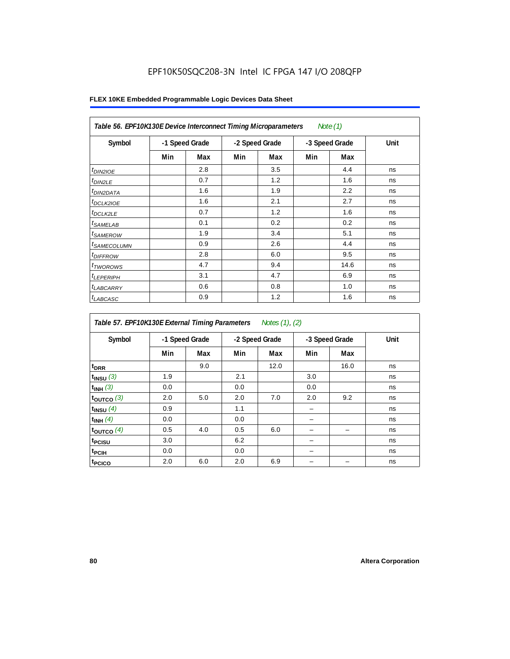| Table 56. EPF10K130E Device Interconnect Timing Microparameters<br>Note $(1)$ |                |     |                |     |                |      |      |  |  |  |
|-------------------------------------------------------------------------------|----------------|-----|----------------|-----|----------------|------|------|--|--|--|
| Symbol                                                                        | -1 Speed Grade |     | -2 Speed Grade |     | -3 Speed Grade |      | Unit |  |  |  |
|                                                                               | Min            | Max | Min            | Max | Min            | Max  |      |  |  |  |
| $t_{DIN2IOE}$                                                                 |                | 2.8 |                | 3.5 |                | 4.4  | ns   |  |  |  |
| $t_{DIN2LE}$                                                                  |                | 0.7 |                | 1.2 |                | 1.6  | ns   |  |  |  |
| <sup>t</sup> DIN2DATA                                                         |                | 1.6 |                | 1.9 |                | 2.2  | ns   |  |  |  |
| $t_{DCLK2IOE}$                                                                |                | 1.6 |                | 2.1 |                | 2.7  | ns   |  |  |  |
| $t_{DCLK2LE}$                                                                 |                | 0.7 |                | 1.2 |                | 1.6  | ns   |  |  |  |
| <sup>t</sup> SAMELAB                                                          |                | 0.1 |                | 0.2 |                | 0.2  | ns   |  |  |  |
| <sup>t</sup> SAMEROW                                                          |                | 1.9 |                | 3.4 |                | 5.1  | ns   |  |  |  |
| <sup>t</sup> SAMECOLUMN                                                       |                | 0.9 |                | 2.6 |                | 4.4  | ns   |  |  |  |
| <i>t<sub>DIFFROW</sub></i>                                                    |                | 2.8 |                | 6.0 |                | 9.5  | ns   |  |  |  |
| <sup>t</sup> TWOROWS                                                          |                | 4.7 |                | 9.4 |                | 14.6 | ns   |  |  |  |
| <sup>t</sup> LEPERIPH                                                         |                | 3.1 |                | 4.7 |                | 6.9  | ns   |  |  |  |
| <sup>t</sup> LABCARRY                                                         |                | 0.6 |                | 0.8 |                | 1.0  | ns   |  |  |  |
| <sup>t</sup> LABCASC                                                          |                | 0.9 |                | 1.2 |                | 1.6  | ns   |  |  |  |

| Table 57. EPF10K130E External Timing Parameters Notes (1), (2) |     |                |     |                |     |                |      |  |  |  |
|----------------------------------------------------------------|-----|----------------|-----|----------------|-----|----------------|------|--|--|--|
| Symbol                                                         |     | -1 Speed Grade |     | -2 Speed Grade |     | -3 Speed Grade | Unit |  |  |  |
|                                                                | Min | Max            | Min | Max            | Min | Max            |      |  |  |  |
| t <sub>DRR</sub>                                               |     | 9.0            |     | 12.0           |     | 16.0           | ns   |  |  |  |
| $t_{INSU}$ (3)                                                 | 1.9 |                | 2.1 |                | 3.0 |                | ns   |  |  |  |
| $t_{INH}$ (3)                                                  | 0.0 |                | 0.0 |                | 0.0 |                | ns   |  |  |  |
| $t_{OUTCO}$ (3)                                                | 2.0 | 5.0            | 2.0 | 7.0            | 2.0 | 9.2            | ns   |  |  |  |
| $t_{INSU}$ (4)                                                 | 0.9 |                | 1.1 |                |     |                | ns   |  |  |  |
| $t_{INH}$ (4)                                                  | 0.0 |                | 0.0 |                |     |                | ns   |  |  |  |
| toutco $(4)$                                                   | 0.5 | 4.0            | 0.5 | 6.0            |     |                | ns   |  |  |  |
| t <sub>PCISU</sub>                                             | 3.0 |                | 6.2 |                |     |                | ns   |  |  |  |
| $t_{PCH}$                                                      | 0.0 |                | 0.0 |                |     |                | ns   |  |  |  |
| <sup>t</sup> PCICO                                             | 2.0 | 6.0            | 2.0 | 6.9            |     |                | ns   |  |  |  |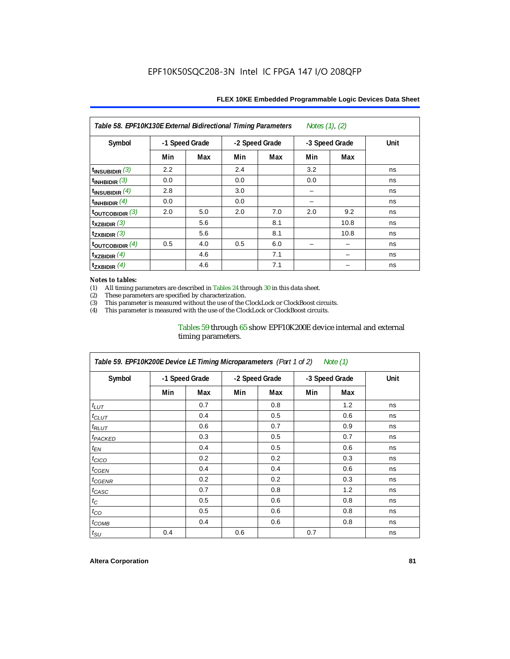| Table 58. EPF10K130E External Bidirectional Timing Parameters<br>Notes (1), (2) |                |     |                |     |     |                |      |  |  |  |
|---------------------------------------------------------------------------------|----------------|-----|----------------|-----|-----|----------------|------|--|--|--|
| Symbol                                                                          | -1 Speed Grade |     | -2 Speed Grade |     |     | -3 Speed Grade | Unit |  |  |  |
|                                                                                 | Min            | Max | Min            | Max | Min | Max            |      |  |  |  |
| $t_{\text{INSUBIDIR}}$ (3)                                                      | 2.2            |     | 2.4            |     | 3.2 |                | ns   |  |  |  |
| $t_{INHBIDIR}$ (3)                                                              | 0.0            |     | 0.0            |     | 0.0 |                | ns   |  |  |  |
| $\mathsf{t}_{\mathsf{INSUBIDIR}}$ (4)                                           | 2.8            |     | 3.0            |     |     |                | ns   |  |  |  |
| $t_{\text{INHBIDIR}}$ $(4)$                                                     | 0.0            |     | 0.0            |     |     |                | ns   |  |  |  |
| $\frac{1}{2}$ toutcobidir $\frac{3}{2}$                                         | 2.0            | 5.0 | 2.0            | 7.0 | 2.0 | 9.2            | ns   |  |  |  |
| $\mathsf{t}_{\mathsf{XZBIDIR}}$ (3)                                             |                | 5.6 |                | 8.1 |     | 10.8           | ns   |  |  |  |
| $t_{ZXBIDIR}$ (3)                                                               |                | 5.6 |                | 8.1 |     | 10.8           | ns   |  |  |  |
| toutcobidir $(4)$                                                               | 0.5            | 4.0 | 0.5            | 6.0 |     |                | ns   |  |  |  |
| $t_{XZBIDIR}$ (4)                                                               |                | 4.6 |                | 7.1 |     |                | ns   |  |  |  |
| $t_{ZXBIDIR}$ $(4)$                                                             |                | 4.6 |                | 7.1 |     |                | ns   |  |  |  |

#### *Notes to tables:*

(1) All timing parameters are described in Tables 24 through 30 in this data sheet.<br>(2) These parameters are specified by characterization.

(2) These parameters are specified by characterization.<br>
(3) This parameter is measured without the use of the C

This parameter is measured without the use of the ClockLock or ClockBoost circuits.

(4) This parameter is measured with the use of the ClockLock or ClockBoost circuits.

#### Tables 59 through 65 show EPF10K200E device internal and external timing parameters.

| Table 59. EPF10K200E Device LE Timing Microparameters (Part 1 of 2) Note (1) |     |                |     |                |     |                |             |  |  |  |
|------------------------------------------------------------------------------|-----|----------------|-----|----------------|-----|----------------|-------------|--|--|--|
| Symbol                                                                       |     | -1 Speed Grade |     | -2 Speed Grade |     | -3 Speed Grade | <b>Unit</b> |  |  |  |
|                                                                              | Min | Max            | Min | Max            | Min | Max            |             |  |  |  |
| $t_{LUT}$                                                                    |     | 0.7            |     | 0.8            |     | 1.2            | ns          |  |  |  |
| $t_{CLUT}$                                                                   |     | 0.4            |     | 0.5            |     | 0.6            | ns          |  |  |  |
| $t_{RLUT}$                                                                   |     | 0.6            |     | 0.7            |     | 0.9            | ns          |  |  |  |
| <sup>t</sup> PACKED                                                          |     | 0.3            |     | 0.5            |     | 0.7            | ns          |  |  |  |
| $t_{EN}$                                                                     |     | 0.4            |     | 0.5            |     | 0.6            | ns          |  |  |  |
| $t_{CICO}$                                                                   |     | 0.2            |     | 0.2            |     | 0.3            | ns          |  |  |  |
| $t_{CGEN}$                                                                   |     | 0.4            |     | 0.4            |     | 0.6            | ns          |  |  |  |
| t <sub>CGENR</sub>                                                           |     | 0.2            |     | 0.2            |     | 0.3            | ns          |  |  |  |
| $t_{CASC}$                                                                   |     | 0.7            |     | 0.8            |     | 1.2            | ns          |  |  |  |
| $t_{\rm C}$                                                                  |     | 0.5            |     | 0.6            |     | 0.8            | ns          |  |  |  |
| $t_{CO}$                                                                     |     | 0.5            |     | 0.6            |     | 0.8            | ns          |  |  |  |
| $t_{COMB}$                                                                   |     | 0.4            |     | 0.6            |     | 0.8            | ns          |  |  |  |
| $t_{\rm SU}$                                                                 | 0.4 |                | 0.6 |                | 0.7 |                | ns          |  |  |  |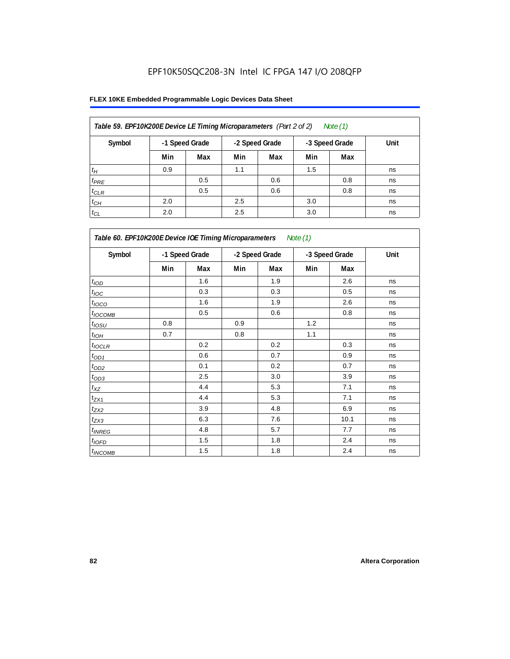| Table 59. EPF10K200E Device LE Timing Microparameters (Part 2 of 2)<br>Note (1) |                |     |     |                |     |                |      |  |  |
|---------------------------------------------------------------------------------|----------------|-----|-----|----------------|-----|----------------|------|--|--|
| Symbol                                                                          | -1 Speed Grade |     |     | -2 Speed Grade |     | -3 Speed Grade | Unit |  |  |
|                                                                                 | Min            | Max | Min | Max            | Min | Max            |      |  |  |
| $t_H$                                                                           | 0.9            |     | 1.1 |                | 1.5 |                | ns   |  |  |
| $t_{PRE}$                                                                       |                | 0.5 |     | 0.6            |     | 0.8            | ns   |  |  |
| $t_{CLR}$                                                                       |                | 0.5 |     | 0.6            |     | 0.8            | ns   |  |  |
| $t_{CH}$                                                                        | 2.0            |     | 2.5 |                | 3.0 |                | ns   |  |  |
| $t_{CL}$                                                                        | 2.0            |     | 2.5 |                | 3.0 |                | ns   |  |  |

| Table 60. EPF10K200E Device IOE Timing Microparameters Note (1) |                |     |                |     |                |      |      |  |  |  |
|-----------------------------------------------------------------|----------------|-----|----------------|-----|----------------|------|------|--|--|--|
| Symbol                                                          | -1 Speed Grade |     | -2 Speed Grade |     | -3 Speed Grade |      | Unit |  |  |  |
|                                                                 | Min            | Max | Min            | Max | Min            | Max  |      |  |  |  |
| t <sub>IOD</sub>                                                |                | 1.6 |                | 1.9 |                | 2.6  | ns   |  |  |  |
| $t_{\text{IOC}}$                                                |                | 0.3 |                | 0.3 |                | 0.5  | ns   |  |  |  |
| $t_{IOCO}$                                                      |                | 1.6 |                | 1.9 |                | 2.6  | ns   |  |  |  |
| $t_{IOCOMB}$                                                    |                | 0.5 |                | 0.6 |                | 0.8  | ns   |  |  |  |
| $t_{IOSU}$                                                      | 0.8            |     | 0.9            |     | 1.2            |      | ns   |  |  |  |
| $t_{IOH}$                                                       | 0.7            |     | 0.8            |     | 1.1            |      | ns   |  |  |  |
| $t_{IOCLR}$                                                     |                | 0.2 |                | 0.2 |                | 0.3  | ns   |  |  |  |
| $t_{OD1}$                                                       |                | 0.6 |                | 0.7 |                | 0.9  | ns   |  |  |  |
| $t_{OD2}$                                                       |                | 0.1 |                | 0.2 |                | 0.7  | ns   |  |  |  |
| $t_{\underline{OD3}}$                                           |                | 2.5 |                | 3.0 |                | 3.9  | ns   |  |  |  |
| $t_{\mathsf{XZ}}$                                               |                | 4.4 |                | 5.3 |                | 7.1  | ns   |  |  |  |
| $t_{ZX1}$                                                       |                | 4.4 |                | 5.3 |                | 7.1  | ns   |  |  |  |
| $t_{ZX2}$                                                       |                | 3.9 |                | 4.8 |                | 6.9  | ns   |  |  |  |
| $t_{ZX3}$                                                       |                | 6.3 |                | 7.6 |                | 10.1 | ns   |  |  |  |
| $t_{INREG}$                                                     |                | 4.8 |                | 5.7 |                | 7.7  | ns   |  |  |  |
| $t_{IOFD}$                                                      |                | 1.5 |                | 1.8 |                | 2.4  | ns   |  |  |  |
| $t_{INCOMB}$                                                    |                | 1.5 |                | 1.8 |                | 2.4  | ns   |  |  |  |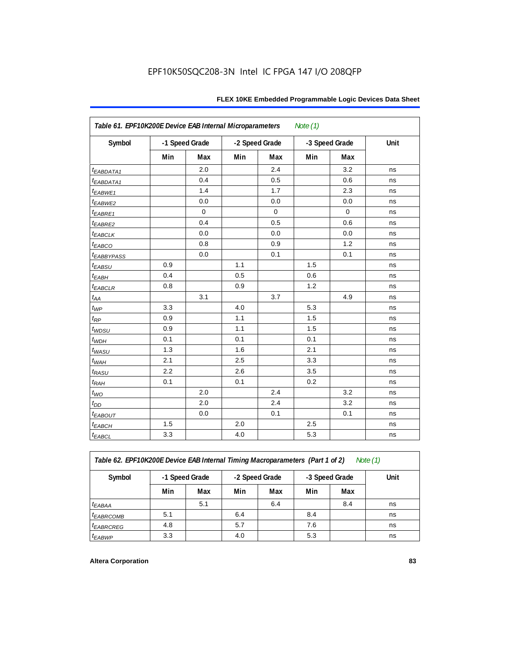| Table 61. EPF10K200E Device EAB Internal Microparameters<br>Note $(1)$ |     |                |     |                |     |                |      |  |
|------------------------------------------------------------------------|-----|----------------|-----|----------------|-----|----------------|------|--|
| Symbol                                                                 |     | -1 Speed Grade |     | -2 Speed Grade |     | -3 Speed Grade | Unit |  |
|                                                                        | Min | Max            | Min | Max            | Min | Max            |      |  |
| t <sub>EABDATA1</sub>                                                  |     | 2.0            |     | 2.4            |     | 3.2            | ns   |  |
| t <sub>EABDATA1</sub>                                                  |     | 0.4            |     | 0.5            |     | 0.6            | ns   |  |
| t <sub>EABWE1</sub>                                                    |     | 1.4            |     | 1.7            |     | 2.3            | ns   |  |
| t <sub>EABWE2</sub>                                                    |     | 0.0            |     | 0.0            |     | 0.0            | ns   |  |
| $t_{EABRE1}$                                                           |     | $\mathbf 0$    |     | $\mathbf 0$    |     | $\pmb{0}$      | ns   |  |
| t <sub>EABRE2</sub>                                                    |     | 0.4            |     | 0.5            |     | 0.6            | ns   |  |
| $t_{EABCLK}$                                                           |     | 0.0            |     | 0.0            |     | 0.0            | ns   |  |
| t <sub>EABCO</sub>                                                     |     | 0.8            |     | 0.9            |     | 1.2            | ns   |  |
| <sup>t</sup> EABBYPASS                                                 |     | 0.0            |     | 0.1            |     | 0.1            | ns   |  |
| $t_{EABSU}$                                                            | 0.9 |                | 1.1 |                | 1.5 |                | ns   |  |
| $t_{EABH}$                                                             | 0.4 |                | 0.5 |                | 0.6 |                | ns   |  |
| $t_{EABCLR}$                                                           | 0.8 |                | 0.9 |                | 1.2 |                | ns   |  |
| $t_{AA}$                                                               |     | 3.1            |     | 3.7            |     | 4.9            | ns   |  |
| $t_{\mathit{WP}}$                                                      | 3.3 |                | 4.0 |                | 5.3 |                | ns   |  |
| $t_{RP}$                                                               | 0.9 |                | 1.1 |                | 1.5 |                | ns   |  |
| $t_{WDSU}$                                                             | 0.9 |                | 1.1 |                | 1.5 |                | ns   |  |
| $t_{WDH}$                                                              | 0.1 |                | 0.1 |                | 0.1 |                | ns   |  |
| $t_{\text{WASU}}$                                                      | 1.3 |                | 1.6 |                | 2.1 |                | ns   |  |
| $t_{W\!AH}$                                                            | 2.1 |                | 2.5 |                | 3.3 |                | ns   |  |
| $t_{RASU}$                                                             | 2.2 |                | 2.6 |                | 3.5 |                | ns   |  |
| $t_{RAH}$                                                              | 0.1 |                | 0.1 |                | 0.2 |                | ns   |  |
| $t_{WO}$                                                               |     | 2.0            |     | 2.4            |     | 3.2            | ns   |  |
| $t_{DD}$                                                               |     | 2.0            |     | 2.4            |     | 3.2            | ns   |  |
| $t_{EABOUT}$                                                           |     | 0.0            |     | 0.1            |     | 0.1            | ns   |  |
| $t_{EABCH}$                                                            | 1.5 |                | 2.0 |                | 2.5 |                | ns   |  |
| $t_{EABCL}$                                                            | 3.3 |                | 4.0 |                | 5.3 |                | ns   |  |

*Table 62. EPF10K200E Device EAB Internal Timing Macroparameters (Part 1 of 2) Note (1)*

| Symbol                      | -1 Speed Grade |     | -2 Speed Grade |     | -3 Speed Grade |     | <b>Unit</b> |  |  |
|-----------------------------|----------------|-----|----------------|-----|----------------|-----|-------------|--|--|
|                             | Min            | Max | Min            | Max | Min            | Max |             |  |  |
| <sup>t</sup> EABAA          |                | 5.1 |                | 6.4 |                | 8.4 | ns          |  |  |
| <i>t<sub>EABRCOMB</sub></i> | 5.1            |     | 6.4            |     | 8.4            |     | ns          |  |  |
| <b><i>EABRCREG</i></b>      | 4.8            |     | 5.7            |     | 7.6            |     | ns          |  |  |
| <b>t</b> EABWP              | 3.3            |     | 4.0            |     | 5.3            |     | ns          |  |  |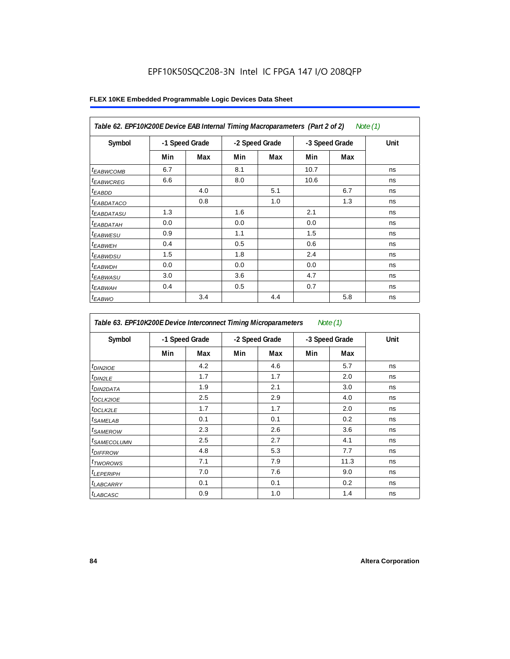| Table 62. EPF10K200E Device EAB Internal Timing Macroparameters (Part 2 of 2)<br>Note $(1)$ |     |                |                |     |                |     |      |  |  |
|---------------------------------------------------------------------------------------------|-----|----------------|----------------|-----|----------------|-----|------|--|--|
| Symbol                                                                                      |     | -1 Speed Grade | -2 Speed Grade |     | -3 Speed Grade |     | Unit |  |  |
|                                                                                             | Min | Max            | Min            | Max | Min            | Max |      |  |  |
| <sup>t</sup> EABWCOMB                                                                       | 6.7 |                | 8.1            |     | 10.7           |     | ns   |  |  |
| <sup>t</sup> EABWCREG                                                                       | 6.6 |                | 8.0            |     | 10.6           |     | ns   |  |  |
| <sup>t</sup> EABDD                                                                          |     | 4.0            |                | 5.1 |                | 6.7 | ns   |  |  |
| <sup>t</sup> EABDATACO                                                                      |     | 0.8            |                | 1.0 |                | 1.3 | ns   |  |  |
| <sup>t</sup> EABDATASU                                                                      | 1.3 |                | 1.6            |     | 2.1            |     | ns   |  |  |
| <sup>t</sup> EABDATAH                                                                       | 0.0 |                | 0.0            |     | 0.0            |     | ns   |  |  |
| <sup>t</sup> EABWESU                                                                        | 0.9 |                | 1.1            |     | 1.5            |     | ns   |  |  |
| $t_{EABWEH}$                                                                                | 0.4 |                | 0.5            |     | 0.6            |     | ns   |  |  |
| <sup>t</sup> EABWDSU                                                                        | 1.5 |                | 1.8            |     | 2.4            |     | ns   |  |  |
| <sup>t</sup> EABWDH                                                                         | 0.0 |                | 0.0            |     | 0.0            |     | ns   |  |  |
| <sup>t</sup> EABWASU                                                                        | 3.0 |                | 3.6            |     | 4.7            |     | ns   |  |  |
| <sup>t</sup> EABWAH                                                                         | 0.4 |                | 0.5            |     | 0.7            |     | ns   |  |  |
| $t_{EABWO}$                                                                                 |     | 3.4            |                | 4.4 |                | 5.8 | ns   |  |  |

| Table 63. EPF10K200E Device Interconnect Timing Microparameters<br>Note $(1)$ |     |                |                |     |                |      |      |  |  |
|-------------------------------------------------------------------------------|-----|----------------|----------------|-----|----------------|------|------|--|--|
| Symbol                                                                        |     | -1 Speed Grade | -2 Speed Grade |     | -3 Speed Grade |      | Unit |  |  |
|                                                                               | Min | Max            | Min            | Max | Min            | Max  |      |  |  |
| $t_{DIN2IOE}$                                                                 |     | 4.2            |                | 4.6 |                | 5.7  | ns   |  |  |
| $t_{DIN2LE}$                                                                  |     | 1.7            |                | 1.7 |                | 2.0  | ns   |  |  |
| <sup>t</sup> DIN2DATA                                                         |     | 1.9            |                | 2.1 |                | 3.0  | ns   |  |  |
| <sup>t</sup> DCLK2IOE                                                         |     | 2.5            |                | 2.9 |                | 4.0  | ns   |  |  |
| <sup>t</sup> DCLK2LE                                                          |     | 1.7            |                | 1.7 |                | 2.0  | ns   |  |  |
| <sup>t</sup> SAMELAB                                                          |     | 0.1            |                | 0.1 |                | 0.2  | ns   |  |  |
| <sup>t</sup> SAMEROW                                                          |     | 2.3            |                | 2.6 |                | 3.6  | ns   |  |  |
| <sup>t</sup> SAMECOLUMN                                                       |     | 2.5            |                | 2.7 |                | 4.1  | ns   |  |  |
| <sup>t</sup> DIFFROW                                                          |     | 4.8            |                | 5.3 |                | 7.7  | ns   |  |  |
| t <sub>TWOROWS</sub>                                                          |     | 7.1            |                | 7.9 |                | 11.3 | ns   |  |  |
| $t_{LEPERIPH}$                                                                |     | 7.0            |                | 7.6 |                | 9.0  | ns   |  |  |
| <sup>t</sup> LABCARRY                                                         |     | 0.1            |                | 0.1 |                | 0.2  | ns   |  |  |
| <sup>t</sup> LABCASC                                                          |     | 0.9            |                | 1.0 |                | 1.4  | ns   |  |  |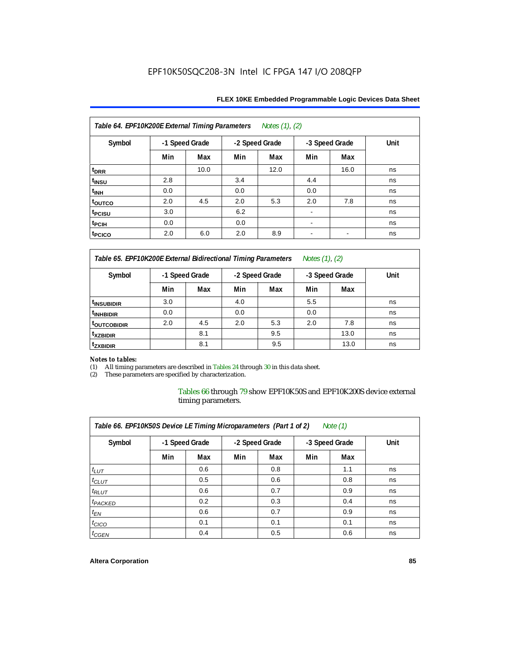| FLEX 10KE Embedded Programmable Logic Devices Data Sheet |  |
|----------------------------------------------------------|--|
|----------------------------------------------------------|--|

| Table 64. EPF10K200E External Timing Parameters<br>Notes (1), (2) |                |      |     |                |     |                          |      |  |  |
|-------------------------------------------------------------------|----------------|------|-----|----------------|-----|--------------------------|------|--|--|
| Symbol                                                            | -1 Speed Grade |      |     | -2 Speed Grade |     | -3 Speed Grade           | Unit |  |  |
|                                                                   | Min            | Max  | Min | Max            | Min | Max                      |      |  |  |
| t <sub>DRR</sub>                                                  |                | 10.0 |     | 12.0           |     | 16.0                     | ns   |  |  |
| t <sub>INSU</sub>                                                 | 2.8            |      | 3.4 |                | 4.4 |                          | ns   |  |  |
| $t_{\mathsf{INH}}$                                                | 0.0            |      | 0.0 |                | 0.0 |                          | ns   |  |  |
| toutco                                                            | 2.0            | 4.5  | 2.0 | 5.3            | 2.0 | 7.8                      | ns   |  |  |
| t <sub>PCISU</sub>                                                | 3.0            |      | 6.2 |                |     |                          | ns   |  |  |
| t <sub>PCIH</sub>                                                 | 0.0            |      | 0.0 |                |     |                          | ns   |  |  |
| t <sub>PCICO</sub>                                                | 2.0            | 6.0  | 2.0 | 8.9            | -   | $\overline{\phantom{a}}$ | ns   |  |  |

*Table 65. EPF10K200E External Bidirectional Timing Parameters Notes (1), (2)*

| Symbol                  | -1 Speed Grade |     | -2 Speed Grade |     | -3 Speed Grade |      | Unit |  |
|-------------------------|----------------|-----|----------------|-----|----------------|------|------|--|
|                         | Min            | Max | Min            | Max | Min            | Max  |      |  |
| <sup>t</sup> INSUBIDIR  | 3.0            |     | 4.0            |     | 5.5            |      | ns   |  |
| <sup>t</sup> INHBIDIR   | 0.0            |     | 0.0            |     | 0.0            |      | ns   |  |
| <sup>T</sup> OUTCOBIDIR | 2.0            | 4.5 | 2.0            | 5.3 | 2.0            | 7.8  | ns   |  |
| <sup>t</sup> xzbidir    |                | 8.1 |                | 9.5 |                | 13.0 | ns   |  |
| <sup>T</sup> ZXBIDIR    |                | 8.1 |                | 9.5 |                | 13.0 | ns   |  |

# *Notes to tables:*

(1) All timing parameters are described in Tables 24 through 30 in this data sheet.<br>(2) These parameters are specified by characterization.

These parameters are specified by characterization.

Tables 66 through 79 show EPF10K50S and EPF10K200S device external timing parameters.

| Table 66. EPF10K50S Device LE Timing Microparameters (Part 1 of 2)<br>Note $(1)$ |                |     |     |                |     |                |      |  |  |  |
|----------------------------------------------------------------------------------|----------------|-----|-----|----------------|-----|----------------|------|--|--|--|
| Symbol                                                                           | -1 Speed Grade |     |     | -2 Speed Grade |     | -3 Speed Grade | Unit |  |  |  |
|                                                                                  | Min            | Max | Min | Max            | Min | Max            |      |  |  |  |
| $t_{LUT}$                                                                        |                | 0.6 |     | 0.8            |     | 1.1            | ns   |  |  |  |
| $t_{CLUT}$                                                                       |                | 0.5 |     | 0.6            |     | 0.8            | ns   |  |  |  |
| $t_{RLUT}$                                                                       |                | 0.6 |     | 0.7            |     | 0.9            | ns   |  |  |  |
| <sup>t</sup> PACKED                                                              |                | 0.2 |     | 0.3            |     | 0.4            | ns   |  |  |  |
| $t_{EN}$                                                                         |                | 0.6 |     | 0.7            |     | 0.9            | ns   |  |  |  |
| $t_{CICO}$                                                                       |                | 0.1 |     | 0.1            |     | 0.1            | ns   |  |  |  |
| $t_{GEN}$                                                                        |                | 0.4 |     | 0.5            |     | 0.6            | ns   |  |  |  |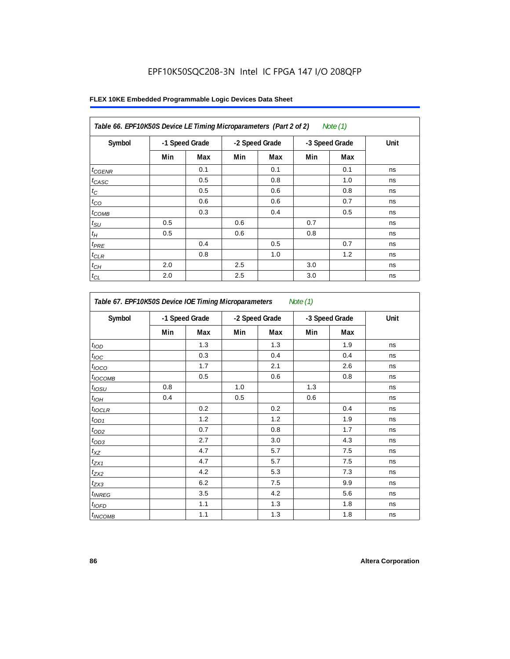| Table 66. EPF10K50S Device LE Timing Microparameters (Part 2 of 2)<br>Note (1) |                |     |     |                |     |                |      |  |  |
|--------------------------------------------------------------------------------|----------------|-----|-----|----------------|-----|----------------|------|--|--|
| Symbol                                                                         | -1 Speed Grade |     |     | -2 Speed Grade |     | -3 Speed Grade | Unit |  |  |
|                                                                                | Min            | Max | Min | Max            | Min | Max            |      |  |  |
| $t_{GENR}$                                                                     |                | 0.1 |     | 0.1            |     | 0.1            | ns   |  |  |
| $t_{CASC}$                                                                     |                | 0.5 |     | 0.8            |     | 1.0            | ns   |  |  |
| $t_C$                                                                          |                | 0.5 |     | 0.6            |     | 0.8            | ns   |  |  |
| $t_{CO}$                                                                       |                | 0.6 |     | 0.6            |     | 0.7            | ns   |  |  |
| $t_{COMB}$                                                                     |                | 0.3 |     | 0.4            |     | 0.5            | ns   |  |  |
| $t_{\text{SU}}$                                                                | 0.5            |     | 0.6 |                | 0.7 |                | ns   |  |  |
| $t_H\,$                                                                        | 0.5            |     | 0.6 |                | 0.8 |                | ns   |  |  |
| $t_{PRE}$                                                                      |                | 0.4 |     | 0.5            |     | 0.7            | ns   |  |  |
| $t_{CLR}$                                                                      |                | 0.8 |     | 1.0            |     | 1.2            | ns   |  |  |
| $t_{CH}$                                                                       | 2.0            |     | 2.5 |                | 3.0 |                | ns   |  |  |
| $t_{CL}$                                                                       | 2.0            |     | 2.5 |                | 3.0 |                | ns   |  |  |

| Table 67. EPF10K50S Device IOE Timing Microparameters<br>Note $(1)$ |                |     |                |     |                |     |      |  |
|---------------------------------------------------------------------|----------------|-----|----------------|-----|----------------|-----|------|--|
| Symbol                                                              | -1 Speed Grade |     | -2 Speed Grade |     | -3 Speed Grade |     | Unit |  |
|                                                                     | Min            | Max | Min            | Max | Min            | Max |      |  |
| t <sub>IOD</sub>                                                    |                | 1.3 |                | 1.3 |                | 1.9 | ns   |  |
| $t_{\text{IOC}}$                                                    |                | 0.3 |                | 0.4 |                | 0.4 | ns   |  |
| $t_{IOCO}$                                                          |                | 1.7 |                | 2.1 |                | 2.6 | ns   |  |
| $t_{IOCOMB}$                                                        |                | 0.5 |                | 0.6 |                | 0.8 | ns   |  |
| $t_{IOSU}$                                                          | 0.8            |     | 1.0            |     | 1.3            |     | ns   |  |
| $t_{IOH}$                                                           | 0.4            |     | 0.5            |     | 0.6            |     | ns   |  |
| $t_{IOCLR}$                                                         |                | 0.2 |                | 0.2 |                | 0.4 | ns   |  |
| $t_{OD1}$                                                           |                | 1.2 |                | 1.2 |                | 1.9 | ns   |  |
| $t_{OD2}$                                                           |                | 0.7 |                | 0.8 |                | 1.7 | ns   |  |
| $t_{OD3}$                                                           |                | 2.7 |                | 3.0 |                | 4.3 | ns   |  |
| $t_{XZ}$                                                            |                | 4.7 |                | 5.7 |                | 7.5 | ns   |  |
| $t_{ZX1}$                                                           |                | 4.7 |                | 5.7 |                | 7.5 | ns   |  |
| $t_{ZX2}$                                                           |                | 4.2 |                | 5.3 |                | 7.3 | ns   |  |
| $t_{ZX3}$                                                           |                | 6.2 |                | 7.5 |                | 9.9 | ns   |  |
| <i>t</i> <sub>INREG</sub>                                           |                | 3.5 |                | 4.2 |                | 5.6 | ns   |  |
| $t_{IOFD}$                                                          |                | 1.1 |                | 1.3 |                | 1.8 | ns   |  |
| <i>t</i> <sub>INCOMB</sub>                                          |                | 1.1 |                | 1.3 |                | 1.8 | ns   |  |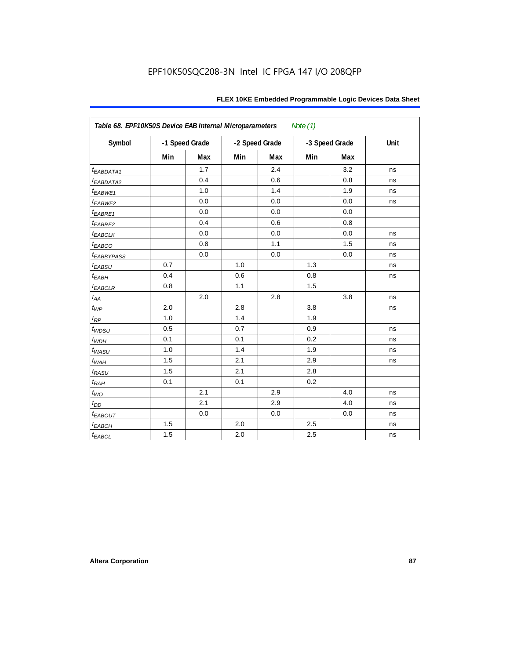| FLEX 10KE Embedded Programmable Logic Devices Data Sheet |  |
|----------------------------------------------------------|--|
|----------------------------------------------------------|--|

| Table 68. EPF10K50S Device EAB Internal Microparameters<br>Note $(1)$ |                |     |     |                |     |                |      |  |
|-----------------------------------------------------------------------|----------------|-----|-----|----------------|-----|----------------|------|--|
| Symbol                                                                | -1 Speed Grade |     |     | -2 Speed Grade |     | -3 Speed Grade | Unit |  |
|                                                                       | Min            | Max | Min | Max            | Min | Max            |      |  |
| <i>EABDATA1</i>                                                       |                | 1.7 |     | 2.4            |     | 3.2            | ns   |  |
| t <sub>EABDATA2</sub>                                                 |                | 0.4 |     | 0.6            |     | 0.8            | ns   |  |
| t <sub>EABWE1</sub>                                                   |                | 1.0 |     | 1.4            |     | 1.9            | ns   |  |
| t <sub>EABWE2</sub>                                                   |                | 0.0 |     | 0.0            |     | 0.0            | ns   |  |
| t <sub>EABRE1</sub>                                                   |                | 0.0 |     | 0.0            |     | 0.0            |      |  |
| t <sub>EABRE2</sub>                                                   |                | 0.4 |     | 0.6            |     | 0.8            |      |  |
| $t_{EABCLK}$                                                          |                | 0.0 |     | 0.0            |     | 0.0            | ns   |  |
| t <sub>EABCO</sub>                                                    |                | 0.8 |     | 1.1            |     | 1.5            | ns   |  |
| <b><i>EABBYPASS</i></b>                                               |                | 0.0 |     | 0.0            |     | 0.0            | ns   |  |
| $t_{EABSU}$                                                           | 0.7            |     | 1.0 |                | 1.3 |                | ns   |  |
| t <sub>EABH</sub>                                                     | 0.4            |     | 0.6 |                | 0.8 |                | ns   |  |
| $t_{EABCLR}$                                                          | 0.8            |     | 1.1 |                | 1.5 |                |      |  |
| $t_{\mathit{AA}}$                                                     |                | 2.0 |     | 2.8            |     | 3.8            | ns   |  |
| $t_{WP}$                                                              | 2.0            |     | 2.8 |                | 3.8 |                | ns   |  |
| $t_{\!R\!P}$                                                          | 1.0            |     | 1.4 |                | 1.9 |                |      |  |
| $t_{WDSU}$                                                            | 0.5            |     | 0.7 |                | 0.9 |                | ns   |  |
| $t_{WDH}$                                                             | 0.1            |     | 0.1 |                | 0.2 |                | ns   |  |
| $t_{WASU}$                                                            | 1.0            |     | 1.4 |                | 1.9 |                | ns   |  |
| $t_{WAH}$                                                             | 1.5            |     | 2.1 |                | 2.9 |                | ns   |  |
| $t_{RASU}$                                                            | 1.5            |     | 2.1 |                | 2.8 |                |      |  |
| $t_{RAH}$                                                             | 0.1            |     | 0.1 |                | 0.2 |                |      |  |
| $t_{WO}$                                                              |                | 2.1 |     | 2.9            |     | 4.0            | ns   |  |
| $t_{DD}$                                                              |                | 2.1 |     | 2.9            |     | 4.0            | ns   |  |
| $t_{EABOUT}$                                                          |                | 0.0 |     | $0.0\,$        |     | 0.0            | ns   |  |
| $t_{EABCH}$                                                           | 1.5            |     | 2.0 |                | 2.5 |                | ns   |  |
| $t_{EABCL}$                                                           | 1.5            |     | 2.0 |                | 2.5 |                | ns   |  |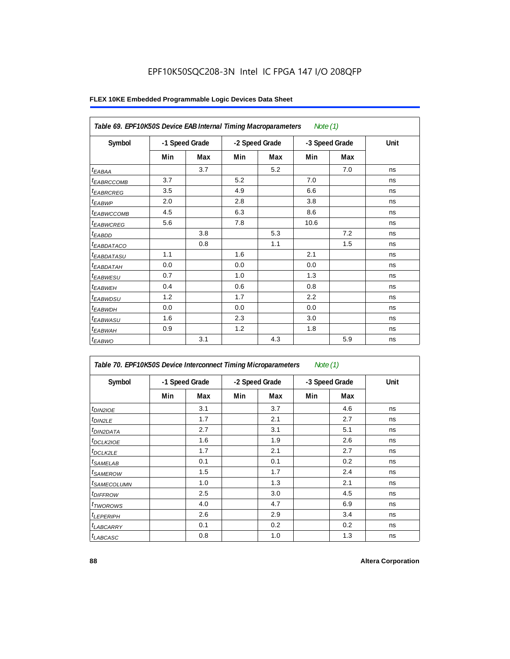|                              | Table 69. EPF10K50S Device EAB Internal Timing Macroparameters<br>Note $(1)$ |     |                |     |                |     |      |  |  |  |  |
|------------------------------|------------------------------------------------------------------------------|-----|----------------|-----|----------------|-----|------|--|--|--|--|
| Symbol                       | -1 Speed Grade                                                               |     | -2 Speed Grade |     | -3 Speed Grade |     | Unit |  |  |  |  |
|                              | Min                                                                          | Max | Min            | Max | Min            | Max |      |  |  |  |  |
| $t_{EABA}$                   |                                                                              | 3.7 |                | 5.2 |                | 7.0 | ns   |  |  |  |  |
| t <sub>EABRCCOMB</sub>       | 3.7                                                                          |     | 5.2            |     | 7.0            |     | ns   |  |  |  |  |
| <i><b>EABRCREG</b></i>       | 3.5                                                                          |     | 4.9            |     | 6.6            |     | ns   |  |  |  |  |
| $t_{EABWP}$                  | 2.0                                                                          |     | 2.8            |     | 3.8            |     | ns   |  |  |  |  |
| t <sub>EABWCCOMB</sub>       | 4.5                                                                          |     | 6.3            |     | 8.6            |     | ns   |  |  |  |  |
| <i>EABWCREG</i>              | 5.6                                                                          |     | 7.8            |     | 10.6           |     | ns   |  |  |  |  |
| $t_{EABDD}$                  |                                                                              | 3.8 |                | 5.3 |                | 7.2 | ns   |  |  |  |  |
| <sup>t</sup> EABDATACO       |                                                                              | 0.8 |                | 1.1 |                | 1.5 | ns   |  |  |  |  |
| <i>t<sub>EABDATASU</sub></i> | 1.1                                                                          |     | 1.6            |     | 2.1            |     | ns   |  |  |  |  |
| t <sub>ЕАВ<u>ратан</u></sub> | 0.0                                                                          |     | 0.0            |     | 0.0            |     | ns   |  |  |  |  |
| t <sub>EABWESU</sub>         | 0.7                                                                          |     | 1.0            |     | 1.3            |     | ns   |  |  |  |  |
| <sup>t</sup> EABWEH          | 0.4                                                                          |     | 0.6            |     | 0.8            |     | ns   |  |  |  |  |
| t <sub>EABWDSU</sub>         | 1.2                                                                          |     | 1.7            |     | 2.2            |     | ns   |  |  |  |  |
| t <sub>EABWDH</sub>          | 0.0                                                                          |     | 0.0            |     | 0.0            |     | ns   |  |  |  |  |
| <sup>t</sup> EABWASU         | 1.6                                                                          |     | 2.3            |     | 3.0            |     | ns   |  |  |  |  |
| t <sub>EABWAH</sub>          | 0.9                                                                          |     | 1.2            |     | 1.8            |     | ns   |  |  |  |  |
| $t_{EABWO}$                  |                                                                              | 3.1 |                | 4.3 |                | 5.9 | ns   |  |  |  |  |

| Table 70. EPF10K50S Device Interconnect Timing Microparameters<br>Note $(1)$ |     |                |     |                |     |                |      |  |  |  |
|------------------------------------------------------------------------------|-----|----------------|-----|----------------|-----|----------------|------|--|--|--|
| Symbol                                                                       |     | -1 Speed Grade |     | -2 Speed Grade |     | -3 Speed Grade | Unit |  |  |  |
|                                                                              | Min | Max            | Min | Max            | Min | Max            |      |  |  |  |
| $t_{DIN2IOE}$                                                                |     | 3.1            |     | 3.7            |     | 4.6            | ns   |  |  |  |
| <sup>t</sup> DIN2LE                                                          |     | 1.7            |     | 2.1            |     | 2.7            | ns   |  |  |  |
| <sup>t</sup> DIN2DATA                                                        |     | 2.7            |     | 3.1            |     | 5.1            | ns   |  |  |  |
| <sup>t</sup> DCLK2IOE                                                        |     | 1.6            |     | 1.9            |     | 2.6            | ns   |  |  |  |
| <sup>t</sup> DCLK2LE                                                         |     | 1.7            |     | 2.1            |     | 2.7            | ns   |  |  |  |
| <sup>t</sup> SAMELAB                                                         |     | 0.1            |     | 0.1            |     | 0.2            | ns   |  |  |  |
| <sup>t</sup> SAMEROW                                                         |     | 1.5            |     | 1.7            |     | 2.4            | ns   |  |  |  |
| <sup>t</sup> SAMECOLUMN                                                      |     | 1.0            |     | 1.3            |     | 2.1            | ns   |  |  |  |
| <sup>t</sup> DIFFROW                                                         |     | 2.5            |     | 3.0            |     | 4.5            | ns   |  |  |  |
| <sup>t</sup> TWOROWS                                                         |     | 4.0            |     | 4.7            |     | 6.9            | ns   |  |  |  |
| <sup>t</sup> LEPERIPH                                                        |     | 2.6            |     | 2.9            |     | 3.4            | ns   |  |  |  |
| <sup>t</sup> LABCARRY                                                        |     | 0.1            |     | 0.2            |     | 0.2            | ns   |  |  |  |
| <b>LABCASC</b>                                                               |     | 0.8            |     | 1.0            |     | 1.3            | ns   |  |  |  |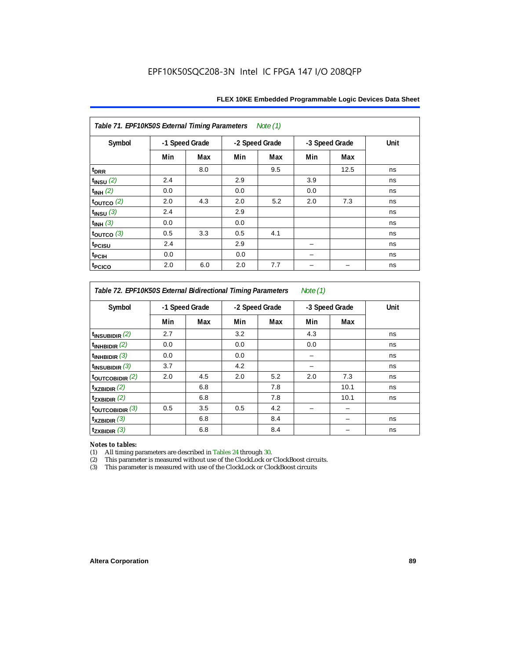| Table 71. EPF10K50S External Timing Parameters<br>Note (1) |                |     |     |                |     |                |      |  |  |  |  |
|------------------------------------------------------------|----------------|-----|-----|----------------|-----|----------------|------|--|--|--|--|
| Symbol                                                     | -1 Speed Grade |     |     | -2 Speed Grade |     | -3 Speed Grade | Unit |  |  |  |  |
|                                                            | Min            | Max | Min | Max            | Min | Max            |      |  |  |  |  |
| $t_{DRR}$                                                  |                | 8.0 |     | 9.5            |     | 12.5           | ns   |  |  |  |  |
| $t_{INSU}$ $(2)$                                           | 2.4            |     | 2.9 |                | 3.9 |                | ns   |  |  |  |  |
| $t_{INH}$ (2)                                              | 0.0            |     | 0.0 |                | 0.0 |                | ns   |  |  |  |  |
| $t_{\text{OUTCO}}$ (2)                                     | 2.0            | 4.3 | 2.0 | 5.2            | 2.0 | 7.3            | ns   |  |  |  |  |
| $t_{INSU}$ (3)                                             | 2.4            |     | 2.9 |                |     |                | ns   |  |  |  |  |
| $t_{INH}$ (3)                                              | 0.0            |     | 0.0 |                |     |                | ns   |  |  |  |  |
| toutco $(3)$                                               | 0.5            | 3.3 | 0.5 | 4.1            |     |                | ns   |  |  |  |  |
| t <sub>PCISU</sub>                                         | 2.4            |     | 2.9 |                |     |                | ns   |  |  |  |  |
| t <sub>PCIH</sub>                                          | 0.0            |     | 0.0 |                |     |                | ns   |  |  |  |  |
| t <sub>PCICO</sub>                                         | 2.0            | 6.0 | 2.0 | 7.7            |     |                | ns   |  |  |  |  |

*Table 72. EPF10K50S External Bidirectional Timing Parameters Note (1)*

| Symbol              | -1 Speed Grade |     |     | -2 Speed Grade |     | -3 Speed Grade |    |
|---------------------|----------------|-----|-----|----------------|-----|----------------|----|
|                     | Min            | Max | Min | Max            | Min | Max            |    |
| $t_{INSUBIDIR}$ (2) | 2.7            |     | 3.2 |                | 4.3 |                | ns |
| $t_{INHBIDIR}$ (2)  | 0.0            |     | 0.0 |                | 0.0 |                | ns |
| $t_{INHBIDIR}$ (3)  | 0.0            |     | 0.0 |                |     |                | ns |
| $t_{INSUBIDIR}$ (3) | 3.7            |     | 4.2 |                |     |                | ns |
| toutcobidir $(2)$   | 2.0            | 4.5 | 2.0 | 5.2            | 2.0 | 7.3            | ns |
| $t_{XZBIDIR}$ (2)   |                | 6.8 |     | 7.8            |     | 10.1           | ns |
| $t_{ZXBIDIR}$ (2)   |                | 6.8 |     | 7.8            |     | 10.1           | ns |
| toutcobidir $(3)$   | 0.5            | 3.5 | 0.5 | 4.2            |     |                |    |
| $t_{XZBIDIR}$ (3)   |                | 6.8 |     | 8.4            |     |                | ns |
| $t_{ZXBIDIR}$ (3)   |                | 6.8 |     | 8.4            |     |                | ns |

*Notes to tables:* All timing parameters are described in Tables 24 through 30.

(2) This parameter is measured without use of the ClockLock or ClockBoost circuits.<br>(3) This parameter is measured with use of the ClockLock or ClockBoost circuits

This parameter is measured with use of the ClockLock or ClockBoost circuits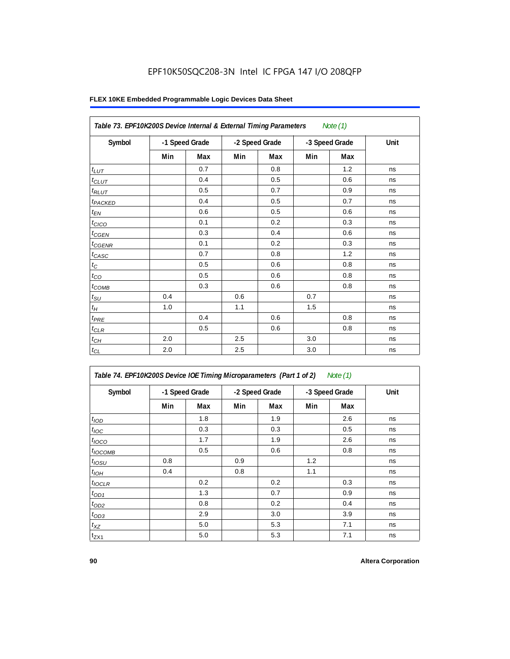|                     | Table 73. EPF10K200S Device Internal & External Timing Parameters<br>Note $(1)$ |                |     |                |     |                |      |  |  |  |  |
|---------------------|---------------------------------------------------------------------------------|----------------|-----|----------------|-----|----------------|------|--|--|--|--|
| Symbol              |                                                                                 | -1 Speed Grade |     | -2 Speed Grade |     | -3 Speed Grade | Unit |  |  |  |  |
|                     | Min                                                                             | Max            | Min | Max            | Min | Max            |      |  |  |  |  |
| $t_{LUT}$           |                                                                                 | 0.7            |     | 0.8            |     | 1.2            | ns   |  |  |  |  |
| $t_{CLUT}$          |                                                                                 | 0.4            |     | 0.5            |     | 0.6            | ns   |  |  |  |  |
| $t_{RLUT}$          |                                                                                 | 0.5            |     | 0.7            |     | 0.9            | ns   |  |  |  |  |
| t <sub>PACKED</sub> |                                                                                 | 0.4            |     | 0.5            |     | 0.7            | ns   |  |  |  |  |
| $t_{EN}$            |                                                                                 | 0.6            |     | 0.5            |     | 0.6            | ns   |  |  |  |  |
| t <sub>CICO</sub>   |                                                                                 | 0.1            |     | 0.2            |     | 0.3            | ns   |  |  |  |  |
| $t_{CGEN}$          |                                                                                 | 0.3            |     | 0.4            |     | 0.6            | ns   |  |  |  |  |
| $t_{\text{GENR}}$   |                                                                                 | 0.1            |     | 0.2            |     | 0.3            | ns   |  |  |  |  |
| $t_{CASC}$          |                                                                                 | 0.7            |     | 0.8            |     | 1.2            | ns   |  |  |  |  |
| $t_{\rm C}$         |                                                                                 | 0.5            |     | 0.6            |     | 0.8            | ns   |  |  |  |  |
| $t_{CO}$            |                                                                                 | 0.5            |     | 0.6            |     | 0.8            | ns   |  |  |  |  |
| $t_{COMB}$          |                                                                                 | 0.3            |     | 0.6            |     | 0.8            | ns   |  |  |  |  |
| $t_{\text{SU}}$     | 0.4                                                                             |                | 0.6 |                | 0.7 |                | ns   |  |  |  |  |
| $t_H\,$             | 1.0                                                                             |                | 1.1 |                | 1.5 |                | ns   |  |  |  |  |
| $t_{PRE}$           |                                                                                 | 0.4            |     | 0.6            |     | 0.8            | ns   |  |  |  |  |
| $t_{CLR}$           |                                                                                 | 0.5            |     | 0.6            |     | 0.8            | ns   |  |  |  |  |
| $t_{CH}$            | 2.0                                                                             |                | 2.5 |                | 3.0 |                | ns   |  |  |  |  |
| $t_{CL}$            | 2.0                                                                             |                | 2.5 |                | 3.0 |                | ns   |  |  |  |  |

| Table 74. EPF10K200S Device IOE Timing Microparameters (Part 1 of 2) Note (1) |  |  |  |
|-------------------------------------------------------------------------------|--|--|--|
|-------------------------------------------------------------------------------|--|--|--|

| Symbol           |     | -1 Speed Grade |     | -2 Speed Grade |     | -3 Speed Grade | Unit |  |
|------------------|-----|----------------|-----|----------------|-----|----------------|------|--|
|                  | Min | Max            | Min | Max            | Min | Max            |      |  |
| t <sub>IOD</sub> |     | 1.8            |     | 1.9            |     | 2.6            | ns   |  |
| $t_{\text{IOC}}$ |     | 0.3            |     | 0.3            |     | 0.5            | ns   |  |
| $t_{IOCO}$       |     | 1.7            |     | 1.9            |     | 2.6            | ns   |  |
| $t_{IOCOMB}$     |     | 0.5            |     | 0.6            |     | 0.8            | ns   |  |
| $t_{IOSU}$       | 0.8 |                | 0.9 |                | 1.2 |                | ns   |  |
| $t_{IOH}$        | 0.4 |                | 0.8 |                | 1.1 |                | ns   |  |
| $t_{IOCLR}$      |     | 0.2            |     | 0.2            |     | 0.3            | ns   |  |
| $t_{OD1}$        |     | 1.3            |     | 0.7            |     | 0.9            | ns   |  |
| $t_{OD2}$        |     | 0.8            |     | 0.2            |     | 0.4            | ns   |  |
| $t_{OD3}$        |     | 2.9            |     | 3.0            |     | 3.9            | ns   |  |
| $t_{XZ}$         |     | 5.0            |     | 5.3            |     | 7.1            | ns   |  |
| $t_{ZX1}$        |     | 5.0            |     | 5.3            |     | 7.1            | ns   |  |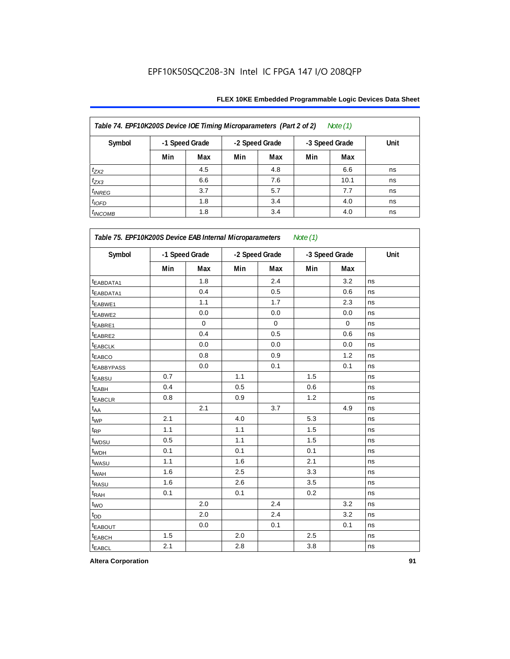#### **FLEX 10KE Embedded Programmable Logic Devices Data Sheet**

| Table 74. EPF10K200S Device IOE Timing Microparameters (Part 2 of 2)<br>Note $(1)$ |     |                |                |     |                |      |      |  |  |  |  |
|------------------------------------------------------------------------------------|-----|----------------|----------------|-----|----------------|------|------|--|--|--|--|
| Symbol                                                                             |     | -1 Speed Grade | -2 Speed Grade |     | -3 Speed Grade |      | Unit |  |  |  |  |
|                                                                                    | Min | Max            | Min            | Max | Min            | Max  |      |  |  |  |  |
| $t_{ZX2}$                                                                          |     | 4.5            |                | 4.8 |                | 6.6  | ns   |  |  |  |  |
| $t_{ZX3}$                                                                          |     | 6.6            |                | 7.6 |                | 10.1 | ns   |  |  |  |  |
| $t_{INREG}$                                                                        |     | 3.7            |                | 5.7 |                | 7.7  | ns   |  |  |  |  |
| $t_{IOFD}$                                                                         |     | 1.8            |                | 3.4 |                | 4.0  | ns   |  |  |  |  |
| $t_{INCOMB}$                                                                       |     | 1.8            |                | 3.4 |                | 4.0  | ns   |  |  |  |  |

| Symbol                  |     | -1 Speed Grade |     | -2 Speed Grade | -3 Speed Grade |             | Unit |
|-------------------------|-----|----------------|-----|----------------|----------------|-------------|------|
|                         | Min | Max            | Min | Max            | Min            | Max         |      |
| <sup>t</sup> EABDATA1   |     | 1.8            |     | 2.4            |                | 3.2         | ns   |
| <sup>t</sup> EABDATA1   |     | 0.4            |     | 0.5            |                | 0.6         | ns   |
| t <sub>EABWE1</sub>     |     | 1.1            |     | 1.7            |                | 2.3         | ns   |
| t <sub>EABWE2</sub>     |     | 0.0            |     | 0.0            |                | 0.0         | ns   |
| t <sub>EABRE1</sub>     |     | $\mathbf 0$    |     | $\mathbf 0$    |                | $\mathbf 0$ | ns   |
| t <sub>EABRE2</sub>     |     | 0.4            |     | 0.5            |                | 0.6         | ns   |
| <sup>t</sup> EABCLK     |     | 0.0            |     | 0.0            |                | 0.0         | ns   |
| t <sub>EABCO</sub>      |     | 0.8            |     | 0.9            |                | 1.2         | ns   |
| <b><i>EABBYPASS</i></b> |     | 0.0            |     | 0.1            |                | 0.1         | ns   |
| t <sub>EABSU</sub>      | 0.7 |                | 1.1 |                | 1.5            |             | ns   |
| t <sub>EABH</sub>       | 0.4 |                | 0.5 |                | 0.6            |             | ns   |
| t <sub>EABCLR</sub>     | 0.8 |                | 0.9 |                | 1.2            |             | ns   |
| $t_{AA}$                |     | 2.1            |     | 3.7            |                | 4.9         | ns   |
| $t_{WP}$                | 2.1 |                | 4.0 |                | 5.3            |             | ns   |
| t <sub>RP</sub>         | 1.1 |                | 1.1 |                | 1.5            |             | ns   |
| t <sub>WDSU</sub>       | 0.5 |                | 1.1 |                | 1.5            |             | ns   |
| t <sub>WDH</sub>        | 0.1 |                | 0.1 |                | 0.1            |             | ns   |
| t <sub>WASU</sub>       | 1.1 |                | 1.6 |                | 2.1            |             | ns   |
| t <sub>WAH</sub>        | 1.6 |                | 2.5 |                | 3.3            |             | ns   |
| t <sub>RASU</sub>       | 1.6 |                | 2.6 |                | 3.5            |             | ns   |
| t <sub>RAH</sub>        | 0.1 |                | 0.1 |                | 0.2            |             | ns   |
| $t_{\text{WO}}$         |     | 2.0            |     | 2.4            |                | 3.2         | ns   |
| $t_{DD}$                |     | 2.0            |     | 2.4            |                | 3.2         | ns   |
| <b><i>EABOUT</i></b>    |     | 0.0            |     | 0.1            |                | 0.1         | ns   |
| t <sub>EABCH</sub>      | 1.5 |                | 2.0 |                | 2.5            |             | ns   |
| t <sub>EABCL</sub>      | 2.1 |                | 2.8 |                | 3.8            |             | ns   |

**Altera Corporation 91**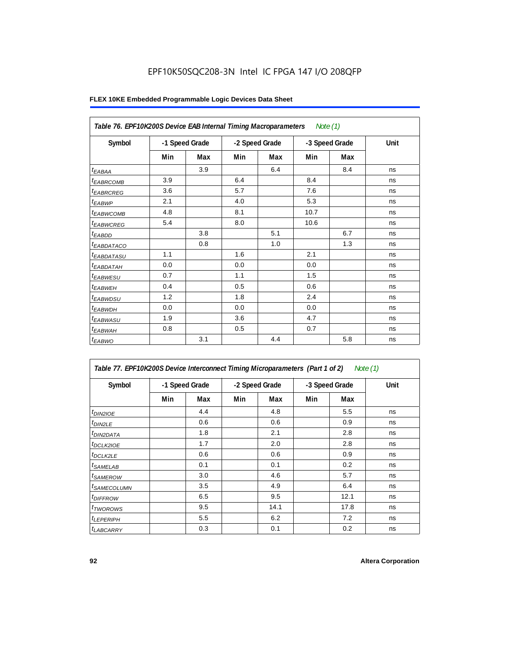|                               | Table 76. EPF10K200S Device EAB Internal Timing Macroparameters Note (1) |                |     |                |      |                |      |  |  |  |  |
|-------------------------------|--------------------------------------------------------------------------|----------------|-----|----------------|------|----------------|------|--|--|--|--|
| Symbol                        |                                                                          | -1 Speed Grade |     | -2 Speed Grade |      | -3 Speed Grade | Unit |  |  |  |  |
|                               | Min                                                                      | Max            | Min | Max            | Min  | Max            |      |  |  |  |  |
| $t_{EABA}$                    |                                                                          | 3.9            |     | 6.4            |      | 8.4            | ns   |  |  |  |  |
| <sup>t</sup> EA <u>BRCOMB</u> | 3.9                                                                      |                | 6.4 |                | 8.4  |                | ns   |  |  |  |  |
| <sup>t</sup> EABRCREG         | 3.6                                                                      |                | 5.7 |                | 7.6  |                | ns   |  |  |  |  |
| $t_{EABWP}$                   | 2.1                                                                      |                | 4.0 |                | 5.3  |                | ns   |  |  |  |  |
| <sup>t</sup> EABWCOMB         | 4.8                                                                      |                | 8.1 |                | 10.7 |                | ns   |  |  |  |  |
| t <sub>EABWCREG</sub>         | 5.4                                                                      |                | 8.0 |                | 10.6 |                | ns   |  |  |  |  |
| $t_{EABDD}$                   |                                                                          | 3.8            |     | 5.1            |      | 6.7            | ns   |  |  |  |  |
| <i>EABDATACO</i>              |                                                                          | 0.8            |     | 1.0            |      | 1.3            | ns   |  |  |  |  |
| <i>t<sub>EABDATASU</sub></i>  | 1.1                                                                      |                | 1.6 |                | 2.1  |                | ns   |  |  |  |  |
| <sup>t</sup> EABDATAH         | 0.0                                                                      |                | 0.0 |                | 0.0  |                | ns   |  |  |  |  |
| <sup>t</sup> EABWESU          | 0.7                                                                      |                | 1.1 |                | 1.5  |                | ns   |  |  |  |  |
| <sup>t</sup> EABWEH           | 0.4                                                                      |                | 0.5 |                | 0.6  |                | ns   |  |  |  |  |
| t <sub>EABWDSU</sub>          | 1.2                                                                      |                | 1.8 |                | 2.4  |                | ns   |  |  |  |  |
| <sup>t</sup> EABWDH           | 0.0                                                                      |                | 0.0 |                | 0.0  |                | ns   |  |  |  |  |
| <sup>t</sup> EABWASU          | 1.9                                                                      |                | 3.6 |                | 4.7  |                | ns   |  |  |  |  |
| t <sub>EABWAH</sub>           | 0.8                                                                      |                | 0.5 |                | 0.7  |                | ns   |  |  |  |  |
| $t_{EABWO}$                   |                                                                          | 3.1            |     | 4.4            |      | 5.8            | ns   |  |  |  |  |

| Table 77. EPF10K200S Device Interconnect Timing Microparameters (Part 1 of 2)<br>Note (1) |     |                |     |                |     |                |      |  |  |  |
|-------------------------------------------------------------------------------------------|-----|----------------|-----|----------------|-----|----------------|------|--|--|--|
| Symbol                                                                                    |     | -1 Speed Grade |     | -2 Speed Grade |     | -3 Speed Grade | Unit |  |  |  |
|                                                                                           | Min | Max            | Min | Max            | Min | Max            |      |  |  |  |
| $t_{DIN2IOE}$                                                                             |     | 4.4            |     | 4.8            |     | 5.5            | ns   |  |  |  |
| $t_{DIN2LE}$                                                                              |     | 0.6            |     | 0.6            |     | 0.9            | ns   |  |  |  |
| <sup>t</sup> DIN2DATA                                                                     |     | 1.8            |     | 2.1            |     | 2.8            | ns   |  |  |  |
| <sup>t</sup> DCLK2IOE                                                                     |     | 1.7            |     | 2.0            |     | 2.8            | ns   |  |  |  |
| <sup>t</sup> DCLK2LE                                                                      |     | 0.6            |     | 0.6            |     | 0.9            | ns   |  |  |  |
| <sup>t</sup> SAMELAB                                                                      |     | 0.1            |     | 0.1            |     | 0.2            | ns   |  |  |  |
| <sup>t</sup> SAMEROW                                                                      |     | 3.0            |     | 4.6            |     | 5.7            | ns   |  |  |  |
| <sup>t</sup> SAMECOLUMN                                                                   |     | 3.5            |     | 4.9            |     | 6.4            | ns   |  |  |  |
| <sup>t</sup> DIFFROW                                                                      |     | 6.5            |     | 9.5            |     | 12.1           | ns   |  |  |  |
| <sup>t</sup> TWOROWS                                                                      |     | 9.5            |     | 14.1           |     | 17.8           | ns   |  |  |  |
| <sup>t</sup> LEPERIPH                                                                     |     | 5.5            |     | 6.2            |     | 7.2            | ns   |  |  |  |
| <b><i>LABCARRY</i></b>                                                                    |     | 0.3            |     | 0.1            |     | 0.2            | ns   |  |  |  |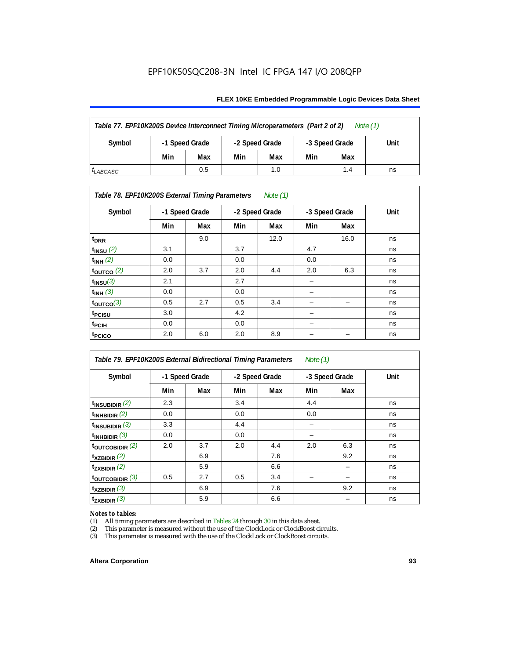#### **FLEX 10KE Embedded Programmable Logic Devices Data Sheet**

| Table 77. EPF10K200S Device Interconnect Timing Microparameters (Part 2 of 2)<br>Note $(1)$ |     |                                  |     |                |     |      |    |  |  |  |
|---------------------------------------------------------------------------------------------|-----|----------------------------------|-----|----------------|-----|------|----|--|--|--|
| Symbol                                                                                      |     | -1 Speed Grade<br>-2 Speed Grade |     | -3 Speed Grade |     | Unit |    |  |  |  |
|                                                                                             | Min | Max                              | Min | Max            | Min | Max  |    |  |  |  |
| <sup>I</sup> LABCASC                                                                        |     | 0.5                              |     | 1.0            |     | 1.4  | ns |  |  |  |

#### *Table 78. EPF10K200S External Timing Parameters Note (1)*

| Symbol                    | -1 Speed Grade |     | -2 Speed Grade |      | -3 Speed Grade |      | <b>Unit</b> |
|---------------------------|----------------|-----|----------------|------|----------------|------|-------------|
|                           | Min            | Max | Min            | Max  | Min            | Max  |             |
| $t_{\text{DRR}}$          |                | 9.0 |                | 12.0 |                | 16.0 | ns          |
| $t$ <sub>INSU</sub> $(2)$ | 3.1            |     | 3.7            |      | 4.7            |      | ns          |
| $t_{INH}$ (2)             | 0.0            |     | 0.0            |      | 0.0            |      | ns          |
| $t_{\text{OUTCO}}(2)$     | 2.0            | 3.7 | 2.0            | 4.4  | 2.0            | 6.3  | ns          |
| $t_{INSU}(3)$             | 2.1            |     | 2.7            |      |                |      | ns          |
| $t_{INH}$ (3)             | 0.0            |     | 0.0            |      |                |      | ns          |
| $t_{OUTCO}(3)$            | 0.5            | 2.7 | 0.5            | 3.4  | -              | -    | ns          |
| <sup>t</sup> PCISU        | 3.0            |     | 4.2            |      | -              |      | ns          |
| $t_{\rm{PCH}}$            | 0.0            |     | 0.0            |      | -              |      | ns          |
| t <sub>PCICO</sub>        | 2.0            | 6.0 | 2.0            | 8.9  |                |      | ns          |

| Table 79. EPF10K200S External Bidirectional Timing Parameters<br>Note $(1)$ |                |     |                |     |                |     |      |
|-----------------------------------------------------------------------------|----------------|-----|----------------|-----|----------------|-----|------|
| Symbol                                                                      | -1 Speed Grade |     | -2 Speed Grade |     | -3 Speed Grade |     | Unit |
|                                                                             | Min            | Max | Min            | Max | Min            | Max |      |
| $t_{\text{INSUBIDIR}}(2)$                                                   | 2.3            |     | 3.4            |     | 4.4            |     | ns   |
| $t_{INHBIDIR}$ (2)                                                          | 0.0            |     | 0.0            |     | 0.0            |     | ns   |
| $t_{INSUBIDIR}$ (3)                                                         | 3.3            |     | 4.4            |     |                |     | ns   |
| $t_{\text{INHBIDIR}}(3)$                                                    | 0.0            |     | 0.0            |     |                |     | ns   |
| toutcobidir $(2)$                                                           | 2.0            | 3.7 | 2.0            | 4.4 | 2.0            | 6.3 | ns   |
| $t_{XZBIDIR}$ $(2)$                                                         |                | 6.9 |                | 7.6 |                | 9.2 | ns   |
| $t_{ZXBIDIR}$ (2)                                                           |                | 5.9 |                | 6.6 |                |     | ns   |
| $t_{\text{OUTCOBIDIR}}(3)$                                                  | 0.5            | 2.7 | 0.5            | 3.4 |                |     | ns   |
| $t_{XZBIDIR}$ (3)                                                           |                | 6.9 |                | 7.6 |                | 9.2 | ns   |
| $t_{ZXBIDIR}$ (3)                                                           |                | 5.9 |                | 6.6 |                |     | ns   |

# *Notes to tables:*<br>(1) All timing p

(1) All timing parameters are described in Tables  $24$  through  $30$  in this data sheet.<br>
(2) This parameter is measured without the use of the ClockLock or ClockBoost ci

(2) This parameter is measured without the use of the ClockLock or ClockBoost circuits.<br>(3) This parameter is measured with the use of the ClockLock or ClockBoost circuits.

This parameter is measured with the use of the ClockLock or ClockBoost circuits.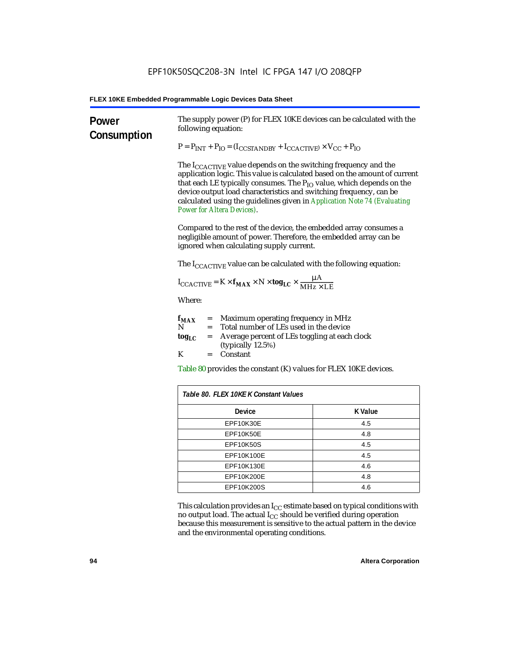| Power<br>Consumption | The supply power (P) for FLEX 10KE devices can be calculated with the<br>following equation:<br>$P = P_{INT} + P_{IO} = (I_{COSTANDBY} + I_{CCACTIVE}) \times V_{CC} + P_{IO}$<br>The $I_{\text{CCACTIVE}}$ value depends on the switching frequency and the<br>application logic. This value is calculated based on the amount of current<br>that each LE typically consumes. The $P_{IO}$ value, which depends on the |                |  |  |  |
|----------------------|-------------------------------------------------------------------------------------------------------------------------------------------------------------------------------------------------------------------------------------------------------------------------------------------------------------------------------------------------------------------------------------------------------------------------|----------------|--|--|--|
|                      | device output load characteristics and switching frequency, can be<br>calculated using the guidelines given in Application Note 74 (Evaluating<br><b>Power for Altera Devices).</b>                                                                                                                                                                                                                                     |                |  |  |  |
|                      | Compared to the rest of the device, the embedded array consumes a<br>negligible amount of power. Therefore, the embedded array can be<br>ignored when calculating supply current.                                                                                                                                                                                                                                       |                |  |  |  |
|                      | The I <sub>CCACTIVE</sub> value can be calculated with the following equation:                                                                                                                                                                                                                                                                                                                                          |                |  |  |  |
|                      | $I_{\text{CCACTIVE}} = K \times f_{\text{MAX}} \times N \times \text{tog}_{\text{LC}} \times \frac{\mu A}{MH_{Z} \times LE}$                                                                                                                                                                                                                                                                                            |                |  |  |  |
|                      | Where:                                                                                                                                                                                                                                                                                                                                                                                                                  |                |  |  |  |
|                      | = Maximum operating frequency in MHz<br>$f_{MAX}$<br>N<br>= Total number of LEs used in the device<br>Average percent of LEs toggling at each clock<br>$\log_{LC}$<br>$=$                                                                                                                                                                                                                                               |                |  |  |  |
|                      | (typically $12.5\%$ )<br>K<br>Constant<br>$=$ $-$                                                                                                                                                                                                                                                                                                                                                                       |                |  |  |  |
|                      | Table 80 provides the constant (K) values for FLEX 10KE devices.                                                                                                                                                                                                                                                                                                                                                        |                |  |  |  |
|                      | Table 80. FLEX 10KE K Constant Values                                                                                                                                                                                                                                                                                                                                                                                   |                |  |  |  |
|                      | <b>Device</b>                                                                                                                                                                                                                                                                                                                                                                                                           | <b>K</b> Value |  |  |  |
|                      | EPF10K30E                                                                                                                                                                                                                                                                                                                                                                                                               | 4.5            |  |  |  |
|                      | EPF10K50E<br>4.8                                                                                                                                                                                                                                                                                                                                                                                                        |                |  |  |  |
|                      | <b>EPF10K50S</b><br>4.5                                                                                                                                                                                                                                                                                                                                                                                                 |                |  |  |  |
|                      | EPF10K100E<br>4.5                                                                                                                                                                                                                                                                                                                                                                                                       |                |  |  |  |
|                      | EPF10K130E<br>4.6                                                                                                                                                                                                                                                                                                                                                                                                       |                |  |  |  |
|                      | EPF10K200E<br>4.8                                                                                                                                                                                                                                                                                                                                                                                                       |                |  |  |  |
|                      | EPF10K200S                                                                                                                                                                                                                                                                                                                                                                                                              | 4.6            |  |  |  |

This calculation provides an  $\rm I_{CC}$  estimate based on typical conditions with no output load. The actual I $_{\rm CC}$  should be verified during operation because this measurement is sensitive to the actual pattern in the device and the environmental operating conditions.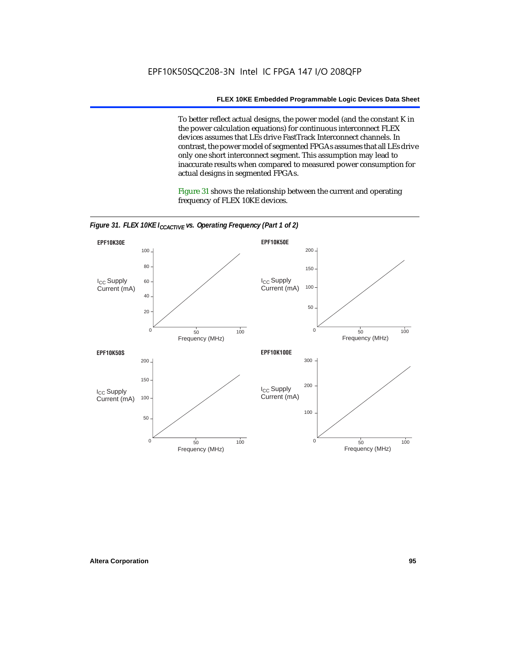To better reflect actual designs, the power model (and the constant K in the power calculation equations) for continuous interconnect FLEX devices assumes that LEs drive FastTrack Interconnect channels. In contrast, the power model of segmented FPGAs assumes that all LEs drive only one short interconnect segment. This assumption may lead to inaccurate results when compared to measured power consumption for actual designs in segmented FPGAs.

Figure 31 shows the relationship between the current and operating frequency of FLEX 10KE devices.



*Figure 31. FLEX 10KE I<sub>CCACTIVE</sub> vs. Operating Frequency (Part 1 of 2)*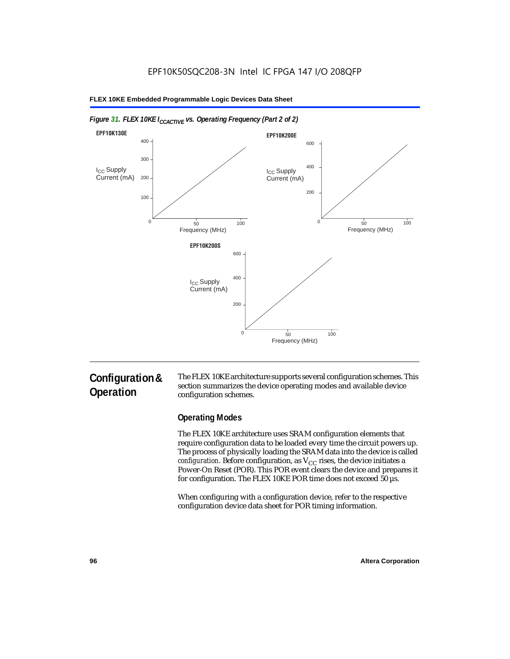

#### *Figure 31. FLEX 10KE I<sub>CCACTIVE</sub> vs. Operating Frequency (Part 2 of 2)*

# **Configuration & Operation**

The FLEX 10KE architecture supports several configuration schemes. This section summarizes the device operating modes and available device configuration schemes.

### **Operating Modes**

The FLEX 10KE architecture uses SRAM configuration elements that require configuration data to be loaded every time the circuit powers up. The process of physically loading the SRAM data into the device is called *configuration.* Before configuration, as  $V_{CC}$  rises, the device initiates a Power-On Reset (POR). This POR event clears the device and prepares it for configuration. The FLEX 10KE POR time does not exceed 50 µs.

When configuring with a configuration device, refer to the respective configuration device data sheet for POR timing information.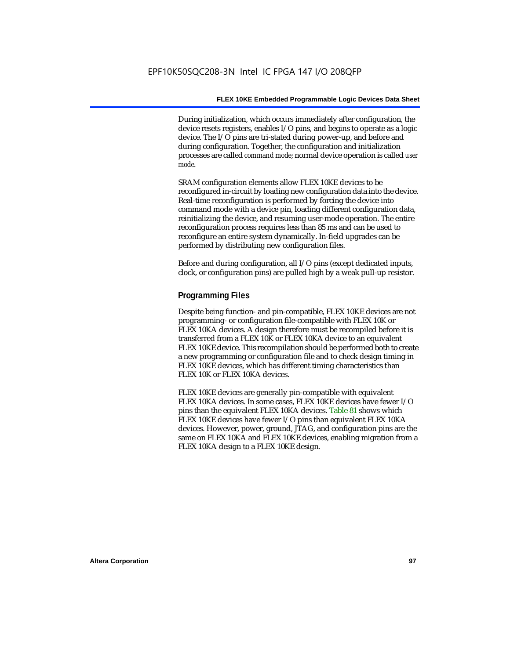During initialization, which occurs immediately after configuration, the device resets registers, enables I/O pins, and begins to operate as a logic device. The I/O pins are tri-stated during power-up, and before and during configuration. Together, the configuration and initialization processes are called *command mode*; normal device operation is called *user mode*.

SRAM configuration elements allow FLEX 10KE devices to be reconfigured in-circuit by loading new configuration data into the device. Real-time reconfiguration is performed by forcing the device into command mode with a device pin, loading different configuration data, reinitializing the device, and resuming user-mode operation. The entire reconfiguration process requires less than 85 ms and can be used to reconfigure an entire system dynamically. In-field upgrades can be performed by distributing new configuration files.

Before and during configuration, all I/O pins (except dedicated inputs, clock, or configuration pins) are pulled high by a weak pull-up resistor.

#### **Programming Files**

Despite being function- and pin-compatible, FLEX 10KE devices are not programming- or configuration file-compatible with FLEX 10K or FLEX 10KA devices. A design therefore must be recompiled before it is transferred from a FLEX 10K or FLEX 10KA device to an equivalent FLEX 10KE device. This recompilation should be performed both to create a new programming or configuration file and to check design timing in FLEX 10KE devices, which has different timing characteristics than FLEX 10K or FLEX 10KA devices.

FLEX 10KE devices are generally pin-compatible with equivalent FLEX 10KA devices. In some cases, FLEX 10KE devices have fewer I/O pins than the equivalent FLEX 10KA devices. Table 81 shows which FLEX 10KE devices have fewer I/O pins than equivalent FLEX 10KA devices. However, power, ground, JTAG, and configuration pins are the same on FLEX 10KA and FLEX 10KE devices, enabling migration from a FLEX 10KA design to a FLEX 10KE design.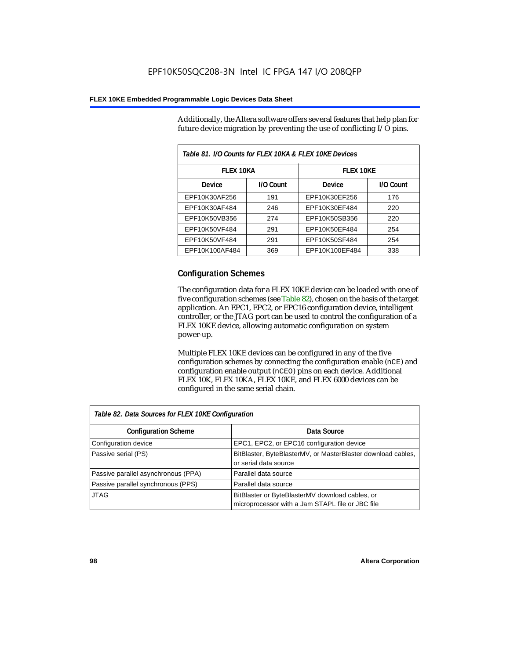Additionally, the Altera software offers several features that help plan for future device migration by preventing the use of conflicting I/O pins.

| Table 81. I/O Counts for FLEX 10KA & FLEX 10KE Devices |           |                  |           |  |
|--------------------------------------------------------|-----------|------------------|-----------|--|
| <b>FLEX 10KA</b>                                       |           | <b>FLEX 10KE</b> |           |  |
| Device                                                 | I/O Count | Device           | I/O Count |  |
| EPF10K30AF256                                          | 191       | EPF10K30EF256    | 176       |  |
| EPF10K30AF484                                          | 246       | EPF10K30EF484    | 220       |  |
| EPF10K50VB356                                          | 274       | EPF10K50SB356    | 220       |  |
| EPF10K50VF484                                          | 291       | EPF10K50EF484    | 254       |  |
| EPF10K50VF484                                          | 291       | EPF10K50SF484    | 254       |  |
| EPF10K100AF484                                         | 369       | EPF10K100EF484   | 338       |  |

#### **Configuration Schemes**

The configuration data for a FLEX 10KE device can be loaded with one of five configuration schemes (see Table 82), chosen on the basis of the target application. An EPC1, EPC2, or EPC16 configuration device, intelligent controller, or the JTAG port can be used to control the configuration of a FLEX 10KE device, allowing automatic configuration on system power-up.

Multiple FLEX 10KE devices can be configured in any of the five configuration schemes by connecting the configuration enable (nCE) and configuration enable output (nCEO) pins on each device. Additional FLEX 10K, FLEX 10KA, FLEX 10KE, and FLEX 6000 devices can be configured in the same serial chain.

| Table 82. Data Sources for FLEX 10KE Configuration |                                                                                                     |  |  |
|----------------------------------------------------|-----------------------------------------------------------------------------------------------------|--|--|
| <b>Configuration Scheme</b>                        | Data Source                                                                                         |  |  |
| Configuration device                               | EPC1, EPC2, or EPC16 configuration device                                                           |  |  |
| Passive serial (PS)                                | BitBlaster, ByteBlasterMV, or MasterBlaster download cables,<br>or serial data source               |  |  |
| Passive parallel asynchronous (PPA)                | Parallel data source                                                                                |  |  |
| Passive parallel synchronous (PPS)                 | Parallel data source                                                                                |  |  |
| <b>JTAG</b>                                        | BitBlaster or ByteBlasterMV download cables, or<br>microprocessor with a Jam STAPL file or JBC file |  |  |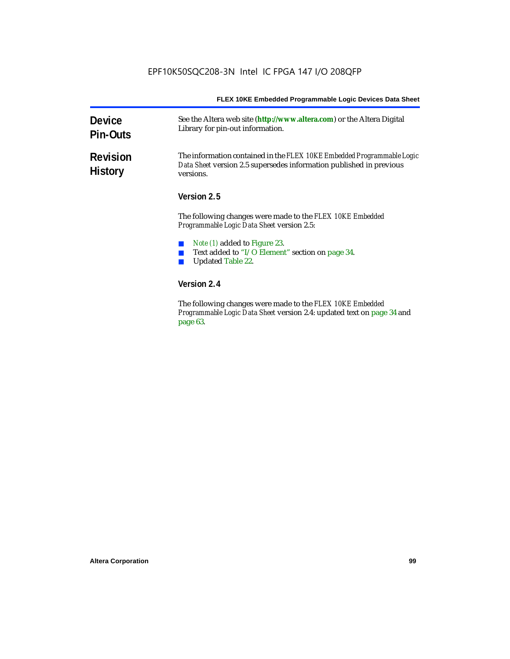| <b>Device</b><br><b>Pin-Outs</b>  | See the Altera web site (http://www.altera.com) or the Altera Digital<br>Library for pin-out information.                                                  |  |  |  |
|-----------------------------------|------------------------------------------------------------------------------------------------------------------------------------------------------------|--|--|--|
| <b>Revision</b><br><b>History</b> | The information contained in the FLEX 10KE Embedded Programmable Logic<br>Data Sheet version 2.5 supersedes information published in previous<br>versions. |  |  |  |
|                                   | Version 2.5                                                                                                                                                |  |  |  |
|                                   | The following changes were made to the FLEX 10KE Embedded<br><i>Programmable Logic Data Sheet version 2.5:</i>                                             |  |  |  |
|                                   | <i>Note (1)</i> added to Figure 23.<br>Text added to "I/O Element" section on page 34.<br><b>Updated Table 22.</b>                                         |  |  |  |
|                                   | Version 2.4                                                                                                                                                |  |  |  |
|                                   | The following changes were mode to the FLFV 10VF Embedded                                                                                                  |  |  |  |

The following changes were made to the *FLEX 10KE Embedded Programmable Logic Data Sheet* version 2.4: updated text on page 34 and page 63.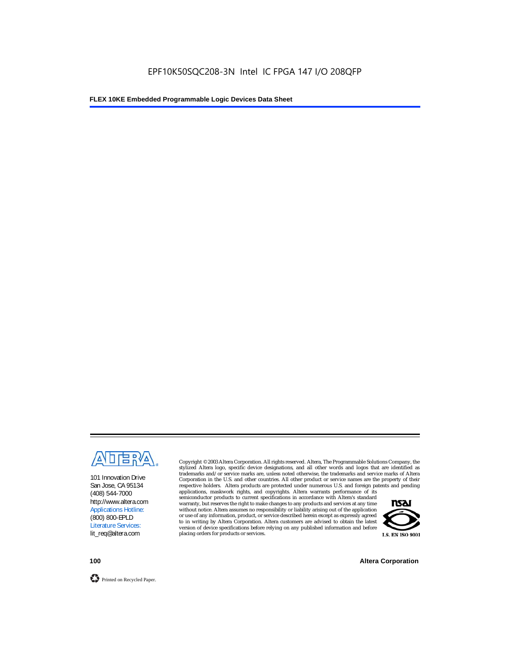

101 Innovation Drive San Jose, CA 95134 (408) 544-7000 http://www.altera.com Applications Hotline: (800) 800-EPLD Literature Services: lit\_req@altera.com

Copyright © 2003 Altera Corporation. All rights reserved. Altera, The Programmable Solutions Company, the stylized Altera logo, specific device designations, and all other words and logos that are identified as trademarks and/or service marks are, unless noted otherwise, the trademarks and service marks of Altera Corporation in the U.S. and other countries. All other product or service names are the property of their respective holders. Altera products are protected under numerous U.S. and foreign patents and pending

applications, maskwork rights, and copyrights. Altera warrants performance of its semiconductor products to current specifications in accordance with Altera's standard warranty, but reserves the right to make changes to any products and services at any time without notice. Altera assumes no responsibility or liability arising out of the application or use of any information, product, or service described herein except as expressly agreed to in writing by Altera Corporation. Altera customers are advised to obtain the latest version of device specifications before relying on any published information and before placing orders for products or services.



**100 Altera Corporation**